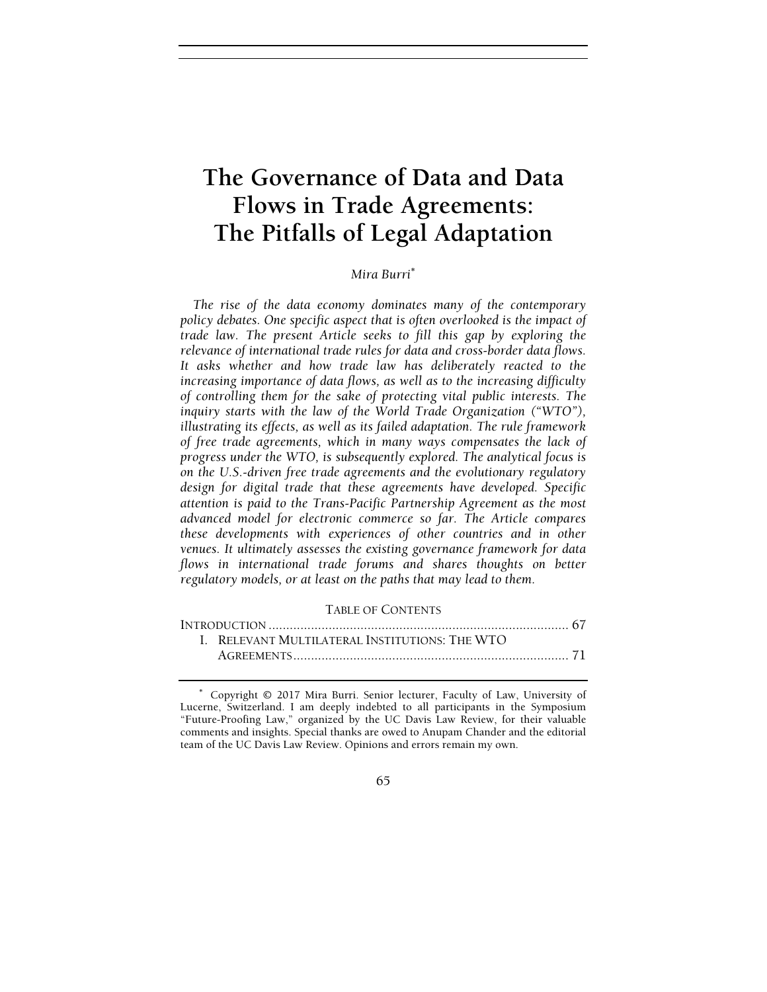# The Governance of Data and Data Flows in Trade Agreements: The Pitfalls of Legal Adaptation

# Mira Burri<sup>∗</sup>

The rise of the data economy dominates many of the contemporary policy debates. One specific aspect that is often overlooked is the impact of trade law. The present Article seeks to fill this gap by exploring the relevance of international trade rules for data and cross-border data flows. It asks whether and how trade law has deliberately reacted to the increasing importance of data flows, as well as to the increasing difficulty of controlling them for the sake of protecting vital public interests. The inquiry starts with the law of the World Trade Organization ("WTO"), illustrating its effects, as well as its failed adaptation. The rule framework of free trade agreements, which in many ways compensates the lack of progress under the WTO, is subsequently explored. The analytical focus is on the U.S.-driven free trade agreements and the evolutionary regulatory design for digital trade that these agreements have developed. Specific attention is paid to the Trans-Pacific Partnership Agreement as the most advanced model for electronic commerce so far. The Article compares these developments with experiences of other countries and in other venues. It ultimately assesses the existing governance framework for data flows in international trade forums and shares thoughts on better regulatory models, or at least on the paths that may lead to them.

# TABLE OF CONTENTS

| I. RELEVANT MULTILATERAL INSTITUTIONS: THE WTO |  |
|------------------------------------------------|--|
|                                                |  |

#### 65

<sup>∗</sup> Copyright © 2017 Mira Burri. Senior lecturer, Faculty of Law, University of Lucerne, Switzerland. I am deeply indebted to all participants in the Symposium "Future-Proofing Law," organized by the UC Davis Law Review, for their valuable comments and insights. Special thanks are owed to Anupam Chander and the editorial team of the UC Davis Law Review. Opinions and errors remain my own.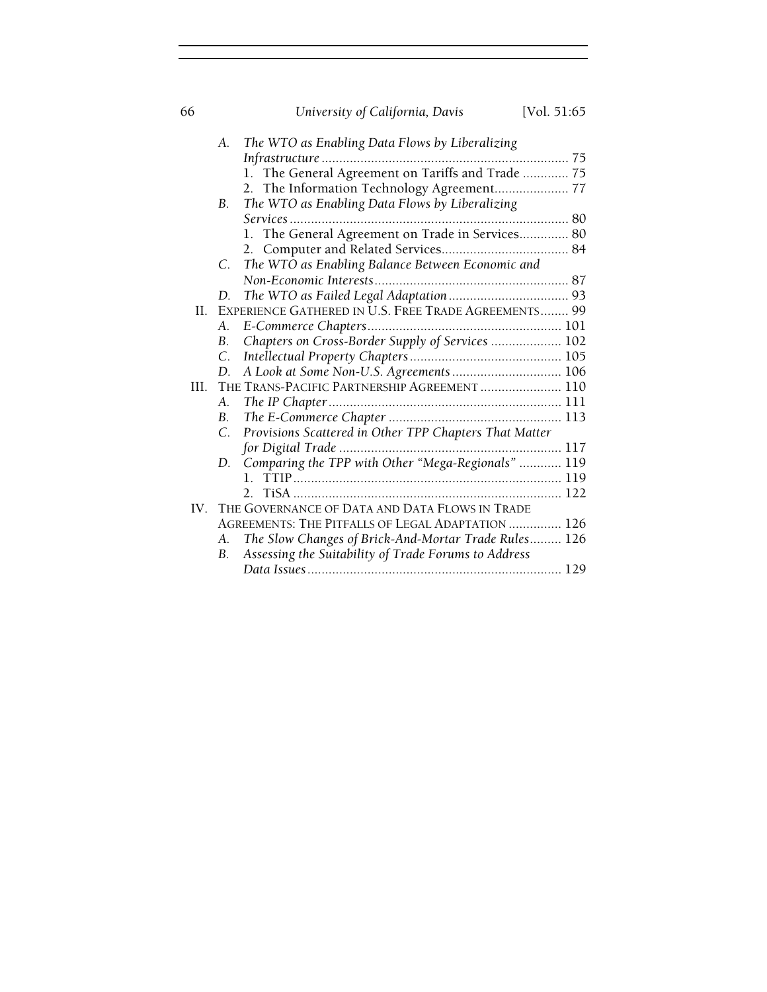| 66  |                 | University of California, Davis                        | [Vol. 51:65] |
|-----|-----------------|--------------------------------------------------------|--------------|
|     | А.              | The WTO as Enabling Data Flows by Liberalizing         |              |
|     |                 |                                                        |              |
|     |                 | 1. The General Agreement on Tariffs and Trade  75      |              |
|     |                 | The Information Technology Agreement 77<br>2.          |              |
|     | B.              | The WTO as Enabling Data Flows by Liberalizing         |              |
|     |                 |                                                        |              |
|     |                 | 1. The General Agreement on Trade in Services 80       |              |
|     |                 |                                                        |              |
|     | С.              | The WTO as Enabling Balance Between Economic and       |              |
|     |                 |                                                        |              |
|     | D.              |                                                        |              |
| H.  |                 | EXPERIENCE GATHERED IN U.S. FREE TRADE AGREEMENTS 99   |              |
|     | Α.              |                                                        |              |
|     | <b>B.</b>       | Chapters on Cross-Border Supply of Services  102       |              |
|     | $\mathcal{C}$ . |                                                        |              |
|     | D.              | A Look at Some Non-U.S. Agreements 106                 |              |
| HL. |                 | THE TRANS-PACIFIC PARTNERSHIP AGREEMENT  110           |              |
|     | Α.              |                                                        |              |
|     | B.              |                                                        |              |
|     | $\mathcal{C}$   | Provisions Scattered in Other TPP Chapters That Matter |              |
|     |                 |                                                        |              |
|     | D.              | Comparing the TPP with Other "Mega-Regionals"  119     |              |
|     |                 |                                                        |              |
|     |                 |                                                        |              |
|     |                 | IV. THE GOVERNANCE OF DATA AND DATA FLOWS IN TRADE     |              |
|     |                 | AGREEMENTS: THE PITFALLS OF LEGAL ADAPTATION  126      |              |
|     | А.              | The Slow Changes of Brick-And-Mortar Trade Rules 126   |              |
|     | <b>B.</b>       | Assessing the Suitability of Trade Forums to Address   |              |
|     |                 |                                                        |              |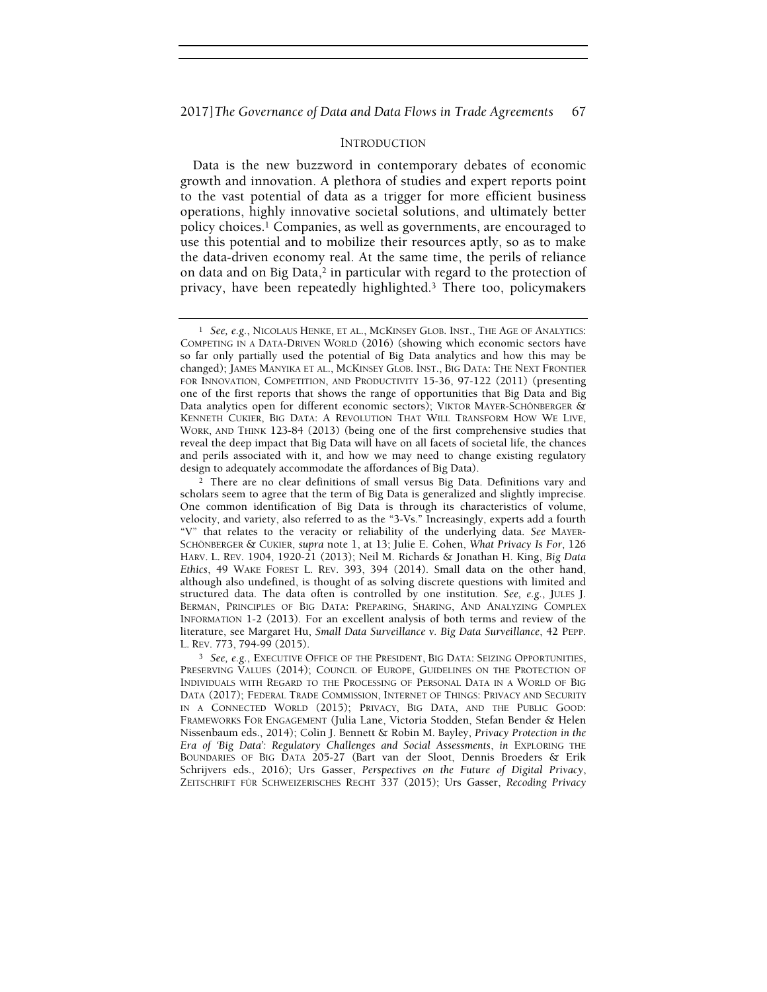# INTRODUCTION

Data is the new buzzword in contemporary debates of economic growth and innovation. A plethora of studies and expert reports point to the vast potential of data as a trigger for more efficient business operations, highly innovative societal solutions, and ultimately better policy choices.1 Companies, as well as governments, are encouraged to use this potential and to mobilize their resources aptly, so as to make the data-driven economy real. At the same time, the perils of reliance on data and on Big Data,<sup>2</sup> in particular with regard to the protection of privacy, have been repeatedly highlighted.3 There too, policymakers

<sup>1</sup> See, e.g., NICOLAUS HENKE, ET AL., MCKINSEY GLOB. INST., THE AGE OF ANALYTICS: COMPETING IN A DATA-DRIVEN WORLD (2016) (showing which economic sectors have so far only partially used the potential of Big Data analytics and how this may be changed); JAMES MANYIKA ET AL., MCKINSEY GLOB. INST., BIG DATA: THE NEXT FRONTIER FOR INNOVATION, COMPETITION, AND PRODUCTIVITY 15-36, 97-122 (2011) (presenting one of the first reports that shows the range of opportunities that Big Data and Big Data analytics open for different economic sectors); VIKTOR MAYER-SCHÖNBERGER & KENNETH CUKIER, BIG DATA: A REVOLUTION THAT WILL TRANSFORM HOW WE LIVE, WORK, AND THINK 123-84 (2013) (being one of the first comprehensive studies that reveal the deep impact that Big Data will have on all facets of societal life, the chances and perils associated with it, and how we may need to change existing regulatory design to adequately accommodate the affordances of Big Data).

<sup>&</sup>lt;sup>2</sup> There are no clear definitions of small versus Big Data. Definitions vary and scholars seem to agree that the term of Big Data is generalized and slightly imprecise. One common identification of Big Data is through its characteristics of volume, velocity, and variety, also referred to as the "3-Vs." Increasingly, experts add a fourth "V" that relates to the veracity or reliability of the underlying data. See MAYER-SCHÖNBERGER & CUKIER, supra note 1, at 13; Julie E. Cohen, What Privacy Is For, 126 HARV. L. REV. 1904, 1920-21 (2013); Neil M. Richards & Jonathan H. King, Big Data Ethics, 49 WAKE FOREST L. REV. 393, 394 (2014). Small data on the other hand, although also undefined, is thought of as solving discrete questions with limited and structured data. The data often is controlled by one institution. See, e.g., JULES J. BERMAN, PRINCIPLES OF BIG DATA: PREPARING, SHARING, AND ANALYZING COMPLEX INFORMATION 1-2 (2013). For an excellent analysis of both terms and review of the literature, see Margaret Hu, Small Data Surveillance v. Big Data Surveillance, 42 PEPP. L. REV. 773, 794-99 (2015).

<sup>3</sup> See, e.g., EXECUTIVE OFFICE OF THE PRESIDENT, BIG DATA: SEIZING OPPORTUNITIES, PRESERVING VALUES (2014); COUNCIL OF EUROPE, GUIDELINES ON THE PROTECTION OF INDIVIDUALS WITH REGARD TO THE PROCESSING OF PERSONAL DATA IN A WORLD OF BIG DATA (2017); FEDERAL TRADE COMMISSION, INTERNET OF THINGS: PRIVACY AND SECURITY IN A CONNECTED WORLD (2015); PRIVACY, BIG DATA, AND THE PUBLIC GOOD: FRAMEWORKS FOR ENGAGEMENT (Julia Lane, Victoria Stodden, Stefan Bender & Helen Nissenbaum eds., 2014); Colin J. Bennett & Robin M. Bayley, Privacy Protection in the Era of 'Big Data': Regulatory Challenges and Social Assessments, in EXPLORING THE BOUNDARIES OF BIG DATA 205-27 (Bart van der Sloot, Dennis Broeders & Erik Schrijvers eds., 2016); Urs Gasser, Perspectives on the Future of Digital Privacy, ZEITSCHRIFT FÜR SCHWEIZERISCHES RECHT 337 (2015); Urs Gasser, Recoding Privacy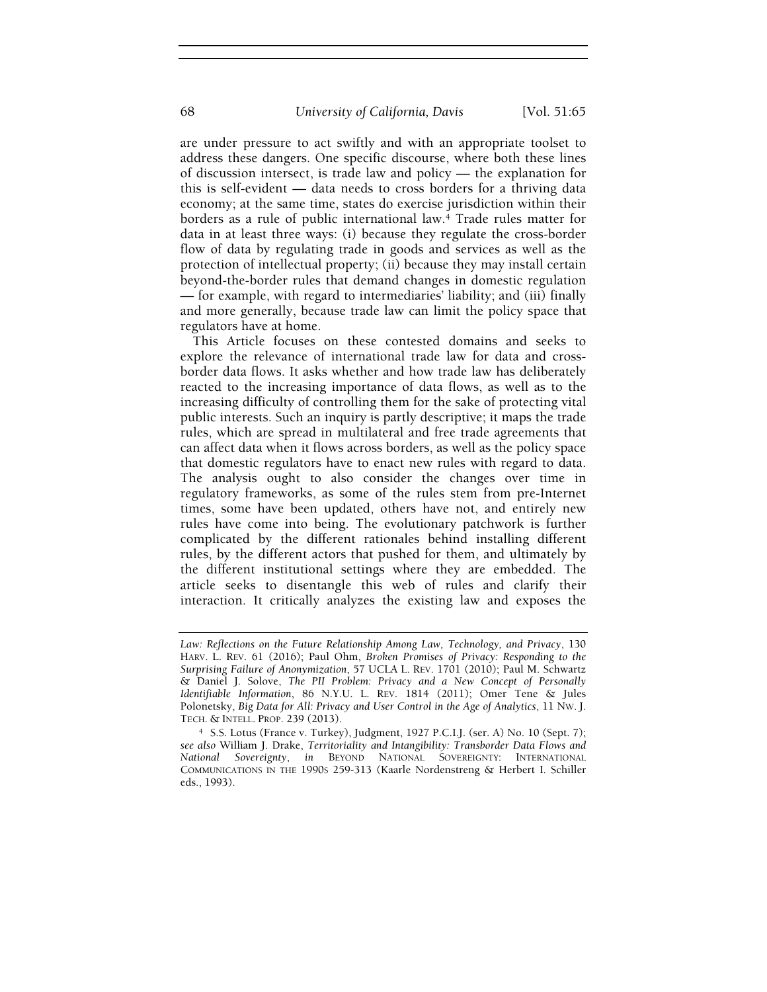are under pressure to act swiftly and with an appropriate toolset to address these dangers. One specific discourse, where both these lines of discussion intersect, is trade law and policy –– the explanation for this is self-evident — data needs to cross borders for a thriving data economy; at the same time, states do exercise jurisdiction within their borders as a rule of public international law.4 Trade rules matter for data in at least three ways: (i) because they regulate the cross-border flow of data by regulating trade in goods and services as well as the protection of intellectual property; (ii) because they may install certain beyond-the-border rules that demand changes in domestic regulation — for example, with regard to intermediaries' liability; and (iii) finally and more generally, because trade law can limit the policy space that regulators have at home.

This Article focuses on these contested domains and seeks to explore the relevance of international trade law for data and crossborder data flows. It asks whether and how trade law has deliberately reacted to the increasing importance of data flows, as well as to the increasing difficulty of controlling them for the sake of protecting vital public interests. Such an inquiry is partly descriptive; it maps the trade rules, which are spread in multilateral and free trade agreements that can affect data when it flows across borders, as well as the policy space that domestic regulators have to enact new rules with regard to data. The analysis ought to also consider the changes over time in regulatory frameworks, as some of the rules stem from pre-Internet times, some have been updated, others have not, and entirely new rules have come into being. The evolutionary patchwork is further complicated by the different rationales behind installing different rules, by the different actors that pushed for them, and ultimately by the different institutional settings where they are embedded. The article seeks to disentangle this web of rules and clarify their interaction. It critically analyzes the existing law and exposes the

Law: Reflections on the Future Relationship Among Law, Technology, and Privacy, 130 HARV. L. REV. 61 (2016); Paul Ohm, Broken Promises of Privacy: Responding to the Surprising Failure of Anonymization, 57 UCLA L. REV. 1701 (2010); Paul M. Schwartz & Daniel J. Solove, The PII Problem: Privacy and a New Concept of Personally Identifiable Information, 86 N.Y.U. L. REV. 1814 (2011); Omer Tene & Jules Polonetsky, Big Data for All: Privacy and User Control in the Age of Analytics, 11 NW. J. TECH. & INTELL. PROP. 239 (2013).

<sup>4</sup> S.S. Lotus (France v. Turkey), Judgment, 1927 P.C.I.J. (ser. A) No. 10 (Sept. 7); see also William J. Drake, Territoriality and Intangibility: Transborder Data Flows and National Sovereignty, in BEYOND NATIONAL SOVEREIGNTY: INTERNATIONAL COMMUNICATIONS IN THE 1990S 259-313 (Kaarle Nordenstreng & Herbert I. Schiller eds., 1993).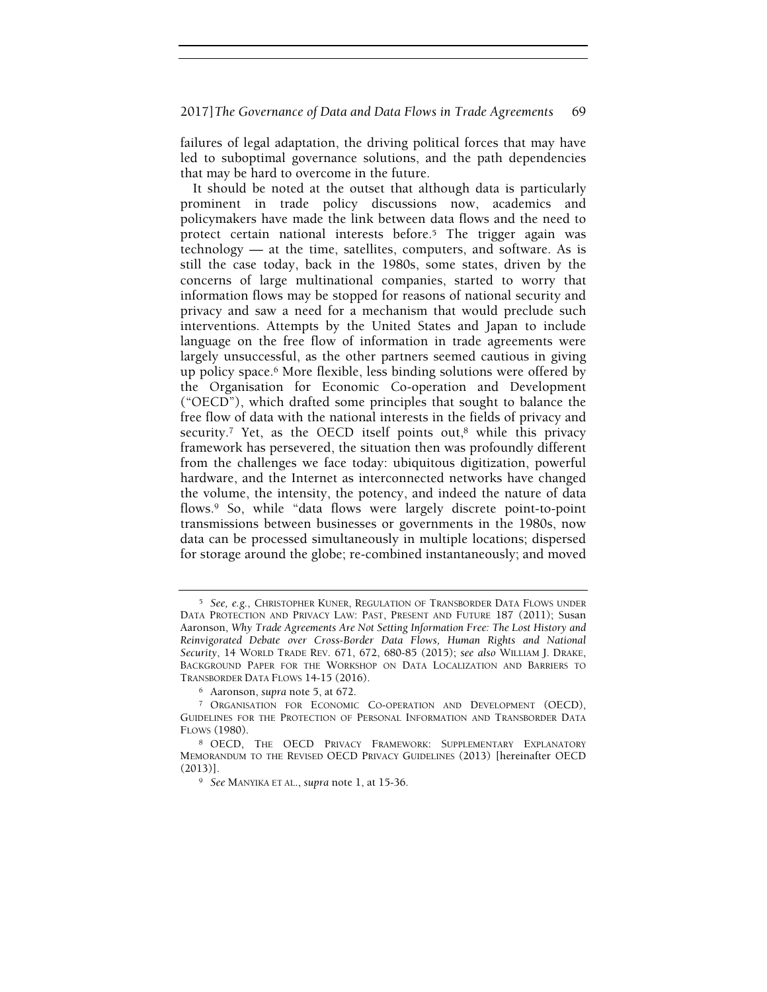failures of legal adaptation, the driving political forces that may have led to suboptimal governance solutions, and the path dependencies that may be hard to overcome in the future.

It should be noted at the outset that although data is particularly prominent in trade policy discussions now, academics and policymakers have made the link between data flows and the need to protect certain national interests before.5 The trigger again was technology — at the time, satellites, computers, and software. As is still the case today, back in the 1980s, some states, driven by the concerns of large multinational companies, started to worry that information flows may be stopped for reasons of national security and privacy and saw a need for a mechanism that would preclude such interventions. Attempts by the United States and Japan to include language on the free flow of information in trade agreements were largely unsuccessful, as the other partners seemed cautious in giving up policy space.6 More flexible, less binding solutions were offered by the Organisation for Economic Co-operation and Development ("OECD"), which drafted some principles that sought to balance the free flow of data with the national interests in the fields of privacy and security.<sup>7</sup> Yet, as the OECD itself points out,<sup>8</sup> while this privacy framework has persevered, the situation then was profoundly different from the challenges we face today: ubiquitous digitization, powerful hardware, and the Internet as interconnected networks have changed the volume, the intensity, the potency, and indeed the nature of data flows.9 So, while "data flows were largely discrete point-to-point transmissions between businesses or governments in the 1980s, now data can be processed simultaneously in multiple locations; dispersed for storage around the globe; re-combined instantaneously; and moved

<sup>5</sup> See, e.g., CHRISTOPHER KUNER, REGULATION OF TRANSBORDER DATA FLOWS UNDER DATA PROTECTION AND PRIVACY LAW: PAST, PRESENT AND FUTURE 187 (2011); Susan Aaronson, Why Trade Agreements Are Not Setting Information Free: The Lost History and Reinvigorated Debate over Cross-Border Data Flows, Human Rights and National Security, 14 WORLD TRADE REV. 671, 672, 680-85 (2015); see also WILLIAM J. DRAKE, BACKGROUND PAPER FOR THE WORKSHOP ON DATA LOCALIZATION AND BARRIERS TO TRANSBORDER DATA FLOWS 14-15 (2016).

<sup>6</sup> Aaronson, supra note 5, at 672.

<sup>7</sup> ORGANISATION FOR ECONOMIC CO-OPERATION AND DEVELOPMENT (OECD), GUIDELINES FOR THE PROTECTION OF PERSONAL INFORMATION AND TRANSBORDER DATA FLOWS (1980).

<sup>8</sup> OECD, THE OECD PRIVACY FRAMEWORK: SUPPLEMENTARY EXPLANATORY MEMORANDUM TO THE REVISED OECD PRIVACY GUIDELINES (2013) [hereinafter OECD (2013)].

<sup>&</sup>lt;sup>9</sup> See MANYIKA ET AL., supra note 1, at 15-36.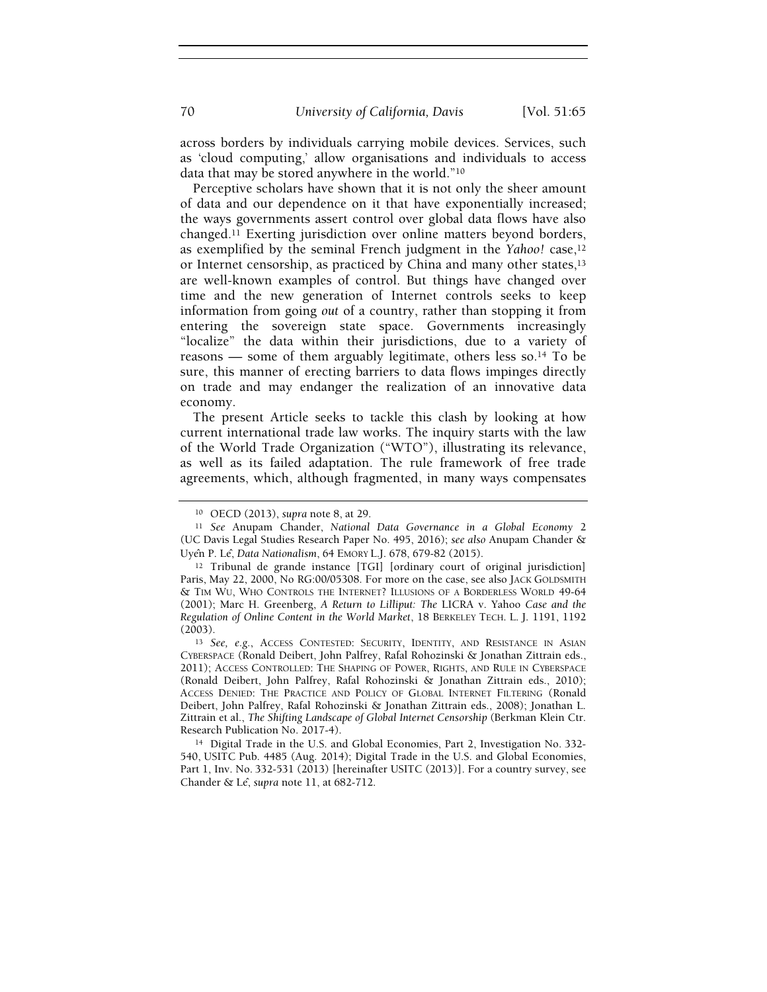across borders by individuals carrying mobile devices. Services, such as 'cloud computing,' allow organisations and individuals to access data that may be stored anywhere in the world."<sup>10</sup>

Perceptive scholars have shown that it is not only the sheer amount of data and our dependence on it that have exponentially increased; the ways governments assert control over global data flows have also changed.11 Exerting jurisdiction over online matters beyond borders, as exemplified by the seminal French judgment in the Yahoo! case,<sup>12</sup> or Internet censorship, as practiced by China and many other states,<sup>13</sup> are well-known examples of control. But things have changed over time and the new generation of Internet controls seeks to keep information from going out of a country, rather than stopping it from entering the sovereign state space. Governments increasingly "localize" the data within their jurisdictions, due to a variety of reasons — some of them arguably legitimate, others less so.14 To be sure, this manner of erecting barriers to data flows impinges directly on trade and may endanger the realization of an innovative data economy.

The present Article seeks to tackle this clash by looking at how current international trade law works. The inquiry starts with the law of the World Trade Organization ("WTO"), illustrating its relevance, as well as its failed adaptation. The rule framework of free trade agreements, which, although fragmented, in many ways compensates

<sup>14</sup> Digital Trade in the U.S. and Global Economies, Part 2, Investigation No. 332- 540, USITC Pub. 4485 (Aug. 2014); Digital Trade in the U.S. and Global Economies, Part 1, Inv. No. 332-531 (2013) [hereinafter USITC (2013)]. For a country survey, see Chander & Le<sup>2</sup>, supra note 11, at 682-712.

<sup>10</sup> OECD (2013), supra note 8, at 29.

<sup>11</sup> See Anupam Chander, National Data Governance in a Global Economy 2 (UC Davis Legal Studies Research Paper No. 495, 2016); see also Anupam Chander & Uyên P. Lê, Data Nationalism, 64 EMORY L.J. 678, 679-82 (2015).

<sup>12</sup> Tribunal de grande instance [TGI] [ordinary court of original jurisdiction] Paris, May 22, 2000, No RG:00/05308. For more on the case, see also JACK GOLDSMITH & TIM WU, WHO CONTROLS THE INTERNET? ILLUSIONS OF A BORDERLESS WORLD 49-64 (2001); Marc H. Greenberg, A Return to Lilliput: The LICRA v. Yahoo Case and the Regulation of Online Content in the World Market, 18 BERKELEY TECH. L. J. 1191, 1192 (2003).

<sup>13</sup> See, e.g., ACCESS CONTESTED: SECURITY, IDENTITY, AND RESISTANCE IN ASIAN CYBERSPACE (Ronald Deibert, John Palfrey, Rafal Rohozinski & Jonathan Zittrain eds., 2011); ACCESS CONTROLLED: THE SHAPING OF POWER, RIGHTS, AND RULE IN CYBERSPACE (Ronald Deibert, John Palfrey, Rafal Rohozinski & Jonathan Zittrain eds., 2010); ACCESS DENIED: THE PRACTICE AND POLICY OF GLOBAL INTERNET FILTERING (Ronald Deibert, John Palfrey, Rafal Rohozinski & Jonathan Zittrain eds., 2008); Jonathan L. Zittrain et al., The Shifting Landscape of Global Internet Censorship (Berkman Klein Ctr. Research Publication No. 2017-4).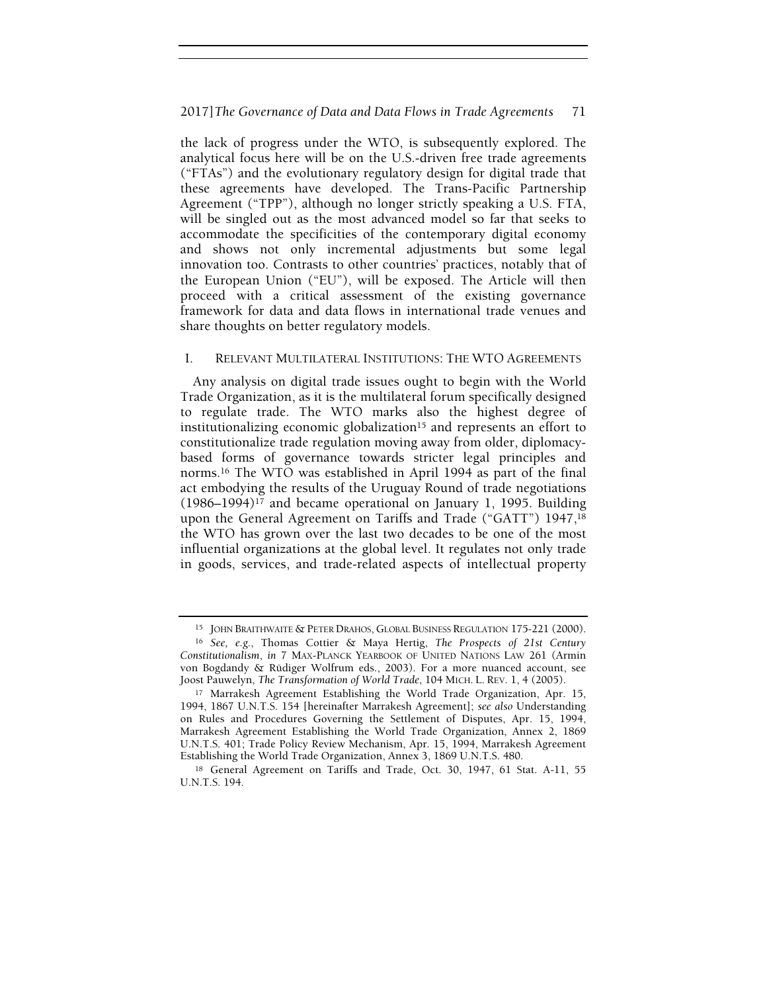the lack of progress under the WTO, is subsequently explored. The analytical focus here will be on the U.S.-driven free trade agreements ("FTAs") and the evolutionary regulatory design for digital trade that these agreements have developed. The Trans-Pacific Partnership Agreement ("TPP"), although no longer strictly speaking a U.S. FTA, will be singled out as the most advanced model so far that seeks to accommodate the specificities of the contemporary digital economy and shows not only incremental adjustments but some legal innovation too. Contrasts to other countries' practices, notably that of the European Union ("EU"), will be exposed. The Article will then proceed with a critical assessment of the existing governance framework for data and data flows in international trade venues and share thoughts on better regulatory models.

# I. RELEVANT MULTILATERAL INSTITUTIONS: THE WTO AGREEMENTS

Any analysis on digital trade issues ought to begin with the World Trade Organization, as it is the multilateral forum specifically designed to regulate trade. The WTO marks also the highest degree of institutionalizing economic globalization<sup>15</sup> and represents an effort to constitutionalize trade regulation moving away from older, diplomacybased forms of governance towards stricter legal principles and norms.16 The WTO was established in April 1994 as part of the final act embodying the results of the Uruguay Round of trade negotiations  $(1986–1994)^{17}$  and became operational on January 1, 1995. Building upon the General Agreement on Tariffs and Trade ("GATT") 1947,<sup>18</sup> the WTO has grown over the last two decades to be one of the most influential organizations at the global level. It regulates not only trade in goods, services, and trade-related aspects of intellectual property

<sup>15</sup> JOHN BRAITHWAITE & PETER DRAHOS, GLOBAL BUSINESS REGULATION 175-221 (2000).

<sup>16</sup> See, e.g., Thomas Cottier & Maya Hertig, The Prospects of 21st Century Constitutionalism, in 7 MAX-PLANCK YEARBOOK OF UNITED NATIONS LAW 261 (Armin von Bogdandy & Rüdiger Wolfrum eds., 2003). For a more nuanced account, see Joost Pauwelyn, The Transformation of World Trade, 104 MICH. L. REV. 1, 4 (2005).

<sup>17</sup> Marrakesh Agreement Establishing the World Trade Organization, Apr. 15, 1994, 1867 U.N.T.S. 154 [hereinafter Marrakesh Agreement]; see also Understanding on Rules and Procedures Governing the Settlement of Disputes, Apr. 15, 1994, Marrakesh Agreement Establishing the World Trade Organization, Annex 2, 1869 U.N.T.S. 401; Trade Policy Review Mechanism, Apr. 15, 1994, Marrakesh Agreement Establishing the World Trade Organization, Annex 3, 1869 U.N.T.S. 480.

<sup>18</sup> General Agreement on Tariffs and Trade, Oct. 30, 1947, 61 Stat. A-11, 55 U.N.T.S. 194.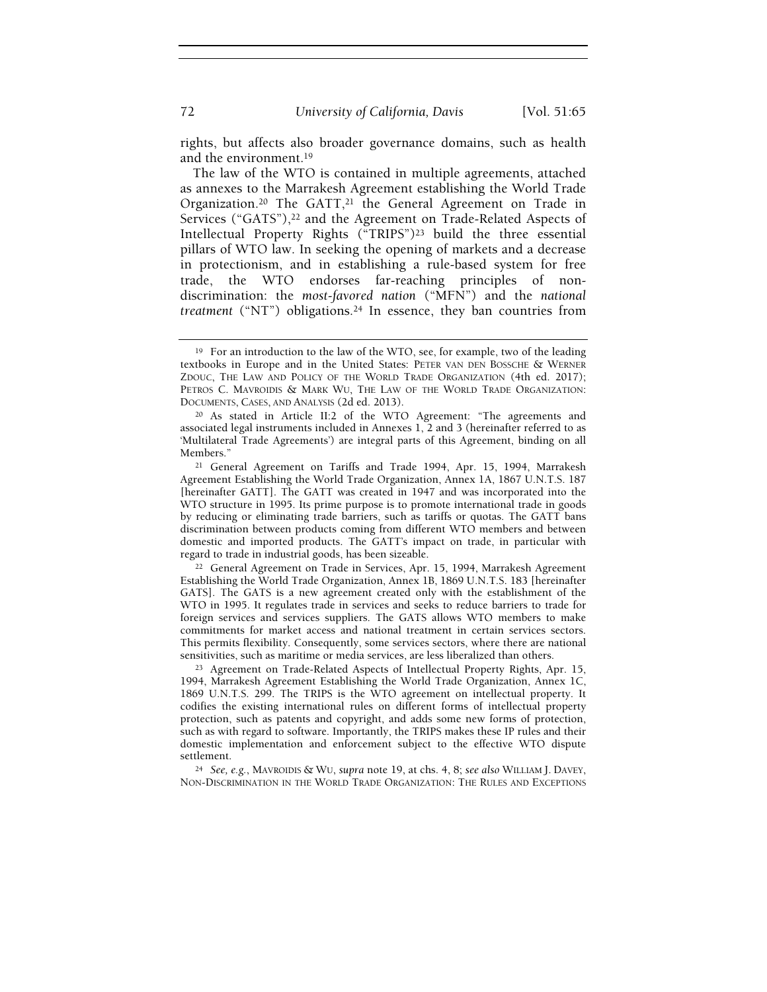rights, but affects also broader governance domains, such as health and the environment.<sup>19</sup>

The law of the WTO is contained in multiple agreements, attached as annexes to the Marrakesh Agreement establishing the World Trade Organization.<sup>20</sup> The GATT,<sup>21</sup> the General Agreement on Trade in Services ("GATS"),<sup>22</sup> and the Agreement on Trade-Related Aspects of Intellectual Property Rights ("TRIPS")23 build the three essential pillars of WTO law. In seeking the opening of markets and a decrease in protectionism, and in establishing a rule-based system for free trade, the WTO endorses far-reaching principles of nondiscrimination: the most-favored nation ("MFN") and the national treatment ("NT") obligations.24 In essence, they ban countries from

<sup>22</sup> General Agreement on Trade in Services, Apr. 15, 1994, Marrakesh Agreement Establishing the World Trade Organization, Annex 1B, 1869 U.N.T.S. 183 [hereinafter GATS]. The GATS is a new agreement created only with the establishment of the WTO in 1995. It regulates trade in services and seeks to reduce barriers to trade for foreign services and services suppliers. The GATS allows WTO members to make commitments for market access and national treatment in certain services sectors. This permits flexibility. Consequently, some services sectors, where there are national sensitivities, such as maritime or media services, are less liberalized than others.

<sup>23</sup> Agreement on Trade-Related Aspects of Intellectual Property Rights, Apr. 15, 1994, Marrakesh Agreement Establishing the World Trade Organization, Annex 1C, 1869 U.N.T.S. 299. The TRIPS is the WTO agreement on intellectual property. It codifies the existing international rules on different forms of intellectual property protection, such as patents and copyright, and adds some new forms of protection, such as with regard to software. Importantly, the TRIPS makes these IP rules and their domestic implementation and enforcement subject to the effective WTO dispute settlement.

<sup>24</sup> See, e.g., MAVROIDIS & WU, supra note 19, at chs. 4, 8; see also WILLIAM J. DAVEY, NON-DISCRIMINATION IN THE WORLD TRADE ORGANIZATION: THE RULES AND EXCEPTIONS

<sup>&</sup>lt;sup>19</sup> For an introduction to the law of the WTO, see, for example, two of the leading textbooks in Europe and in the United States: PETER VAN DEN BOSSCHE & WERNER ZDOUC, THE LAW AND POLICY OF THE WORLD TRADE ORGANIZATION (4th ed. 2017); PETROS C. MAVROIDIS & MARK WU, THE LAW OF THE WORLD TRADE ORGANIZATION: DOCUMENTS, CASES, AND ANALYSIS (2d ed. 2013).

<sup>20</sup> As stated in Article II:2 of the WTO Agreement: "The agreements and associated legal instruments included in Annexes 1, 2 and 3 (hereinafter referred to as 'Multilateral Trade Agreements') are integral parts of this Agreement, binding on all Members."

<sup>21</sup> General Agreement on Tariffs and Trade 1994, Apr. 15, 1994, Marrakesh Agreement Establishing the World Trade Organization, Annex 1A, 1867 U.N.T.S. 187 [hereinafter GATT]. The GATT was created in 1947 and was incorporated into the WTO structure in 1995. Its prime purpose is to promote international trade in goods by reducing or eliminating trade barriers, such as tariffs or quotas. The GATT bans discrimination between products coming from different WTO members and between domestic and imported products. The GATT's impact on trade, in particular with regard to trade in industrial goods, has been sizeable.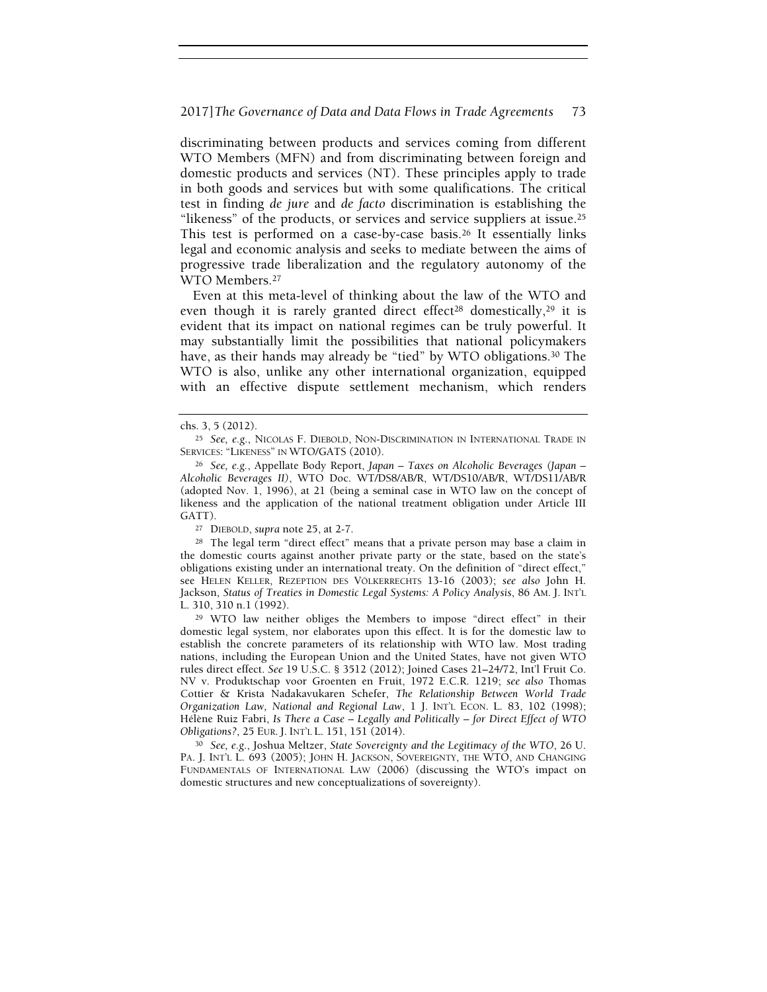discriminating between products and services coming from different WTO Members (MFN) and from discriminating between foreign and domestic products and services (NT). These principles apply to trade in both goods and services but with some qualifications. The critical test in finding de jure and de facto discrimination is establishing the "likeness" of the products, or services and service suppliers at issue.<sup>25</sup> This test is performed on a case-by-case basis.<sup>26</sup> It essentially links legal and economic analysis and seeks to mediate between the aims of progressive trade liberalization and the regulatory autonomy of the WTO Members.<sup>27</sup>

Even at this meta-level of thinking about the law of the WTO and even though it is rarely granted direct effect<sup>28</sup> domestically,<sup>29</sup> it is evident that its impact on national regimes can be truly powerful. It may substantially limit the possibilities that national policymakers have, as their hands may already be "tied" by WTO obligations.<sup>30</sup> The WTO is also, unlike any other international organization, equipped with an effective dispute settlement mechanism, which renders

<sup>27</sup> DIEBOLD, supra note 25, at 2-7.

<sup>28</sup> The legal term "direct effect" means that a private person may base a claim in the domestic courts against another private party or the state, based on the state's obligations existing under an international treaty. On the definition of "direct effect," see HELEN KELLER, REZEPTION DES VÖLKERRECHTS 13-16 (2003); see also John H. Jackson, Status of Treaties in Domestic Legal Systems: A Policy Analysis, 86 AM. J. INT'L L. 310, 310 n.1 (1992).

<sup>29</sup> WTO law neither obliges the Members to impose "direct effect" in their domestic legal system, nor elaborates upon this effect. It is for the domestic law to establish the concrete parameters of its relationship with WTO law. Most trading nations, including the European Union and the United States, have not given WTO rules direct effect. See 19 U.S.C. § 3512 (2012); Joined Cases 21–24/72, Int'l Fruit Co. NV v. Produktschap voor Groenten en Fruit, 1972 E.C.R. 1219; see also Thomas Cottier & Krista Nadakavukaren Schefer, The Relationship Between World Trade Organization Law, National and Regional Law, 1 J. INT'L ECON. L. 83, 102 (1998); Hélène Ruiz Fabri, Is There a Case – Legally and Politically – for Direct Effect of WTO Obligations?, 25 EUR. J. INT'L L. 151, 151 (2014).

<sup>30</sup> See, e.g., Joshua Meltzer, State Sovereignty and the Legitimacy of the WTO, 26 U. PA. J. INT'L L. 693 (2005); JOHN H. JACKSON, SOVEREIGNTY, THE WTO, AND CHANGING FUNDAMENTALS OF INTERNATIONAL LAW (2006) (discussing the WTO's impact on domestic structures and new conceptualizations of sovereignty).

chs. 3, 5 (2012).

<sup>25</sup> See, e.g., NICOLAS F. DIEBOLD, NON-DISCRIMINATION IN INTERNATIONAL TRADE IN SERVICES: "LIKENESS" IN WTO/GATS (2010).

<sup>26</sup> See, e.g., Appellate Body Report, Japan – Taxes on Alcoholic Beverages (Japan – Alcoholic Beverages II), WTO Doc. WT/DS8/AB/R, WT/DS10/AB/R, WT/DS11/AB/R (adopted Nov. 1, 1996), at 21 (being a seminal case in WTO law on the concept of likeness and the application of the national treatment obligation under Article III GATT).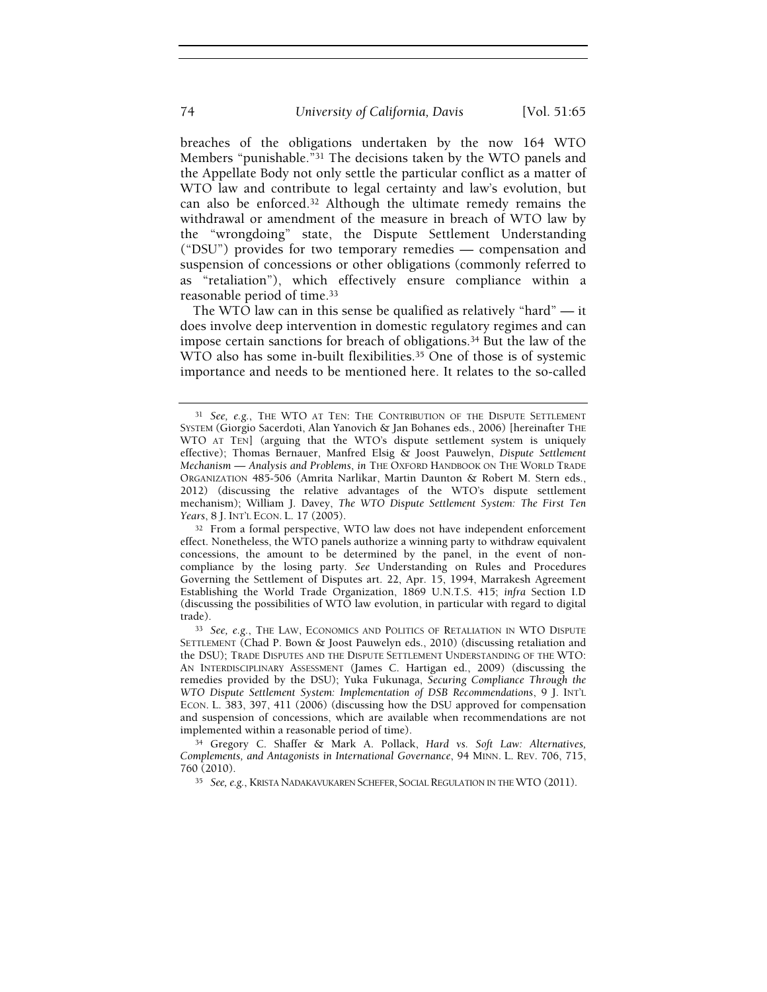breaches of the obligations undertaken by the now 164 WTO Members "punishable."31 The decisions taken by the WTO panels and the Appellate Body not only settle the particular conflict as a matter of WTO law and contribute to legal certainty and law's evolution, but can also be enforced.32 Although the ultimate remedy remains the withdrawal or amendment of the measure in breach of WTO law by the "wrongdoing" state, the Dispute Settlement Understanding ("DSU") provides for two temporary remedies — compensation and suspension of concessions or other obligations (commonly referred to as "retaliation"), which effectively ensure compliance within a reasonable period of time.<sup>33</sup>

The WTO law can in this sense be qualified as relatively "hard" — it does involve deep intervention in domestic regulatory regimes and can impose certain sanctions for breach of obligations.34 But the law of the WTO also has some in-built flexibilities.<sup>35</sup> One of those is of systemic importance and needs to be mentioned here. It relates to the so-called

<sup>32</sup> From a formal perspective, WTO law does not have independent enforcement effect. Nonetheless, the WTO panels authorize a winning party to withdraw equivalent concessions, the amount to be determined by the panel, in the event of noncompliance by the losing party. See Understanding on Rules and Procedures Governing the Settlement of Disputes art. 22, Apr. 15, 1994, Marrakesh Agreement Establishing the World Trade Organization, 1869 U.N.T.S. 415; infra Section I.D (discussing the possibilities of WTO law evolution, in particular with regard to digital trade).

<sup>&</sup>lt;sup>31</sup> See, e.g., THE WTO AT TEN: THE CONTRIBUTION OF THE DISPUTE SETTLEMENT SYSTEM (Giorgio Sacerdoti, Alan Yanovich & Jan Bohanes eds., 2006) [hereinafter THE WTO AT TEN] (arguing that the WTO's dispute settlement system is uniquely effective); Thomas Bernauer, Manfred Elsig & Joost Pauwelyn, Dispute Settlement Mechanism — Analysis and Problems, in THE OXFORD HANDBOOK ON THE WORLD TRADE ORGANIZATION 485-506 (Amrita Narlikar, Martin Daunton & Robert M. Stern eds., 2012) (discussing the relative advantages of the WTO's dispute settlement mechanism); William J. Davey, The WTO Dispute Settlement System: The First Ten Years, 8 J. INT'L ECON. L. 17 (2005).

<sup>33</sup> See, e.g., THE LAW, ECONOMICS AND POLITICS OF RETALIATION IN WTO DISPUTE SETTLEMENT (Chad P. Bown & Joost Pauwelyn eds., 2010) (discussing retaliation and the DSU); TRADE DISPUTES AND THE DISPUTE SETTLEMENT UNDERSTANDING OF THE WTO: AN INTERDISCIPLINARY ASSESSMENT (James C. Hartigan ed., 2009) (discussing the remedies provided by the DSU); Yuka Fukunaga, Securing Compliance Through the WTO Dispute Settlement System: Implementation of DSB Recommendations, 9 J. INT'L ECON. L. 383, 397, 411 (2006) (discussing how the DSU approved for compensation and suspension of concessions, which are available when recommendations are not implemented within a reasonable period of time).

<sup>34</sup> Gregory C. Shaffer & Mark A. Pollack, Hard vs. Soft Law: Alternatives, Complements, and Antagonists in International Governance, 94 MINN. L. REV. 706, 715, 760 (2010).

<sup>35</sup> See, e.g., KRISTA NADAKAVUKAREN SCHEFER, SOCIAL REGULATION IN THE WTO (2011).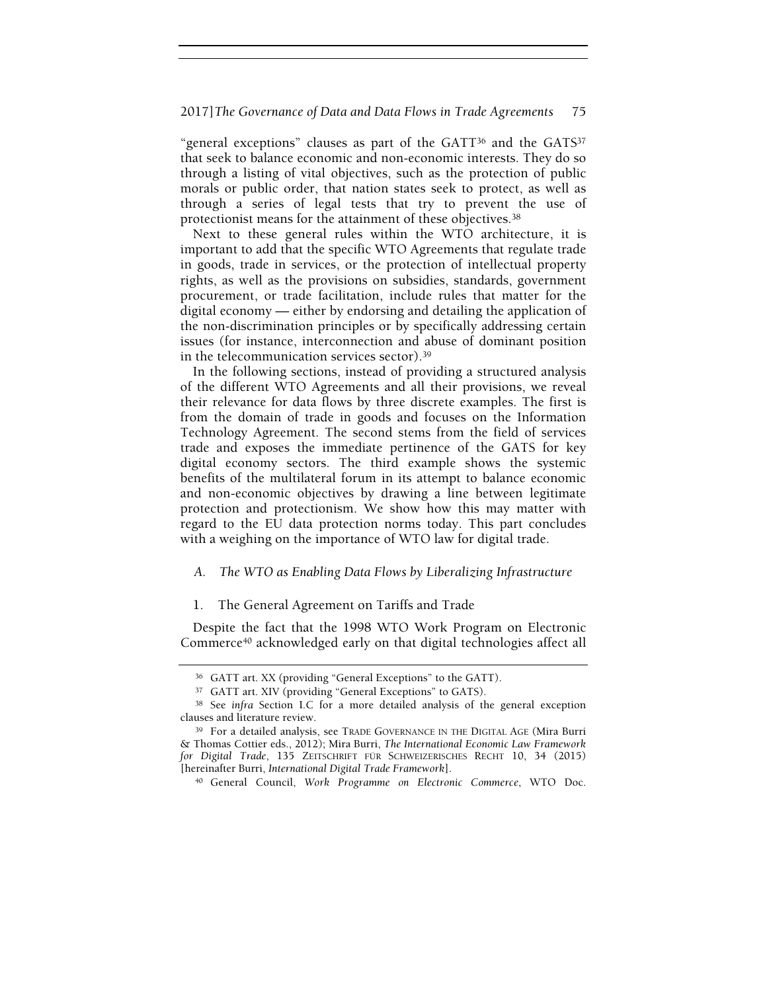"general exceptions" clauses as part of the GATT36 and the GATS<sup>37</sup> that seek to balance economic and non-economic interests. They do so through a listing of vital objectives, such as the protection of public morals or public order, that nation states seek to protect, as well as through a series of legal tests that try to prevent the use of protectionist means for the attainment of these objectives.<sup>38</sup>

Next to these general rules within the WTO architecture, it is important to add that the specific WTO Agreements that regulate trade in goods, trade in services, or the protection of intellectual property rights, as well as the provisions on subsidies, standards, government procurement, or trade facilitation, include rules that matter for the digital economy — either by endorsing and detailing the application of the non-discrimination principles or by specifically addressing certain issues (for instance, interconnection and abuse of dominant position in the telecommunication services sector).<sup>39</sup>

In the following sections, instead of providing a structured analysis of the different WTO Agreements and all their provisions, we reveal their relevance for data flows by three discrete examples. The first is from the domain of trade in goods and focuses on the Information Technology Agreement. The second stems from the field of services trade and exposes the immediate pertinence of the GATS for key digital economy sectors. The third example shows the systemic benefits of the multilateral forum in its attempt to balance economic and non-economic objectives by drawing a line between legitimate protection and protectionism. We show how this may matter with regard to the EU data protection norms today. This part concludes with a weighing on the importance of WTO law for digital trade.

# A. The WTO as Enabling Data Flows by Liberalizing Infrastructure

#### 1. The General Agreement on Tariffs and Trade

Despite the fact that the 1998 WTO Work Program on Electronic Commerce40 acknowledged early on that digital technologies affect all

<sup>36</sup> GATT art. XX (providing "General Exceptions" to the GATT).

<sup>37</sup> GATT art. XIV (providing "General Exceptions" to GATS).

<sup>38</sup> See infra Section I.C for a more detailed analysis of the general exception clauses and literature review.

<sup>39</sup> For a detailed analysis, see TRADE GOVERNANCE IN THE DIGITAL AGE (Mira Burri & Thomas Cottier eds., 2012); Mira Burri, The International Economic Law Framework for Digital Trade, 135 ZEITSCHRIFT FÜR SCHWEIZERISCHES RECHT 10, 34 (2015) [hereinafter Burri, International Digital Trade Framework].

<sup>40</sup> General Council, Work Programme on Electronic Commerce, WTO Doc.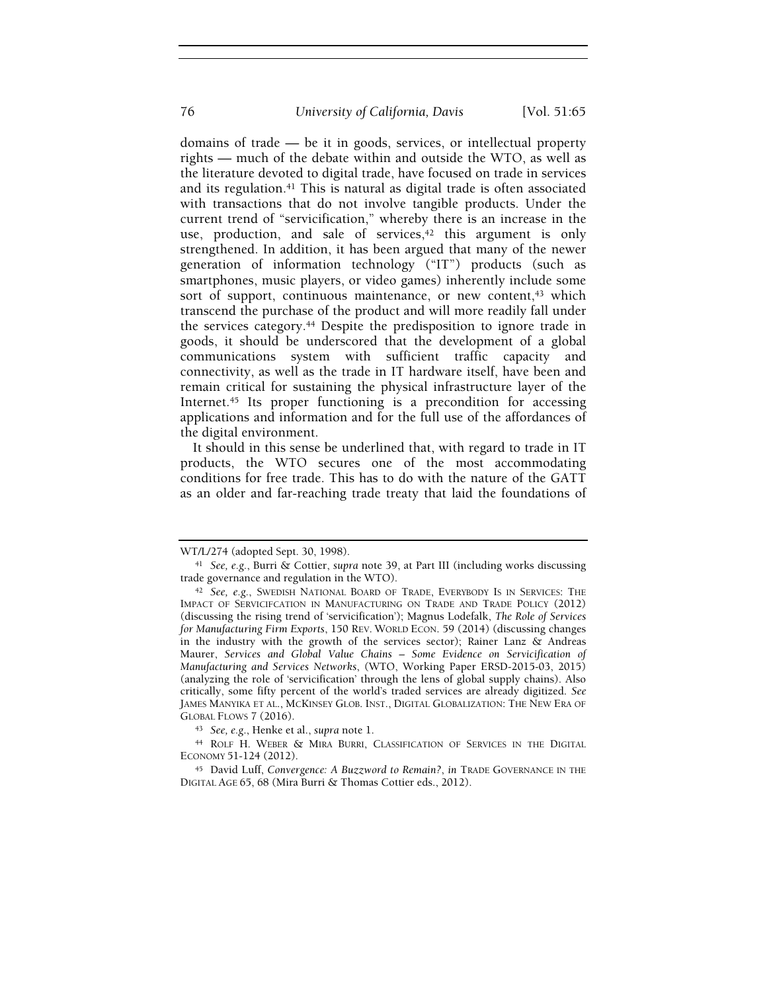domains of trade — be it in goods, services, or intellectual property rights — much of the debate within and outside the WTO, as well as the literature devoted to digital trade, have focused on trade in services and its regulation.<sup>41</sup> This is natural as digital trade is often associated with transactions that do not involve tangible products. Under the current trend of "servicification," whereby there is an increase in the use, production, and sale of services, $42$  this argument is only strengthened. In addition, it has been argued that many of the newer generation of information technology ("IT") products (such as smartphones, music players, or video games) inherently include some sort of support, continuous maintenance, or new content,<sup>43</sup> which transcend the purchase of the product and will more readily fall under the services category.<sup>44</sup> Despite the predisposition to ignore trade in goods, it should be underscored that the development of a global communications system with sufficient traffic capacity and connectivity, as well as the trade in IT hardware itself, have been and remain critical for sustaining the physical infrastructure layer of the Internet.<sup>45</sup> Its proper functioning is a precondition for accessing applications and information and for the full use of the affordances of the digital environment.

It should in this sense be underlined that, with regard to trade in IT products, the WTO secures one of the most accommodating conditions for free trade. This has to do with the nature of the GATT as an older and far-reaching trade treaty that laid the foundations of

<sup>43</sup> See, e.g., Henke et al., supra note 1.

<sup>44</sup> ROLF H. WEBER & MIRA BURRI, CLASSIFICATION OF SERVICES IN THE DIGITAL ECONOMY 51-124 (2012).

<sup>45</sup> David Luff, Convergence: A Buzzword to Remain?, in TRADE GOVERNANCE IN THE DIGITAL AGE 65, 68 (Mira Burri & Thomas Cottier eds., 2012).

WT/L/274 (adopted Sept. 30, 1998).

<sup>41</sup> See, e.g., Burri & Cottier, supra note 39, at Part III (including works discussing trade governance and regulation in the WTO).

<sup>42</sup> See, e.g., SWEDISH NATIONAL BOARD OF TRADE, EVERYBODY IS IN SERVICES: THE IMPACT OF SERVICIFCATION IN MANUFACTURING ON TRADE AND TRADE POLICY (2012) (discussing the rising trend of 'servicification'); Magnus Lodefalk, The Role of Services for Manufacturing Firm Exports, 150 REV. WORLD ECON. 59 (2014) (discussing changes in the industry with the growth of the services sector); Rainer Lanz & Andreas Maurer, Services and Global Value Chains – Some Evidence on Servicification of Manufacturing and Services Networks, (WTO, Working Paper ERSD-2015-03, 2015) (analyzing the role of 'servicification' through the lens of global supply chains). Also critically, some fifty percent of the world's traded services are already digitized. See JAMES MANYIKA ET AL., MCKINSEY GLOB. INST., DIGITAL GLOBALIZATION: THE NEW ERA OF GLOBAL FLOWS 7 (2016).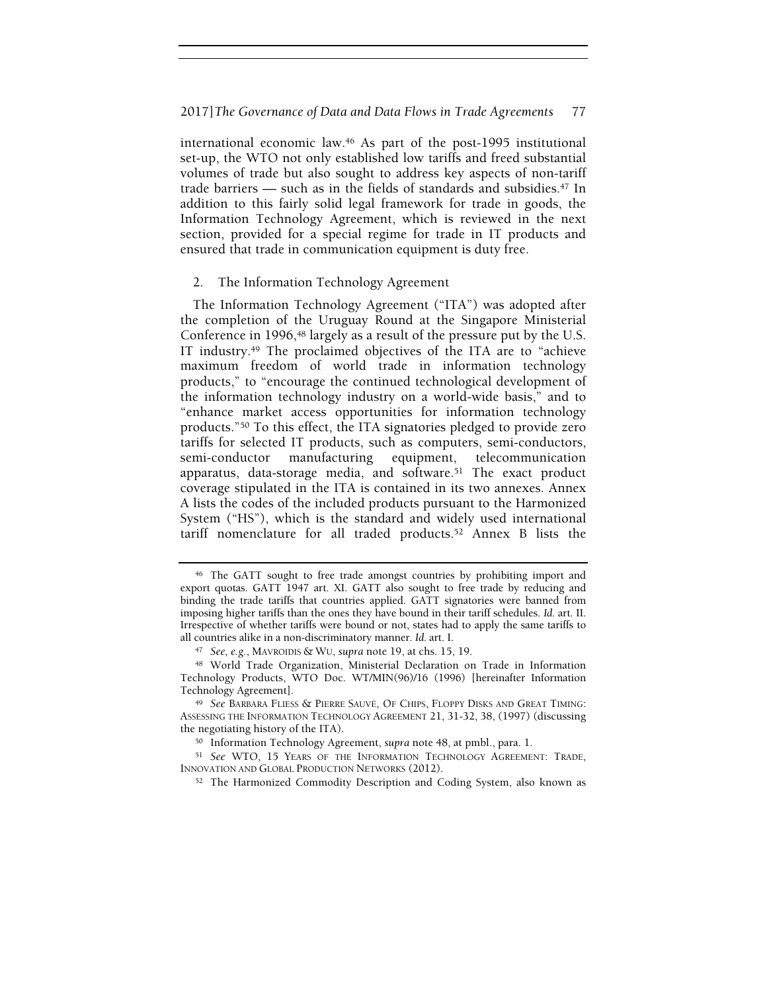international economic law.46 As part of the post-1995 institutional set-up, the WTO not only established low tariffs and freed substantial volumes of trade but also sought to address key aspects of non-tariff trade barriers — such as in the fields of standards and subsidies. $47 \text{ In}$ addition to this fairly solid legal framework for trade in goods, the Information Technology Agreement, which is reviewed in the next section, provided for a special regime for trade in IT products and ensured that trade in communication equipment is duty free.

# 2. The Information Technology Agreement

The Information Technology Agreement ("ITA") was adopted after the completion of the Uruguay Round at the Singapore Ministerial Conference in 1996,<sup>48</sup> largely as a result of the pressure put by the U.S. IT industry.49 The proclaimed objectives of the ITA are to "achieve maximum freedom of world trade in information technology products," to "encourage the continued technological development of the information technology industry on a world-wide basis," and to "enhance market access opportunities for information technology products."50 To this effect, the ITA signatories pledged to provide zero tariffs for selected IT products, such as computers, semi-conductors, semi-conductor manufacturing equipment, telecommunication apparatus, data-storage media, and software.51 The exact product coverage stipulated in the ITA is contained in its two annexes. Annex A lists the codes of the included products pursuant to the Harmonized System ("HS"), which is the standard and widely used international tariff nomenclature for all traded products.52 Annex B lists the

<sup>46</sup> The GATT sought to free trade amongst countries by prohibiting import and export quotas. GATT 1947 art. XI. GATT also sought to free trade by reducing and binding the trade tariffs that countries applied. GATT signatories were banned from imposing higher tariffs than the ones they have bound in their tariff schedules. Id. art. II. Irrespective of whether tariffs were bound or not, states had to apply the same tariffs to all countries alike in a non-discriminatory manner. Id. art. I.

<sup>47</sup> See, e.g., MAVROIDIS & WU, supra note 19, at chs. 15, 19.

<sup>48</sup> World Trade Organization, Ministerial Declaration on Trade in Information Technology Products, WTO Doc. WT/MIN(96)/16 (1996) [hereinafter Information Technology Agreement].

<sup>49</sup> See BARBARA FLIESS & PIERRE SAUVÉ, OF CHIPS, FLOPPY DISKS AND GREAT TIMING: ASSESSING THE INFORMATION TECHNOLOGY AGREEMENT 21, 31-32, 38, (1997) (discussing the negotiating history of the ITA).

<sup>50</sup> Information Technology Agreement, supra note 48, at pmbl., para. 1.

<sup>51</sup> See WTO, 15 YEARS OF THE INFORMATION TECHNOLOGY AGREEMENT: TRADE, INNOVATION AND GLOBAL PRODUCTION NETWORKS (2012).

<sup>52</sup> The Harmonized Commodity Description and Coding System, also known as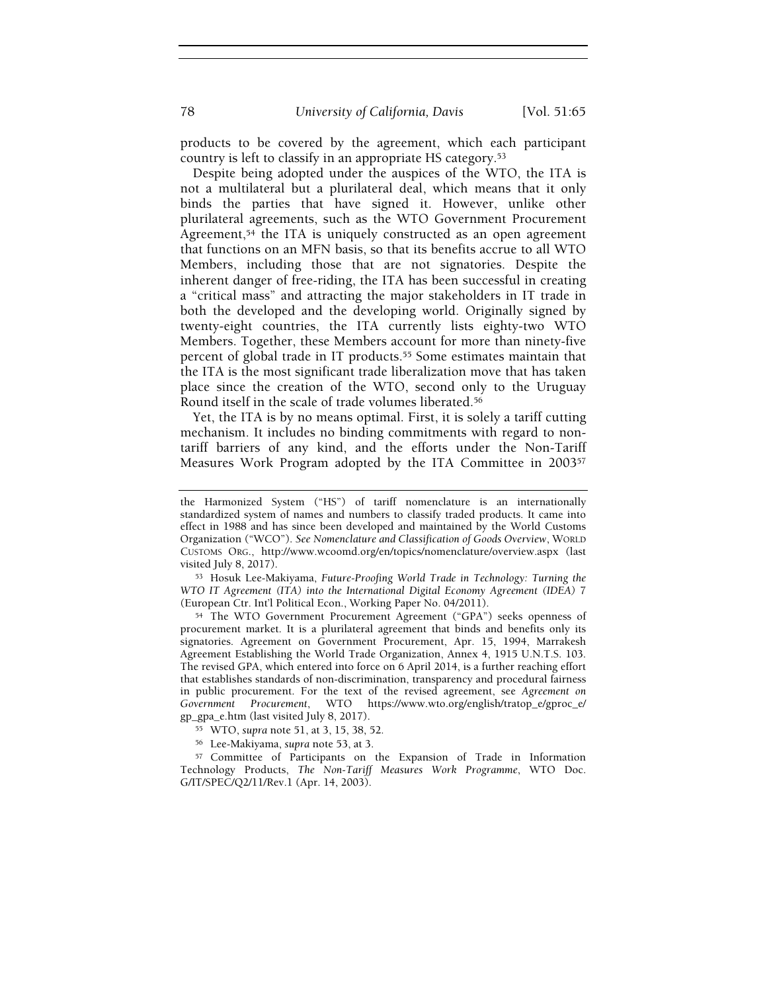products to be covered by the agreement, which each participant country is left to classify in an appropriate HS category.<sup>53</sup>

Despite being adopted under the auspices of the WTO, the ITA is not a multilateral but a plurilateral deal, which means that it only binds the parties that have signed it. However, unlike other plurilateral agreements, such as the WTO Government Procurement Agreement,<sup>54</sup> the ITA is uniquely constructed as an open agreement that functions on an MFN basis, so that its benefits accrue to all WTO Members, including those that are not signatories. Despite the inherent danger of free-riding, the ITA has been successful in creating a "critical mass" and attracting the major stakeholders in IT trade in both the developed and the developing world. Originally signed by twenty-eight countries, the ITA currently lists eighty-two WTO Members. Together, these Members account for more than ninety-five percent of global trade in IT products.<sup>55</sup> Some estimates maintain that the ITA is the most significant trade liberalization move that has taken place since the creation of the WTO, second only to the Uruguay Round itself in the scale of trade volumes liberated.<sup>56</sup>

Yet, the ITA is by no means optimal. First, it is solely a tariff cutting mechanism. It includes no binding commitments with regard to nontariff barriers of any kind, and the efforts under the Non-Tariff Measures Work Program adopted by the ITA Committee in 2003<sup>57</sup>

<sup>53</sup> Hosuk Lee-Makiyama, Future-Proofing World Trade in Technology: Turning the WTO IT Agreement (ITA) into the International Digital Economy Agreement (IDEA) 7 (European Ctr. Int'l Political Econ., Working Paper No. 04/2011).

<sup>54</sup> The WTO Government Procurement Agreement ("GPA") seeks openness of procurement market. It is a plurilateral agreement that binds and benefits only its signatories. Agreement on Government Procurement, Apr. 15, 1994, Marrakesh Agreement Establishing the World Trade Organization, Annex 4, 1915 U.N.T.S. 103. The revised GPA, which entered into force on 6 April 2014, is a further reaching effort that establishes standards of non-discrimination, transparency and procedural fairness in public procurement. For the text of the revised agreement, see Agreement on Government Procurement, WTO https://www.wto.org/english/tratop\_e/gproc\_e/ gp\_gpa\_e.htm (last visited July 8, 2017).

<sup>55</sup> WTO, supra note 51, at 3, 15, 38, 52.

<sup>56</sup> Lee-Makiyama, supra note 53, at 3.

<sup>57</sup> Committee of Participants on the Expansion of Trade in Information Technology Products, The Non-Tariff Measures Work Programme, WTO Doc. G/IT/SPEC/Q2/11/Rev.1 (Apr. 14, 2003).

the Harmonized System ("HS") of tariff nomenclature is an internationally standardized system of names and numbers to classify traded products. It came into effect in 1988 and has since been developed and maintained by the World Customs Organization ("WCO"). See Nomenclature and Classification of Goods Overview, WORLD CUSTOMS ORG., http://www.wcoomd.org/en/topics/nomenclature/overview.aspx (last visited July 8, 2017).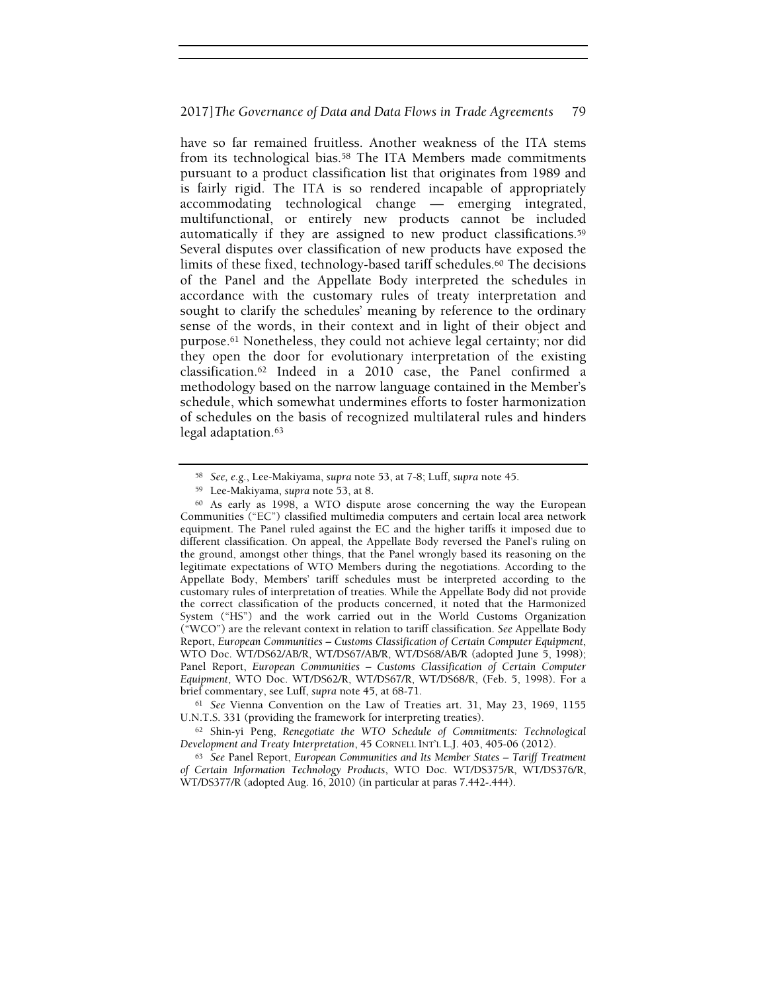have so far remained fruitless. Another weakness of the ITA stems from its technological bias.58 The ITA Members made commitments pursuant to a product classification list that originates from 1989 and is fairly rigid. The ITA is so rendered incapable of appropriately accommodating technological change — emerging integrated, multifunctional, or entirely new products cannot be included automatically if they are assigned to new product classifications.<sup>59</sup> Several disputes over classification of new products have exposed the limits of these fixed, technology-based tariff schedules.<sup>60</sup> The decisions of the Panel and the Appellate Body interpreted the schedules in accordance with the customary rules of treaty interpretation and sought to clarify the schedules' meaning by reference to the ordinary sense of the words, in their context and in light of their object and purpose.61 Nonetheless, they could not achieve legal certainty; nor did they open the door for evolutionary interpretation of the existing classification.62 Indeed in a 2010 case, the Panel confirmed a methodology based on the narrow language contained in the Member's schedule, which somewhat undermines efforts to foster harmonization of schedules on the basis of recognized multilateral rules and hinders legal adaptation.<sup>63</sup>

<sup>58</sup> See, e.g., Lee-Makiyama, supra note 53, at 7-8; Luff, supra note 45.

<sup>59</sup> Lee-Makiyama, supra note 53, at 8.

<sup>60</sup> As early as 1998, a WTO dispute arose concerning the way the European Communities ("EC") classified multimedia computers and certain local area network equipment. The Panel ruled against the EC and the higher tariffs it imposed due to different classification. On appeal, the Appellate Body reversed the Panel's ruling on the ground, amongst other things, that the Panel wrongly based its reasoning on the legitimate expectations of WTO Members during the negotiations. According to the Appellate Body, Members' tariff schedules must be interpreted according to the customary rules of interpretation of treaties. While the Appellate Body did not provide the correct classification of the products concerned, it noted that the Harmonized System ("HS") and the work carried out in the World Customs Organization ("WCO") are the relevant context in relation to tariff classification. See Appellate Body Report, European Communities – Customs Classification of Certain Computer Equipment, WTO Doc. WT/DS62/AB/R, WT/DS67/AB/R, WT/DS68/AB/R (adopted June 5, 1998); Panel Report, European Communities – Customs Classification of Certain Computer Equipment, WTO Doc. WT/DS62/R, WT/DS67/R, WT/DS68/R, (Feb. 5, 1998). For a brief commentary, see Luff, supra note 45, at 68-71.

<sup>61</sup> See Vienna Convention on the Law of Treaties art. 31, May 23, 1969, 1155 U.N.T.S. 331 (providing the framework for interpreting treaties).

<sup>62</sup> Shin-yi Peng, Renegotiate the WTO Schedule of Commitments: Technological Development and Treaty Interpretation, 45 CORNELL INT'L L.J. 403, 405-06 (2012).

<sup>63</sup> See Panel Report, European Communities and Its Member States – Tariff Treatment of Certain Information Technology Products, WTO Doc. WT/DS375/R, WT/DS376/R, WT/DS377/R (adopted Aug. 16, 2010) (in particular at paras 7.442-.444).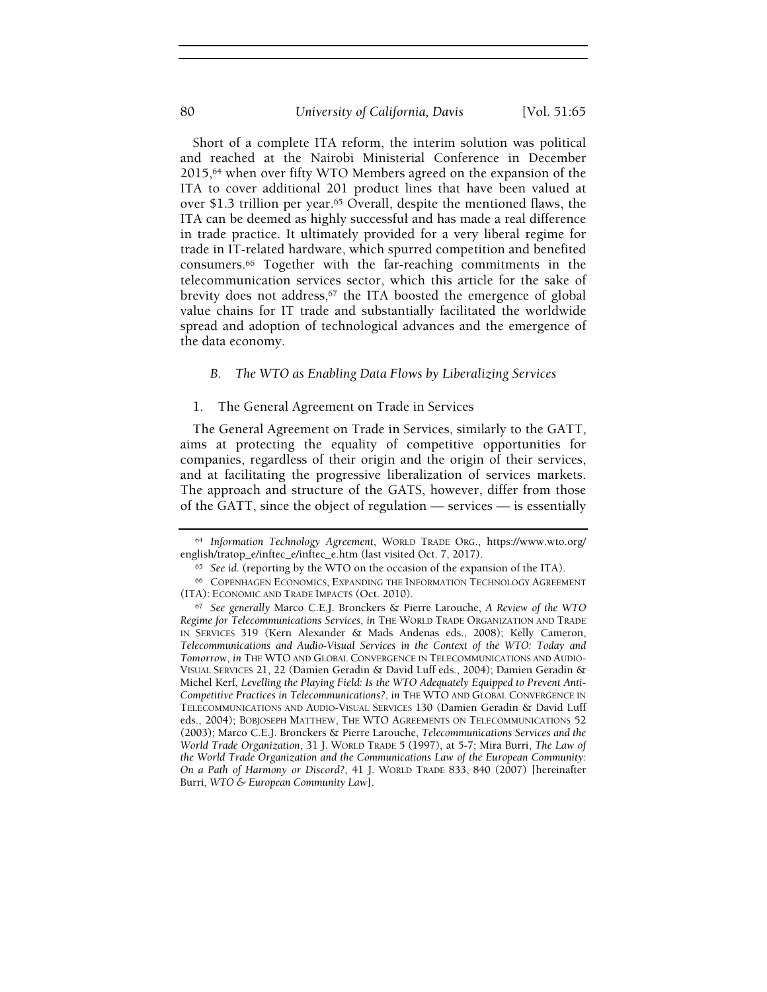# 80 *University of California, Davis* [Vol. 51:65

Short of a complete ITA reform, the interim solution was political and reached at the Nairobi Ministerial Conference in December 2015,64 when over fifty WTO Members agreed on the expansion of the ITA to cover additional 201 product lines that have been valued at over \$1.3 trillion per year.65 Overall, despite the mentioned flaws, the ITA can be deemed as highly successful and has made a real difference in trade practice. It ultimately provided for a very liberal regime for trade in IT-related hardware, which spurred competition and benefited consumers.66 Together with the far-reaching commitments in the telecommunication services sector, which this article for the sake of brevity does not address,<sup>67</sup> the ITA boosted the emergence of global value chains for IT trade and substantially facilitated the worldwide spread and adoption of technological advances and the emergence of the data economy.

### B. The WTO as Enabling Data Flows by Liberalizing Services

### 1. The General Agreement on Trade in Services

The General Agreement on Trade in Services, similarly to the GATT, aims at protecting the equality of competitive opportunities for companies, regardless of their origin and the origin of their services, and at facilitating the progressive liberalization of services markets. The approach and structure of the GATS, however, differ from those of the GATT, since the object of regulation — services — is essentially

<sup>64</sup> Information Technology Agreement, WORLD TRADE ORG., https://www.wto.org/ english/tratop\_e/inftec\_e/inftec\_e.htm (last visited Oct. 7, 2017).

 $65$  See id. (reporting by the WTO on the occasion of the expansion of the ITA).

<sup>66</sup> COPENHAGEN ECONOMICS, EXPANDING THE INFORMATION TECHNOLOGY AGREEMENT (ITA): ECONOMIC AND TRADE IMPACTS (Oct. 2010).

<sup>67</sup> See generally Marco C.E.J. Bronckers & Pierre Larouche, A Review of the WTO Regime for Telecommunications Services, in THE WORLD TRADE ORGANIZATION AND TRADE IN SERVICES 319 (Kern Alexander & Mads Andenas eds., 2008); Kelly Cameron, Telecommunications and Audio-Visual Services in the Context of the WTO: Today and Tomorrow, in THE WTO AND GLOBAL CONVERGENCE IN TELECOMMUNICATIONS AND AUDIO-VISUAL SERVICES 21, 22 (Damien Geradin & David Luff eds., 2004); Damien Geradin & Michel Kerf, Levelling the Playing Field: Is the WTO Adequately Equipped to Prevent Anti-Competitive Practices in Telecommunications?, in THE WTO AND GLOBAL CONVERGENCE IN TELECOMMUNICATIONS AND AUDIO-VISUAL SERVICES 130 (Damien Geradin & David Luff eds., 2004); BOBJOSEPH MATTHEW, THE WTO AGREEMENTS ON TELECOMMUNICATIONS 52 (2003); Marco C.E.J. Bronckers & Pierre Larouche, Telecommunications Services and the World Trade Organization, 31 J. WORLD TRADE 5 (1997), at 5-7; Mira Burri, The Law of the World Trade Organization and the Communications Law of the European Community: On a Path of Harmony or Discord?, 41 J. WORLD TRADE 833, 840 (2007) [hereinafter Burri, WTO & European Community Law].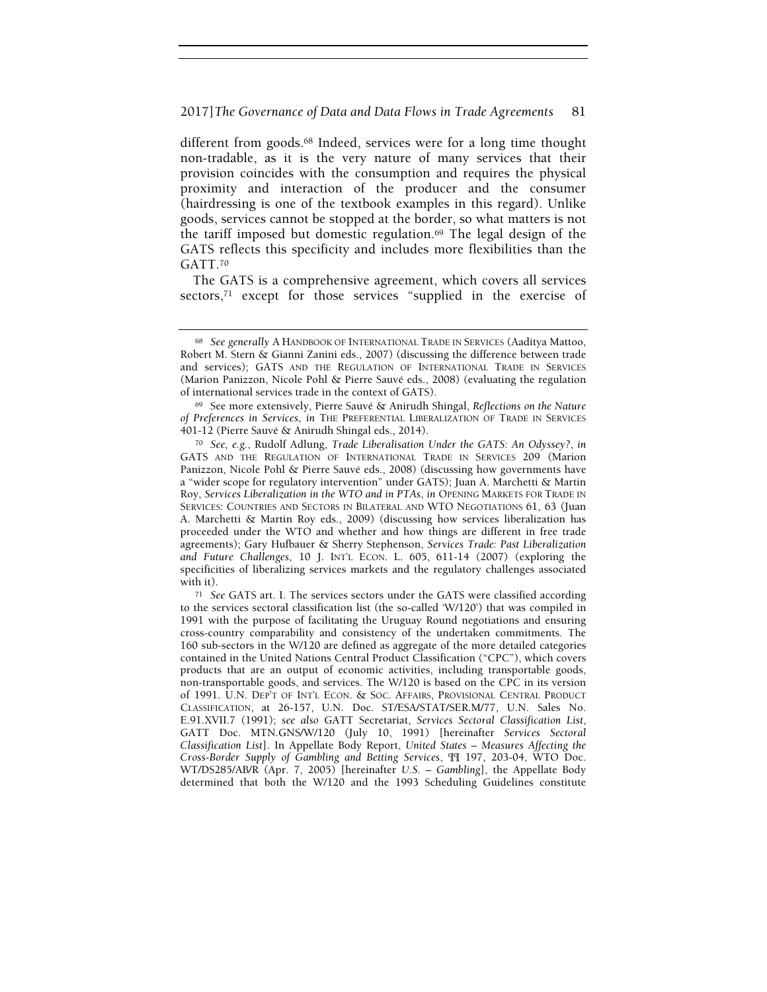different from goods.68 Indeed, services were for a long time thought non-tradable, as it is the very nature of many services that their provision coincides with the consumption and requires the physical proximity and interaction of the producer and the consumer (hairdressing is one of the textbook examples in this regard). Unlike goods, services cannot be stopped at the border, so what matters is not the tariff imposed but domestic regulation.<sup>69</sup> The legal design of the GATS reflects this specificity and includes more flexibilities than the GATT.<sup>70</sup>

The GATS is a comprehensive agreement, which covers all services sectors,71 except for those services "supplied in the exercise of

<sup>68</sup> See generally A HANDBOOK OF INTERNATIONAL TRADE IN SERVICES (Aaditya Mattoo, Robert M. Stern & Gianni Zanini eds., 2007) (discussing the difference between trade and services); GATS AND THE REGULATION OF INTERNATIONAL TRADE IN SERVICES (Marion Panizzon, Nicole Pohl & Pierre Sauvé eds., 2008) (evaluating the regulation of international services trade in the context of GATS).

<sup>69</sup> See more extensively, Pierre Sauvé & Anirudh Shingal, Reflections on the Nature of Preferences in Services, in THE PREFERENTIAL LIBERALIZATION OF TRADE IN SERVICES 401-12 (Pierre Sauvé & Anirudh Shingal eds., 2014).

<sup>70</sup> See, e.g., Rudolf Adlung, Trade Liberalisation Under the GATS: An Odyssey?, in GATS AND THE REGULATION OF INTERNATIONAL TRADE IN SERVICES 209 (Marion Panizzon, Nicole Pohl & Pierre Sauvé eds., 2008) (discussing how governments have a "wider scope for regulatory intervention" under GATS); Juan A. Marchetti & Martin Roy, Services Liberalization in the WTO and in PTAs, in OPENING MARKETS FOR TRADE IN SERVICES: COUNTRIES AND SECTORS IN BILATERAL AND WTO NEGOTIATIONS 61, 63 (Juan A. Marchetti & Martin Roy eds., 2009) (discussing how services liberalization has proceeded under the WTO and whether and how things are different in free trade agreements); Gary Hufbauer & Sherry Stephenson, Services Trade: Past Liberalization and Future Challenges, 10 J. INT'L ECON. L. 605, 611-14 (2007) (exploring the specificities of liberalizing services markets and the regulatory challenges associated with it).

<sup>71</sup> See GATS art. I. The services sectors under the GATS were classified according to the services sectoral classification list (the so-called 'W/120') that was compiled in 1991 with the purpose of facilitating the Uruguay Round negotiations and ensuring cross-country comparability and consistency of the undertaken commitments. The 160 sub-sectors in the W/120 are defined as aggregate of the more detailed categories contained in the United Nations Central Product Classification ("CPC"), which covers products that are an output of economic activities, including transportable goods, non-transportable goods, and services. The W/120 is based on the CPC in its version of 1991. U.N. DEP'T OF INT'L ECON. & SOC. AFFAIRS, PROVISIONAL CENTRAL PRODUCT CLASSIFICATION, at 26-157, U.N. Doc. ST/ESA/STAT/SER.M/77, U.N. Sales No. E.91.XVII.7 (1991); see also GATT Secretariat, Services Sectoral Classification List, GATT Doc. MTN.GNS/W/120 (July 10, 1991) [hereinafter Services Sectoral Classification List]. In Appellate Body Report, United States – Measures Affecting the Cross-Border Supply of Gambling and Betting Services, ¶¶ 197, 203-04, WTO Doc. WT/DS285/AB/R (Apr. 7, 2005) [hereinafter U.S. – Gambling], the Appellate Body determined that both the W/120 and the 1993 Scheduling Guidelines constitute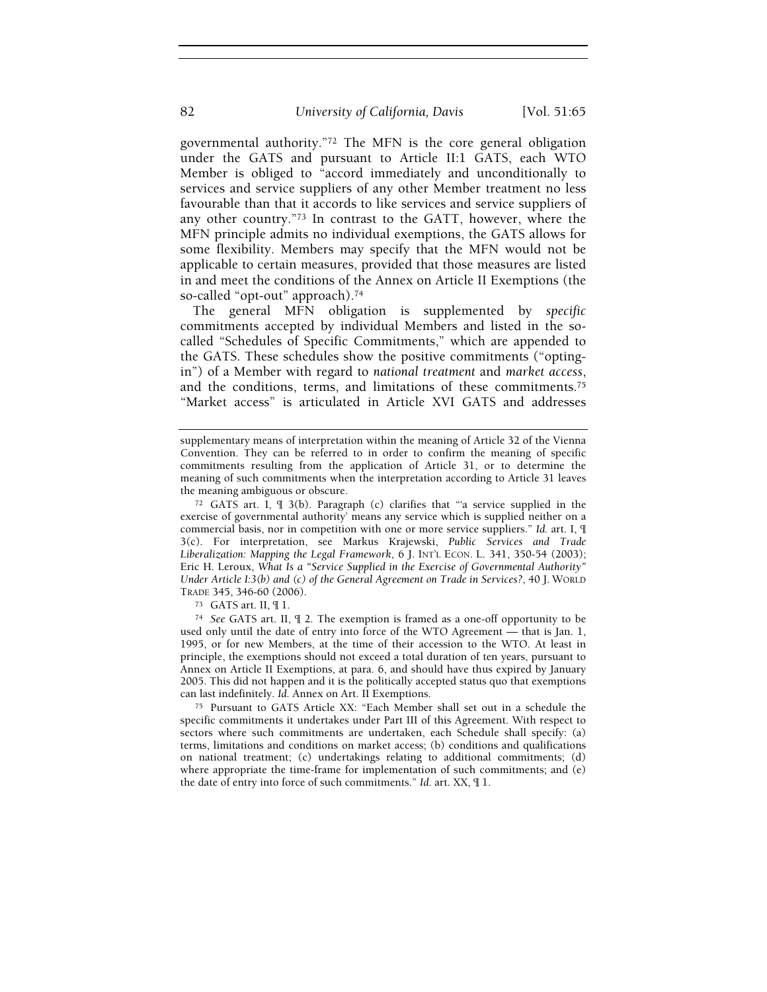governmental authority."72 The MFN is the core general obligation under the GATS and pursuant to Article II:1 GATS, each WTO Member is obliged to "accord immediately and unconditionally to services and service suppliers of any other Member treatment no less favourable than that it accords to like services and service suppliers of any other country."73 In contrast to the GATT, however, where the MFN principle admits no individual exemptions, the GATS allows for some flexibility. Members may specify that the MFN would not be applicable to certain measures, provided that those measures are listed in and meet the conditions of the Annex on Article II Exemptions (the so-called "opt-out" approach).<sup>74</sup>

The general MFN obligation is supplemented by specific commitments accepted by individual Members and listed in the socalled "Schedules of Specific Commitments," which are appended to the GATS. These schedules show the positive commitments ("optingin") of a Member with regard to national treatment and market access, and the conditions, terms, and limitations of these commitments.<sup>75</sup> "Market access" is articulated in Article XVI GATS and addresses

supplementary means of interpretation within the meaning of Article 32 of the Vienna Convention. They can be referred to in order to confirm the meaning of specific commitments resulting from the application of Article 31, or to determine the meaning of such commitments when the interpretation according to Article 31 leaves the meaning ambiguous or obscure.

<sup>72</sup> GATS art. I, ¶ 3(b). Paragraph (c) clarifies that "'a service supplied in the exercise of governmental authority' means any service which is supplied neither on a commercial basis, nor in competition with one or more service suppliers." Id. art. I, ¶ 3(c). For interpretation, see Markus Krajewski, Public Services and Trade Liberalization: Mapping the Legal Framework, 6 J. INT'L ECON. L. 341, 350-54 (2003); Eric H. Leroux, What Is a "Service Supplied in the Exercise of Governmental Authority" Under Article I:3(b) and (c) of the General Agreement on Trade in Services?, 40 J. WORLD TRADE 345, 346-60 (2006).

<sup>73</sup> GATS art. II, ¶ 1.

<sup>74</sup> See GATS art. II, ¶ 2. The exemption is framed as a one-off opportunity to be used only until the date of entry into force of the WTO Agreement — that is Jan. 1, 1995, or for new Members, at the time of their accession to the WTO. At least in principle, the exemptions should not exceed a total duration of ten years, pursuant to Annex on Article II Exemptions, at para. 6, and should have thus expired by January 2005. This did not happen and it is the politically accepted status quo that exemptions can last indefinitely. Id. Annex on Art. II Exemptions.

<sup>75</sup> Pursuant to GATS Article XX: "Each Member shall set out in a schedule the specific commitments it undertakes under Part III of this Agreement. With respect to sectors where such commitments are undertaken, each Schedule shall specify: (a) terms, limitations and conditions on market access; (b) conditions and qualifications on national treatment; (c) undertakings relating to additional commitments; (d) where appropriate the time-frame for implementation of such commitments; and (e) the date of entry into force of such commitments." Id. art. XX, ¶ 1.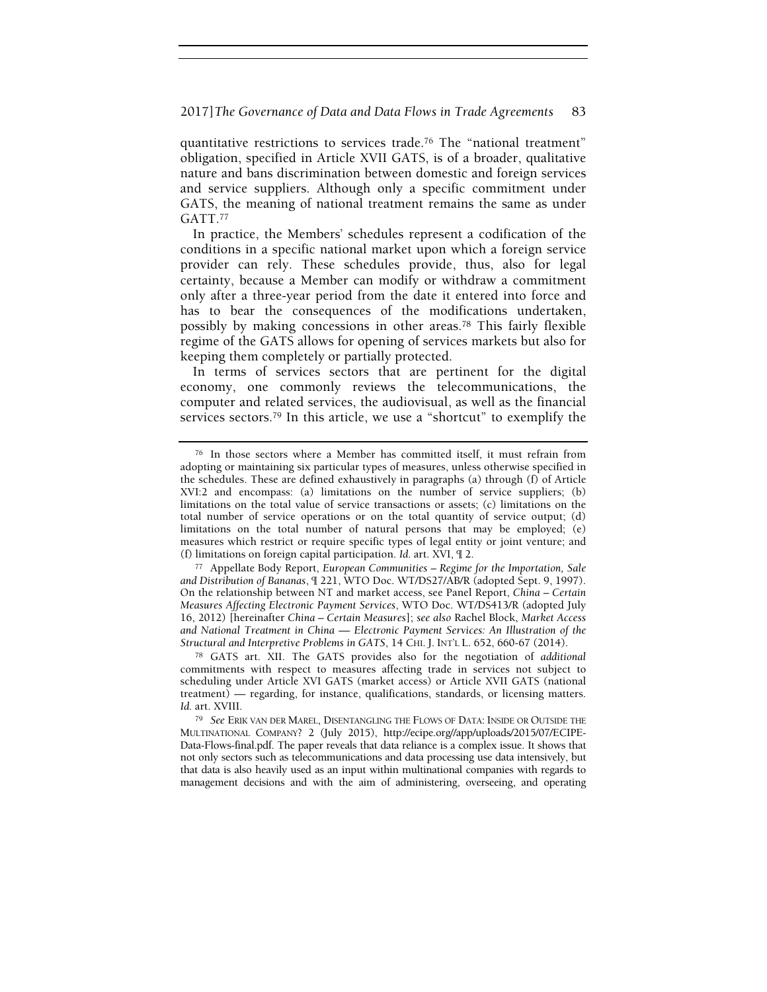quantitative restrictions to services trade.76 The "national treatment" obligation, specified in Article XVII GATS, is of a broader, qualitative nature and bans discrimination between domestic and foreign services and service suppliers. Although only a specific commitment under GATS, the meaning of national treatment remains the same as under GATT.<sup>77</sup>

In practice, the Members' schedules represent a codification of the conditions in a specific national market upon which a foreign service provider can rely. These schedules provide, thus, also for legal certainty, because a Member can modify or withdraw a commitment only after a three-year period from the date it entered into force and has to bear the consequences of the modifications undertaken, possibly by making concessions in other areas.78 This fairly flexible regime of the GATS allows for opening of services markets but also for keeping them completely or partially protected.

In terms of services sectors that are pertinent for the digital economy, one commonly reviews the telecommunications, the computer and related services, the audiovisual, as well as the financial services sectors.79 In this article, we use a "shortcut" to exemplify the

<sup>76</sup> In those sectors where a Member has committed itself, it must refrain from adopting or maintaining six particular types of measures, unless otherwise specified in the schedules. These are defined exhaustively in paragraphs (a) through (f) of Article XVI:2 and encompass: (a) limitations on the number of service suppliers; (b) limitations on the total value of service transactions or assets; (c) limitations on the total number of service operations or on the total quantity of service output; (d) limitations on the total number of natural persons that may be employed; (e) measures which restrict or require specific types of legal entity or joint venture; and (f) limitations on foreign capital participation. Id. art. XVI, ¶ 2.

<sup>77</sup> Appellate Body Report, European Communities – Regime for the Importation, Sale and Distribution of Bananas, ¶ 221, WTO Doc. WT/DS27/AB/R (adopted Sept. 9, 1997). On the relationship between NT and market access, see Panel Report, China – Certain Measures Affecting Electronic Payment Services, WTO Doc. WT/DS413/R (adopted July 16, 2012) [hereinafter China – Certain Measures]; see also Rachel Block, Market Access and National Treatment in China — Electronic Payment Services: An Illustration of the Structural and Interpretive Problems in GATS, 14 CHI. J. INT'L L. 652, 660-67 (2014).

<sup>78</sup> GATS art. XII. The GATS provides also for the negotiation of additional commitments with respect to measures affecting trade in services not subject to scheduling under Article XVI GATS (market access) or Article XVII GATS (national treatment) — regarding, for instance, qualifications, standards, or licensing matters. Id. art. XVIII.

<sup>79</sup> See ERIK VAN DER MAREL, DISENTANGLING THE FLOWS OF DATA: INSIDE OR OUTSIDE THE MULTINATIONAL COMPANY? 2 (July 2015), http://ecipe.org//app/uploads/2015/07/ECIPE-Data-Flows-final.pdf. The paper reveals that data reliance is a complex issue. It shows that not only sectors such as telecommunications and data processing use data intensively, but that data is also heavily used as an input within multinational companies with regards to management decisions and with the aim of administering, overseeing, and operating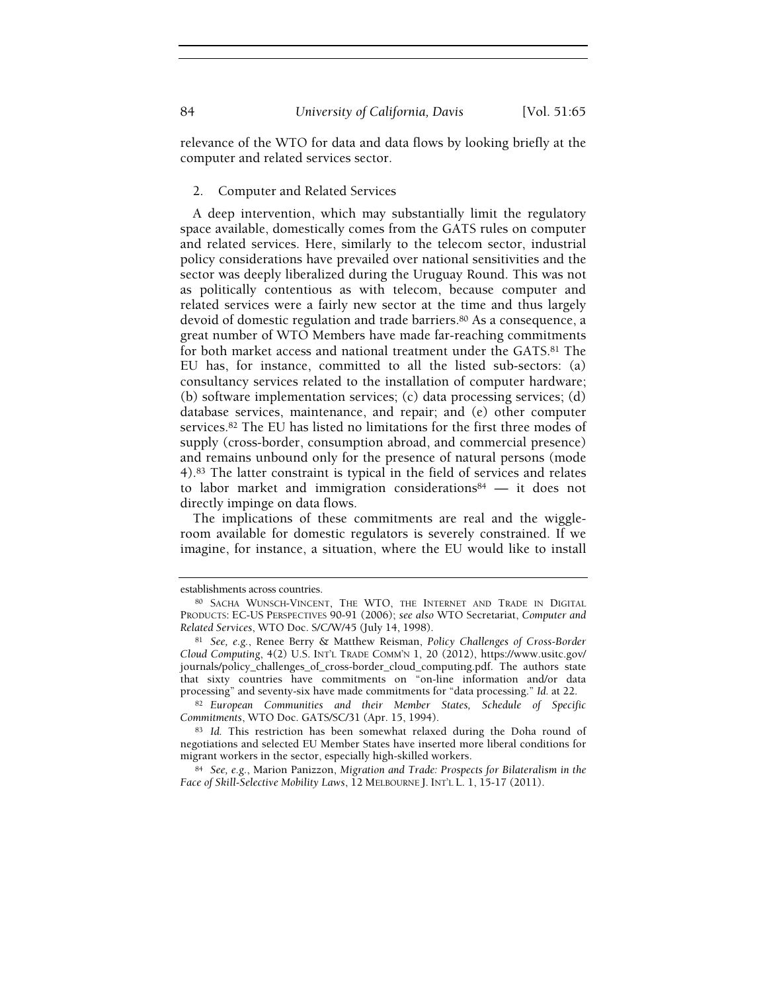relevance of the WTO for data and data flows by looking briefly at the computer and related services sector.

#### 2. Computer and Related Services

A deep intervention, which may substantially limit the regulatory space available, domestically comes from the GATS rules on computer and related services. Here, similarly to the telecom sector, industrial policy considerations have prevailed over national sensitivities and the sector was deeply liberalized during the Uruguay Round. This was not as politically contentious as with telecom, because computer and related services were a fairly new sector at the time and thus largely devoid of domestic regulation and trade barriers.<sup>80</sup> As a consequence, a great number of WTO Members have made far-reaching commitments for both market access and national treatment under the GATS.81 The EU has, for instance, committed to all the listed sub-sectors: (a) consultancy services related to the installation of computer hardware; (b) software implementation services; (c) data processing services; (d) database services, maintenance, and repair; and (e) other computer services.82 The EU has listed no limitations for the first three modes of supply (cross-border, consumption abroad, and commercial presence) and remains unbound only for the presence of natural persons (mode 4).83 The latter constraint is typical in the field of services and relates to labor market and immigration considerations<sup>84</sup> - it does not directly impinge on data flows.

The implications of these commitments are real and the wiggleroom available for domestic regulators is severely constrained. If we imagine, for instance, a situation, where the EU would like to install

establishments across countries.

<sup>80</sup> SACHA WUNSCH-VINCENT, THE WTO, THE INTERNET AND TRADE IN DIGITAL PRODUCTS: EC-US PERSPECTIVES 90-91 (2006); see also WTO Secretariat, Computer and Related Services, WTO Doc. S/C/W/45 (July 14, 1998).

<sup>81</sup> See, e.g., Renee Berry & Matthew Reisman, Policy Challenges of Cross-Border Cloud Computing, 4(2) U.S. INT'L TRADE COMM'N 1, 20 (2012), https://www.usitc.gov/ journals/policy\_challenges\_of\_cross-border\_cloud\_computing.pdf. The authors state that sixty countries have commitments on "on-line information and/or data processing" and seventy-six have made commitments for "data processing." Id. at 22.

<sup>82</sup> European Communities and their Member States, Schedule of Specific Commitments, WTO Doc. GATS/SC/31 (Apr. 15, 1994).

<sup>83</sup> Id. This restriction has been somewhat relaxed during the Doha round of negotiations and selected EU Member States have inserted more liberal conditions for migrant workers in the sector, especially high-skilled workers.

<sup>84</sup> See, e.g., Marion Panizzon, Migration and Trade: Prospects for Bilateralism in the Face of Skill-Selective Mobility Laws, 12 MELBOURNE J. INT'L L. 1, 15-17 (2011).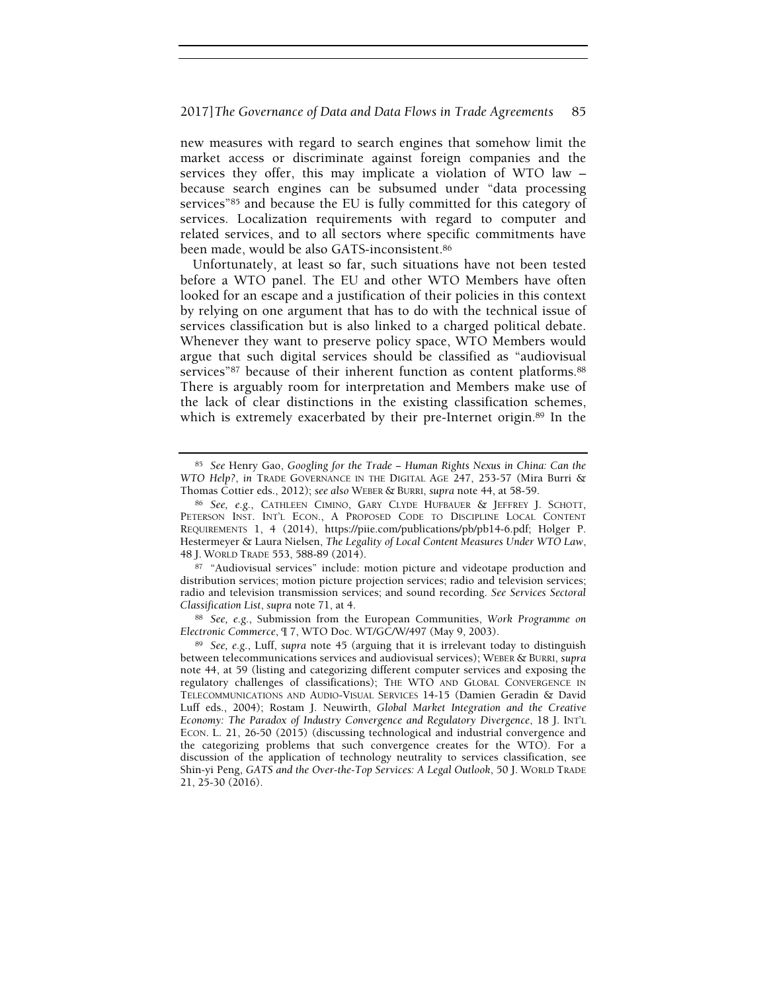new measures with regard to search engines that somehow limit the market access or discriminate against foreign companies and the services they offer, this may implicate a violation of WTO law – because search engines can be subsumed under "data processing services"85 and because the EU is fully committed for this category of services. Localization requirements with regard to computer and related services, and to all sectors where specific commitments have been made, would be also GATS-inconsistent.<sup>86</sup>

Unfortunately, at least so far, such situations have not been tested before a WTO panel. The EU and other WTO Members have often looked for an escape and a justification of their policies in this context by relying on one argument that has to do with the technical issue of services classification but is also linked to a charged political debate. Whenever they want to preserve policy space, WTO Members would argue that such digital services should be classified as "audiovisual services"<sup>87</sup> because of their inherent function as content platforms.<sup>88</sup> There is arguably room for interpretation and Members make use of the lack of clear distinctions in the existing classification schemes, which is extremely exacerbated by their pre-Internet origin.<sup>89</sup> In the

<sup>85</sup> See Henry Gao, Googling for the Trade − Human Rights Nexus in China: Can the WTO Help?, in TRADE GOVERNANCE IN THE DIGITAL AGE 247, 253-57 (Mira Burri & Thomas Cottier eds., 2012); see also WEBER & BURRI, supra note 44, at 58-59.

<sup>86</sup> See, e.g., CATHLEEN CIMINO, GARY CLYDE HUFBAUER & JEFFREY J. SCHOTT, PETERSON INST. INT'L ECON., A PROPOSED CODE TO DISCIPLINE LOCAL CONTENT REQUIREMENTS 1, 4 (2014), https://piie.com/publications/pb/pb14-6.pdf; Holger P. Hestermeyer & Laura Nielsen, The Legality of Local Content Measures Under WTO Law, 48 J. WORLD TRADE 553, 588-89 (2014).

<sup>87</sup> "Audiovisual services" include: motion picture and videotape production and distribution services; motion picture projection services; radio and television services; radio and television transmission services; and sound recording. See Services Sectoral Classification List, supra note 71, at 4.

<sup>88</sup> See, e.g., Submission from the European Communities, Work Programme on Electronic Commerce, ¶ 7, WTO Doc. WT/GC/W/497 (May 9, 2003).

<sup>89</sup> See, e.g., Luff, supra note 45 (arguing that it is irrelevant today to distinguish between telecommunications services and audiovisual services); WEBER & BURRI, supra note 44, at 59 (listing and categorizing different computer services and exposing the regulatory challenges of classifications); THE WTO AND GLOBAL CONVERGENCE IN TELECOMMUNICATIONS AND AUDIO-VISUAL SERVICES 14-15 (Damien Geradin & David Luff eds., 2004); Rostam J. Neuwirth, Global Market Integration and the Creative Economy: The Paradox of Industry Convergence and Regulatory Divergence, 18 J. INT'L ECON. L. 21, 26-50 (2015) (discussing technological and industrial convergence and the categorizing problems that such convergence creates for the WTO). For a discussion of the application of technology neutrality to services classification, see Shin-yi Peng, GATS and the Over-the-Top Services: A Legal Outlook, 50 J. WORLD TRADE 21, 25-30 (2016).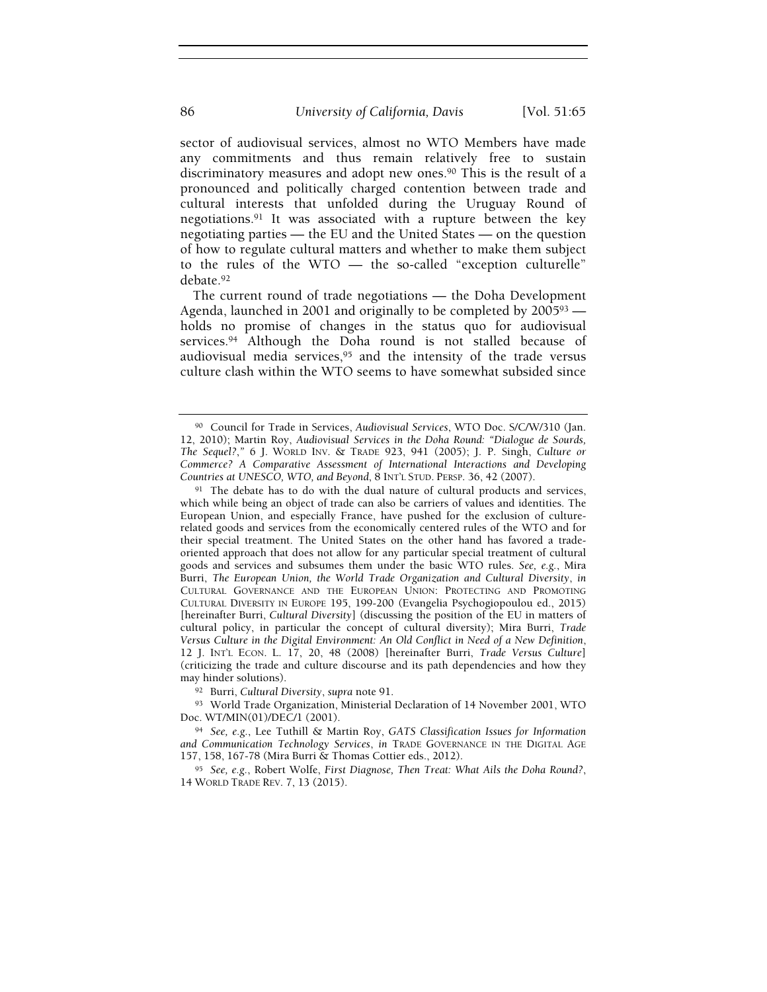sector of audiovisual services, almost no WTO Members have made any commitments and thus remain relatively free to sustain discriminatory measures and adopt new ones.90 This is the result of a pronounced and politically charged contention between trade and cultural interests that unfolded during the Uruguay Round of negotiations.91 It was associated with a rupture between the key negotiating parties — the EU and the United States — on the question of how to regulate cultural matters and whether to make them subject to the rules of the WTO — the so-called "exception culturelle" debate.<sup>92</sup>

The current round of trade negotiations — the Doha Development Agenda, launched in 2001 and originally to be completed by 200593 holds no promise of changes in the status quo for audiovisual services.<sup>94</sup> Although the Doha round is not stalled because of audiovisual media services,95 and the intensity of the trade versus culture clash within the WTO seems to have somewhat subsided since

<sup>90</sup> Council for Trade in Services, Audiovisual Services, WTO Doc. S/C/W/310 (Jan. 12, 2010); Martin Roy, Audiovisual Services in the Doha Round: "Dialogue de Sourds, The Sequel?," 6 J. WORLD INV. & TRADE 923, 941 (2005); J. P. Singh, Culture or Commerce? A Comparative Assessment of International Interactions and Developing Countries at UNESCO, WTO, and Beyond, 8 INT'L STUD. PERSP. 36, 42 (2007).

<sup>&</sup>lt;sup>91</sup> The debate has to do with the dual nature of cultural products and services, which while being an object of trade can also be carriers of values and identities. The European Union, and especially France, have pushed for the exclusion of culturerelated goods and services from the economically centered rules of the WTO and for their special treatment. The United States on the other hand has favored a tradeoriented approach that does not allow for any particular special treatment of cultural goods and services and subsumes them under the basic WTO rules. See, e.g., Mira Burri, The European Union, the World Trade Organization and Cultural Diversity, in CULTURAL GOVERNANCE AND THE EUROPEAN UNION: PROTECTING AND PROMOTING CULTURAL DIVERSITY IN EUROPE 195, 199-200 (Evangelia Psychogiopoulou ed., 2015) [hereinafter Burri, Cultural Diversity] (discussing the position of the EU in matters of cultural policy, in particular the concept of cultural diversity); Mira Burri, Trade Versus Culture in the Digital Environment: An Old Conflict in Need of a New Definition, 12 J. INT'L ECON. L. 17, 20, 48 (2008) [hereinafter Burri, Trade Versus Culture] (criticizing the trade and culture discourse and its path dependencies and how they may hinder solutions).

<sup>92</sup> Burri, Cultural Diversity, supra note 91.

<sup>93</sup> World Trade Organization, Ministerial Declaration of 14 November 2001, WTO Doc. WT/MIN(01)/DEC/1 (2001).

<sup>94</sup> See, e.g., Lee Tuthill & Martin Roy, GATS Classification Issues for Information and Communication Technology Services, in TRADE GOVERNANCE IN THE DIGITAL AGE 157, 158, 167-78 (Mira Burri & Thomas Cottier eds., 2012).

<sup>95</sup> See, e.g., Robert Wolfe, First Diagnose, Then Treat: What Ails the Doha Round?, 14 WORLD TRADE REV. 7, 13 (2015).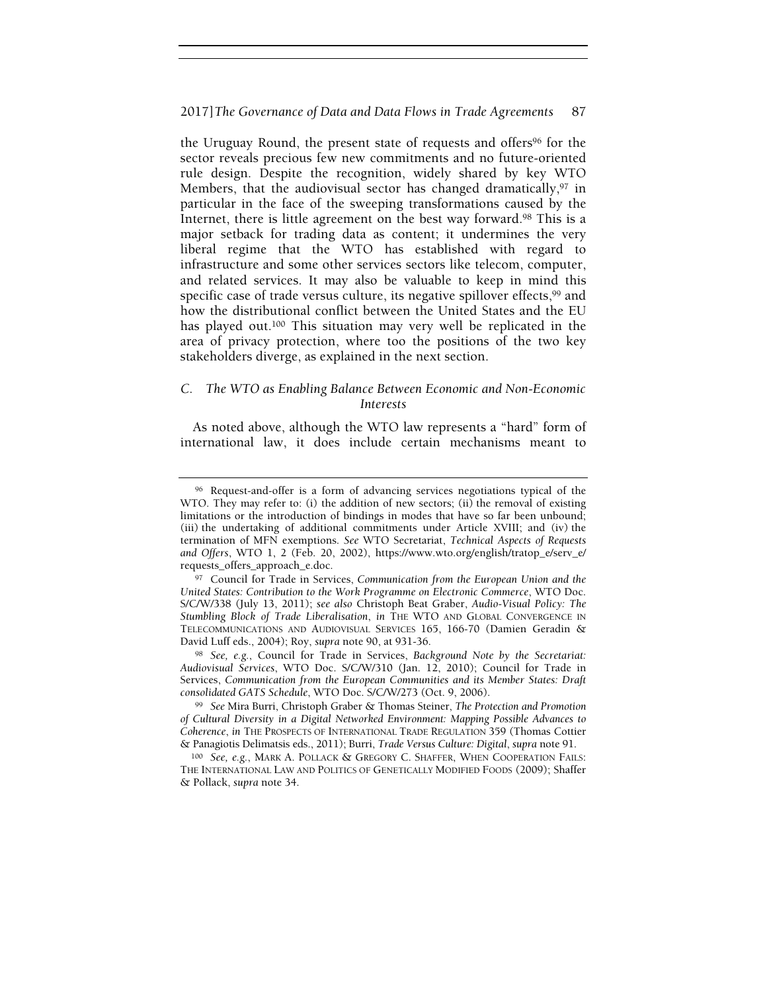the Uruguay Round, the present state of requests and offers<sup>96</sup> for the sector reveals precious few new commitments and no future-oriented rule design. Despite the recognition, widely shared by key WTO Members, that the audiovisual sector has changed dramatically,<sup>97</sup> in particular in the face of the sweeping transformations caused by the Internet, there is little agreement on the best way forward.98 This is a major setback for trading data as content; it undermines the very liberal regime that the WTO has established with regard to infrastructure and some other services sectors like telecom, computer, and related services. It may also be valuable to keep in mind this specific case of trade versus culture, its negative spillover effects,<sup>99</sup> and how the distributional conflict between the United States and the EU has played out.<sup>100</sup> This situation may very well be replicated in the area of privacy protection, where too the positions of the two key stakeholders diverge, as explained in the next section.

# C. The WTO as Enabling Balance Between Economic and Non-Economic Interests

As noted above, although the WTO law represents a "hard" form of international law, it does include certain mechanisms meant to

<sup>96</sup> Request-and-offer is a form of advancing services negotiations typical of the WTO. They may refer to: (i) the addition of new sectors; (ii) the removal of existing limitations or the introduction of bindings in modes that have so far been unbound; (iii) the undertaking of additional commitments under Article XVIII; and (iv) the termination of MFN exemptions. See WTO Secretariat, Technical Aspects of Requests and Offers, WTO 1, 2 (Feb. 20, 2002), https://www.wto.org/english/tratop\_e/serv\_e/ requests\_offers\_approach\_e.doc.

<sup>97</sup> Council for Trade in Services, Communication from the European Union and the United States: Contribution to the Work Programme on Electronic Commerce, WTO Doc. S/C/W/338 (July 13, 2011); see also Christoph Beat Graber, Audio-Visual Policy: The Stumbling Block of Trade Liberalisation, in THE WTO AND GLOBAL CONVERGENCE IN TELECOMMUNICATIONS AND AUDIOVISUAL SERVICES 165, 166-70 (Damien Geradin & David Luff eds., 2004); Roy, supra note 90, at 931-36.

<sup>98</sup> See, e.g., Council for Trade in Services, Background Note by the Secretariat: Audiovisual Services, WTO Doc. S/C/W/310 (Jan. 12, 2010); Council for Trade in Services, Communication from the European Communities and its Member States: Draft consolidated GATS Schedule, WTO Doc. S/C/W/273 (Oct. 9, 2006).

<sup>&</sup>lt;sup>99</sup> See Mira Burri, Christoph Graber  $\&$  Thomas Steiner, The Protection and Promotion of Cultural Diversity in a Digital Networked Environment: Mapping Possible Advances to Coherence, in THE PROSPECTS OF INTERNATIONAL TRADE REGULATION 359 (Thomas Cottier & Panagiotis Delimatsis eds., 2011); Burri, Trade Versus Culture: Digital, supra note 91.

<sup>100</sup> See, e.g., MARK A. POLLACK & GREGORY C. SHAFFER, WHEN COOPERATION FAILS: THE INTERNATIONAL LAW AND POLITICS OF GENETICALLY MODIFIED FOODS (2009); Shaffer & Pollack, supra note 34.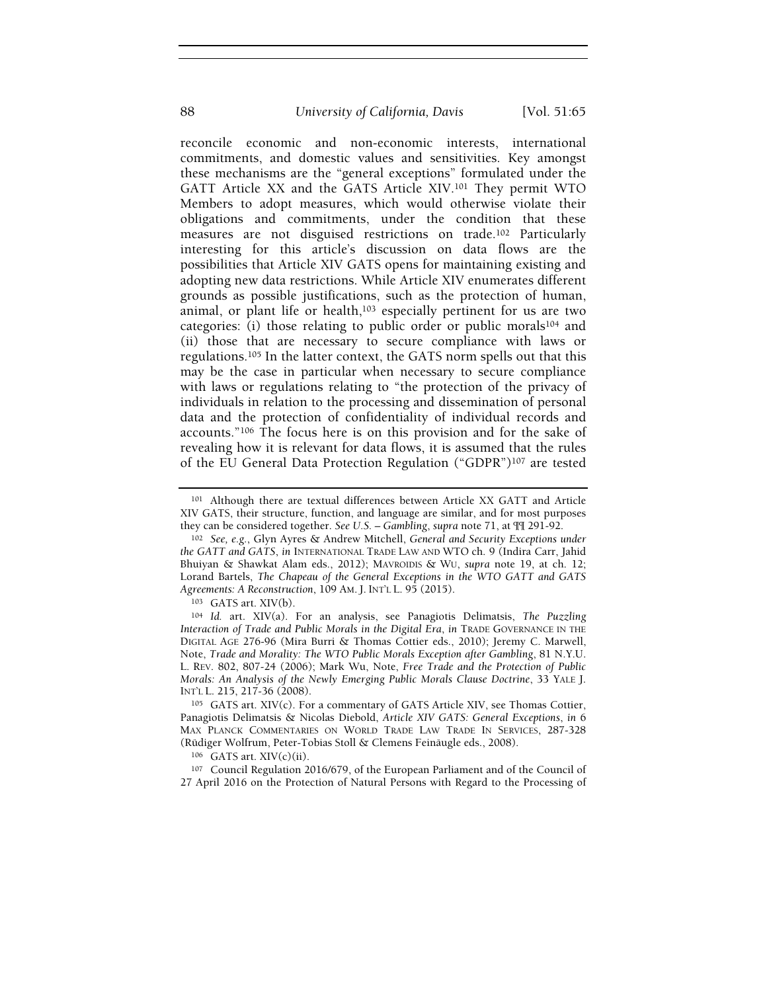reconcile economic and non-economic interests, international commitments, and domestic values and sensitivities. Key amongst these mechanisms are the "general exceptions" formulated under the GATT Article XX and the GATS Article XIV.101 They permit WTO Members to adopt measures, which would otherwise violate their obligations and commitments, under the condition that these measures are not disguised restrictions on trade.102 Particularly interesting for this article's discussion on data flows are the possibilities that Article XIV GATS opens for maintaining existing and adopting new data restrictions. While Article XIV enumerates different grounds as possible justifications, such as the protection of human, animal, or plant life or health,103 especially pertinent for us are two categories: (i) those relating to public order or public morals104 and (ii) those that are necessary to secure compliance with laws or regulations.105 In the latter context, the GATS norm spells out that this may be the case in particular when necessary to secure compliance with laws or regulations relating to "the protection of the privacy of individuals in relation to the processing and dissemination of personal data and the protection of confidentiality of individual records and accounts."106 The focus here is on this provision and for the sake of revealing how it is relevant for data flows, it is assumed that the rules of the EU General Data Protection Regulation ("GDPR")107 are tested

<sup>101</sup> Although there are textual differences between Article XX GATT and Article XIV GATS, their structure, function, and language are similar, and for most purposes they can be considered together. See U.S. – Gambling, supra note 71, at  $\P$  $\P$  291-92.

<sup>102</sup> See, e.g., Glyn Ayres & Andrew Mitchell, General and Security Exceptions under the GATT and GATS, in INTERNATIONAL TRADE LAW AND WTO ch. 9 (Indira Carr, Jahid Bhuiyan & Shawkat Alam eds., 2012); MAVROIDIS & WU, supra note 19, at ch. 12; Lorand Bartels, The Chapeau of the General Exceptions in the WTO GATT and GATS Agreements: A Reconstruction, 109 AM. J. INT'L L. 95 (2015).

<sup>103</sup> GATS art. XIV(b).

<sup>104</sup> Id. art. XIV(a). For an analysis, see Panagiotis Delimatsis, The Puzzling Interaction of Trade and Public Morals in the Digital Era, in TRADE GOVERNANCE IN THE DIGITAL AGE 276-96 (Mira Burri & Thomas Cottier eds., 2010); Jeremy C. Marwell, Note, Trade and Morality: The WTO Public Morals Exception after Gambling, 81 N.Y.U. L. REV. 802, 807-24 (2006); Mark Wu, Note, Free Trade and the Protection of Public Morals: An Analysis of the Newly Emerging Public Morals Clause Doctrine, 33 YALE J. INT'L L. 215, 217-36 (2008).

<sup>105</sup> GATS art. XIV(c). For a commentary of GATS Article XIV, see Thomas Cottier, Panagiotis Delimatsis & Nicolas Diebold, Article XIV GATS: General Exceptions, in 6 MAX PLANCK COMMENTARIES ON WORLD TRADE LAW TRADE IN SERVICES, 287-328 (Rüdiger Wolfrum, Peter-Tobias Stoll & Clemens Feinäugle eds., 2008).

<sup>106</sup> GATS art. XIV(c)(ii).

<sup>107</sup> Council Regulation 2016/679, of the European Parliament and of the Council of 27 April 2016 on the Protection of Natural Persons with Regard to the Processing of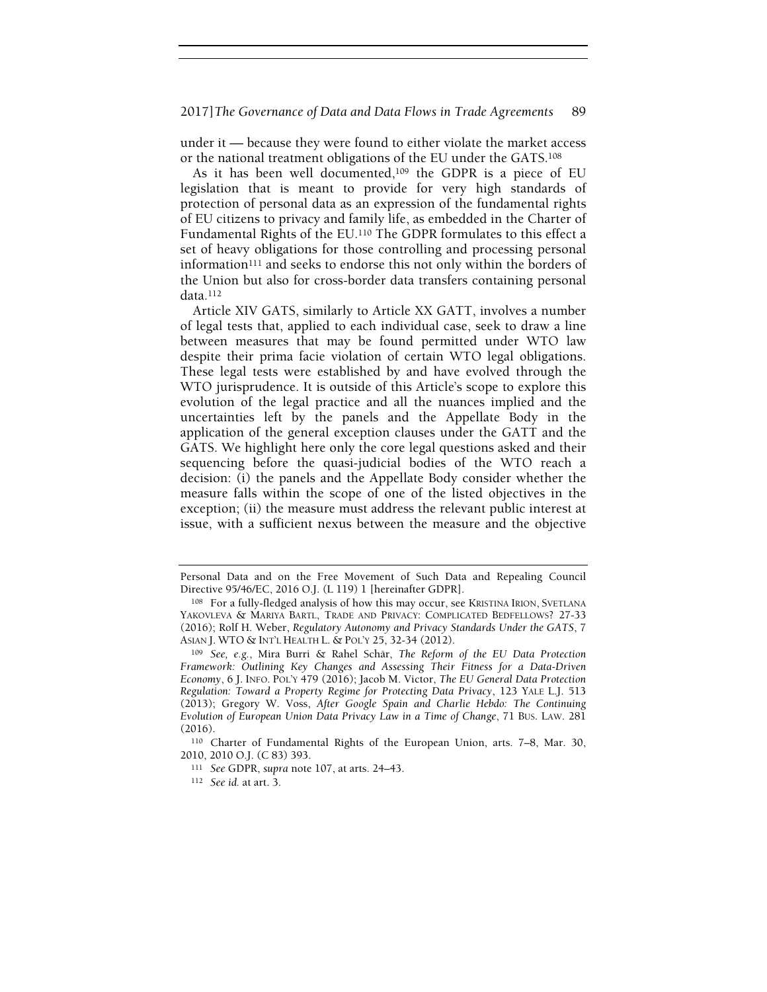under it — because they were found to either violate the market access or the national treatment obligations of the EU under the GATS.<sup>108</sup>

As it has been well documented,109 the GDPR is a piece of EU legislation that is meant to provide for very high standards of protection of personal data as an expression of the fundamental rights of EU citizens to privacy and family life, as embedded in the Charter of Fundamental Rights of the EU.110 The GDPR formulates to this effect a set of heavy obligations for those controlling and processing personal information<sup>111</sup> and seeks to endorse this not only within the borders of the Union but also for cross-border data transfers containing personal data.<sup>112</sup>

Article XIV GATS, similarly to Article XX GATT, involves a number of legal tests that, applied to each individual case, seek to draw a line between measures that may be found permitted under WTO law despite their prima facie violation of certain WTO legal obligations. These legal tests were established by and have evolved through the WTO jurisprudence. It is outside of this Article's scope to explore this evolution of the legal practice and all the nuances implied and the uncertainties left by the panels and the Appellate Body in the application of the general exception clauses under the GATT and the GATS. We highlight here only the core legal questions asked and their sequencing before the quasi-judicial bodies of the WTO reach a decision: (i) the panels and the Appellate Body consider whether the measure falls within the scope of one of the listed objectives in the exception; (ii) the measure must address the relevant public interest at issue, with a sufficient nexus between the measure and the objective

<sup>110</sup> Charter of Fundamental Rights of the European Union, arts. 7–8, Mar. 30, 2010, 2010 O.J. (C 83) 393.

Personal Data and on the Free Movement of Such Data and Repealing Council Directive 95/46/EC, 2016 O.J. (L 119) 1 [hereinafter GDPR].

<sup>108</sup> For a fully-fledged analysis of how this may occur, see KRISTINA IRION, SVETLANA YAKOVLEVA & MARIYA BARTL, TRADE AND PRIVACY: COMPLICATED BEDFELLOWS? 27-33 (2016); Rolf H. Weber, Regulatory Autonomy and Privacy Standards Under the GATS, 7 ASIAN J. WTO & INT'L HEALTH L. & POL'Y 25, 32-34 (2012).

<sup>109</sup> See, e.g., Mira Burri & Rahel Schär, The Reform of the EU Data Protection Framework: Outlining Key Changes and Assessing Their Fitness for a Data-Driven Economy, 6 J. INFO. POL'Y 479 (2016); Jacob M. Victor, The EU General Data Protection Regulation: Toward a Property Regime for Protecting Data Privacy, 123 YALE L.J. 513 (2013); Gregory W. Voss, After Google Spain and Charlie Hebdo: The Continuing Evolution of European Union Data Privacy Law in a Time of Change, 71 BUS. LAW. 281 (2016).

<sup>111</sup> See GDPR, supra note 107, at arts. 24–43.

<sup>112</sup> See id. at art. 3.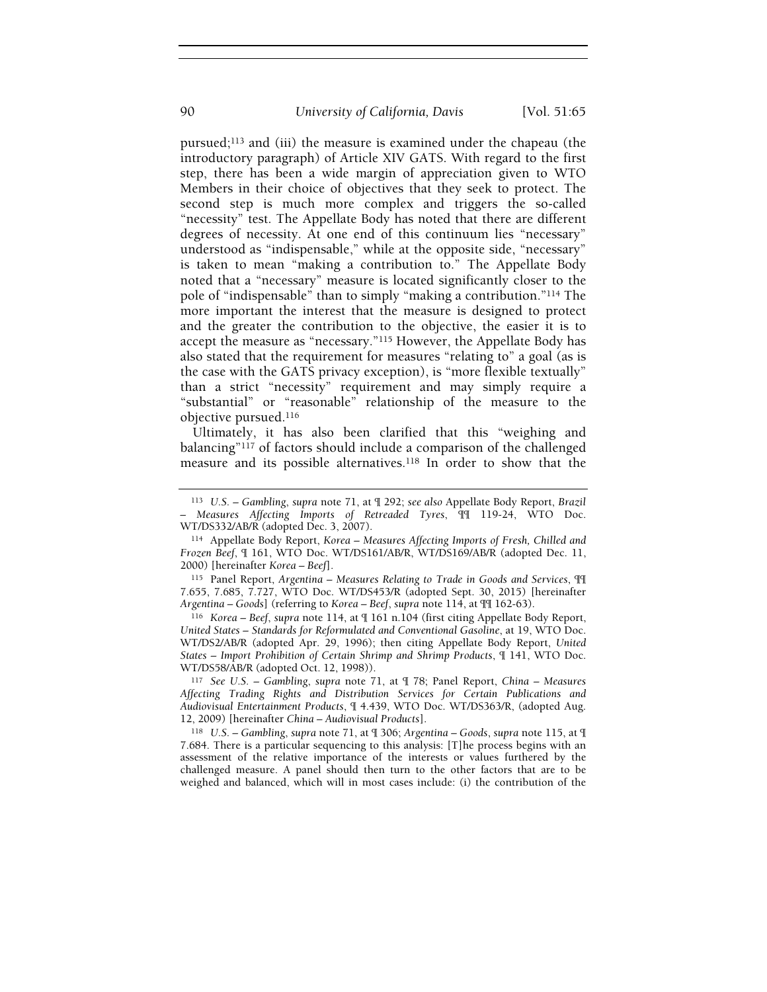pursued;113 and (iii) the measure is examined under the chapeau (the introductory paragraph) of Article XIV GATS. With regard to the first step, there has been a wide margin of appreciation given to WTO Members in their choice of objectives that they seek to protect. The second step is much more complex and triggers the so-called "necessity" test. The Appellate Body has noted that there are different degrees of necessity. At one end of this continuum lies "necessary" understood as "indispensable," while at the opposite side, "necessary" is taken to mean "making a contribution to." The Appellate Body noted that a "necessary" measure is located significantly closer to the pole of "indispensable" than to simply "making a contribution."114 The more important the interest that the measure is designed to protect and the greater the contribution to the objective, the easier it is to accept the measure as "necessary."115 However, the Appellate Body has also stated that the requirement for measures "relating to" a goal (as is the case with the GATS privacy exception), is "more flexible textually" than a strict "necessity" requirement and may simply require a "substantial" or "reasonable" relationship of the measure to the objective pursued.<sup>116</sup>

Ultimately, it has also been clarified that this "weighing and balancing"117 of factors should include a comparison of the challenged measure and its possible alternatives.<sup>118</sup> In order to show that the

<sup>116</sup> Korea – Beef, supra note 114, at ¶ 161 n.104 (first citing Appellate Body Report, United States – Standards for Reformulated and Conventional Gasoline, at 19, WTO Doc. WT/DS2/AB/R (adopted Apr. 29, 1996); then citing Appellate Body Report, United States – Import Prohibition of Certain Shrimp and Shrimp Products, ¶ 141, WTO Doc. WT/DS58/AB/R (adopted Oct. 12, 1998)).

<sup>117</sup> See U.S. – Gambling, supra note 71, at ¶ 78; Panel Report, China – Measures Affecting Trading Rights and Distribution Services for Certain Publications and Audiovisual Entertainment Products, ¶ 4.439, WTO Doc. WT/DS363/R, (adopted Aug. 12, 2009) [hereinafter China – Audiovisual Products].

<sup>118</sup> U.S. – Gambling, supra note 71, at ¶ 306; Argentina – Goods, supra note 115, at ¶ 7.684. There is a particular sequencing to this analysis: [T]he process begins with an assessment of the relative importance of the interests or values furthered by the challenged measure. A panel should then turn to the other factors that are to be weighed and balanced, which will in most cases include: (i) the contribution of the

<sup>113</sup> U.S. – Gambling, supra note 71, at ¶ 292; see also Appellate Body Report, Brazil – Measures Affecting Imports of Retreaded Tyres, ¶¶ 119-24, WTO Doc. WT/DS332/AB/R (adopted Dec. 3, 2007).

<sup>114</sup> Appellate Body Report, Korea – Measures Affecting Imports of Fresh, Chilled and Frozen Beef, ¶ 161, WTO Doc. WT/DS161/AB/R, WT/DS169/AB/R (adopted Dec. 11, 2000) [hereinafter Korea – Beef].

<sup>115</sup> Panel Report, Argentina – Measures Relating to Trade in Goods and Services, ¶¶ 7.655, 7.685, 7.727, WTO Doc. WT/DS453/R (adopted Sept. 30, 2015) [hereinafter Argentina – Goods] (referring to Korea – Beef, supra note 114, at ¶¶ 162-63).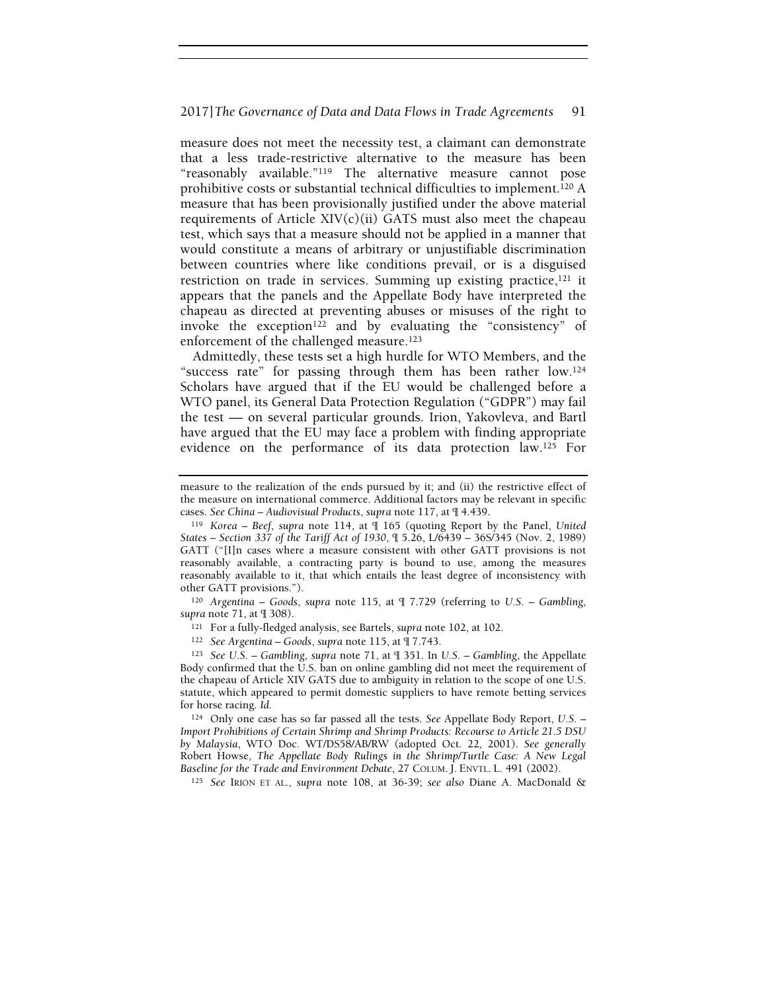measure does not meet the necessity test, a claimant can demonstrate that a less trade-restrictive alternative to the measure has been "reasonably available."119 The alternative measure cannot pose prohibitive costs or substantial technical difficulties to implement.120 A measure that has been provisionally justified under the above material requirements of Article  $XIV(c)(ii)$  GATS must also meet the chapeau test, which says that a measure should not be applied in a manner that would constitute a means of arbitrary or unjustifiable discrimination between countries where like conditions prevail, or is a disguised restriction on trade in services. Summing up existing practice,<sup>121</sup> it appears that the panels and the Appellate Body have interpreted the chapeau as directed at preventing abuses or misuses of the right to invoke the exception<sup>122</sup> and by evaluating the "consistency" of enforcement of the challenged measure.<sup>123</sup>

Admittedly, these tests set a high hurdle for WTO Members, and the "success rate" for passing through them has been rather low.<sup>124</sup> Scholars have argued that if the EU would be challenged before a WTO panel, its General Data Protection Regulation ("GDPR") may fail the test — on several particular grounds. Irion, Yakovleva, and Bartl have argued that the EU may face a problem with finding appropriate evidence on the performance of its data protection law.125 For

<sup>120</sup> Argentina – Goods, supra note 115, at  $\P$  7.729 (referring to U.S. – Gambling, supra note 71, at ¶ 308).

<sup>121</sup> For a fully-fledged analysis, see Bartels, supra note 102, at 102.

<sup>122</sup> See Argentina – Goods, supra note 115, at ¶ 7.743.

<sup>123</sup> See U.S. – Gambling, supra note 71, at ¶ 351. In U.S. – Gambling, the Appellate Body confirmed that the U.S. ban on online gambling did not meet the requirement of the chapeau of Article XIV GATS due to ambiguity in relation to the scope of one U.S. statute, which appeared to permit domestic suppliers to have remote betting services for horse racing. Id.

<sup>124</sup> Only one case has so far passed all the tests. See Appellate Body Report, U.S. – Import Prohibitions of Certain Shrimp and Shrimp Products: Recourse to Article 21.5 DSU by Malaysia, WTO Doc. WT/DS58/AB/RW (adopted Oct. 22, 2001). See generally Robert Howse, The Appellate Body Rulings in the Shrimp/Turtle Case: A New Legal Baseline for the Trade and Environment Debate, 27 COLUM. J. ENVTL. L. 491 (2002).

<sup>125</sup> See IRION ET AL., supra note 108, at 36-39; see also Diane A. MacDonald &

measure to the realization of the ends pursued by it; and (ii) the restrictive effect of the measure on international commerce. Additional factors may be relevant in specific cases. See China – Audiovisual Products, supra note 117, at ¶ 4.439.

<sup>&</sup>lt;sup>119</sup> Korea – Beef, supra note 114, at  $\P$  165 (quoting Report by the Panel, United States – Section 337 of the Tariff Act of 1930, ¶ 5.26, L/6439 – 36S/345 (Nov. 2, 1989) GATT ("[I]n cases where a measure consistent with other GATT provisions is not reasonably available, a contracting party is bound to use, among the measures reasonably available to it, that which entails the least degree of inconsistency with other GATT provisions.").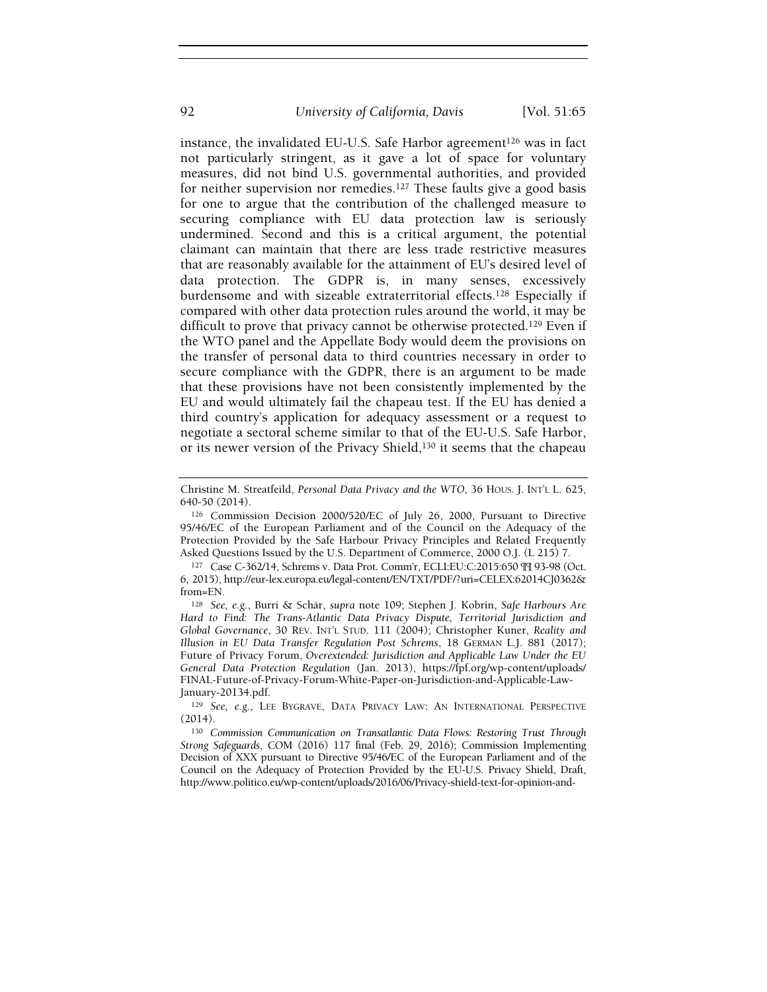instance, the invalidated EU-U.S. Safe Harbor agreement<sup>126</sup> was in fact not particularly stringent, as it gave a lot of space for voluntary measures, did not bind U.S. governmental authorities, and provided for neither supervision nor remedies.127 These faults give a good basis for one to argue that the contribution of the challenged measure to securing compliance with EU data protection law is seriously undermined. Second and this is a critical argument, the potential claimant can maintain that there are less trade restrictive measures that are reasonably available for the attainment of EU's desired level of data protection. The GDPR is, in many senses, excessively burdensome and with sizeable extraterritorial effects.<sup>128</sup> Especially if compared with other data protection rules around the world, it may be difficult to prove that privacy cannot be otherwise protected.<sup>129</sup> Even if the WTO panel and the Appellate Body would deem the provisions on the transfer of personal data to third countries necessary in order to secure compliance with the GDPR, there is an argument to be made that these provisions have not been consistently implemented by the EU and would ultimately fail the chapeau test. If the EU has denied a third country's application for adequacy assessment or a request to negotiate a sectoral scheme similar to that of the EU-U.S. Safe Harbor, or its newer version of the Privacy Shield,130 it seems that the chapeau

<sup>127</sup> Case C-362/14, Schrems v. Data Prot. Comm'r, ECLI:EU:C:2015:650 ¶¶ 93-98 (Oct. 6, 2015), http://eur-lex.europa.eu/legal-content/EN/TXT/PDF/?uri=CELEX:62014CJ0362& from=EN.

Christine M. Streatfeild, Personal Data Privacy and the WTO, 36 HOUS. J. INT'L L. 625, 640-50 (2014).

<sup>126</sup> Commission Decision 2000/520/EC of July 26, 2000, Pursuant to Directive 95/46/EC of the European Parliament and of the Council on the Adequacy of the Protection Provided by the Safe Harbour Privacy Principles and Related Frequently Asked Questions Issued by the U.S. Department of Commerce, 2000 O.J. (L 215) 7.

<sup>128</sup> See, e.g., Burri & Schär, supra note 109; Stephen J. Kobrin, Safe Harbours Are Hard to Find: The Trans-Atlantic Data Privacy Dispute, Territorial Jurisdiction and Global Governance, 30 REV. INT'L STUD. 111 (2004); Christopher Kuner, Reality and Illusion in EU Data Transfer Regulation Post Schrems, 18 GERMAN L.J. 881 (2017); Future of Privacy Forum, Overextended: Jurisdiction and Applicable Law Under the EU General Data Protection Regulation (Jan. 2013), https://fpf.org/wp-content/uploads/ FINAL-Future-of-Privacy-Forum-White-Paper-on-Jurisdiction-and-Applicable-Law-January-20134.pdf.

<sup>129</sup> See, e.g., LEE BYGRAVE, DATA PRIVACY LAW: AN INTERNATIONAL PERSPECTIVE (2014).

<sup>130</sup> Commission Communication on Transatlantic Data Flows: Restoring Trust Through Strong Safeguards, COM (2016) 117 final (Feb. 29, 2016); Commission Implementing Decision of XXX pursuant to Directive 95/46/EC of the European Parliament and of the Council on the Adequacy of Protection Provided by the EU-U.S. Privacy Shield, Draft, http://www.politico.eu/wp-content/uploads/2016/06/Privacy-shield-text-for-opinion-and-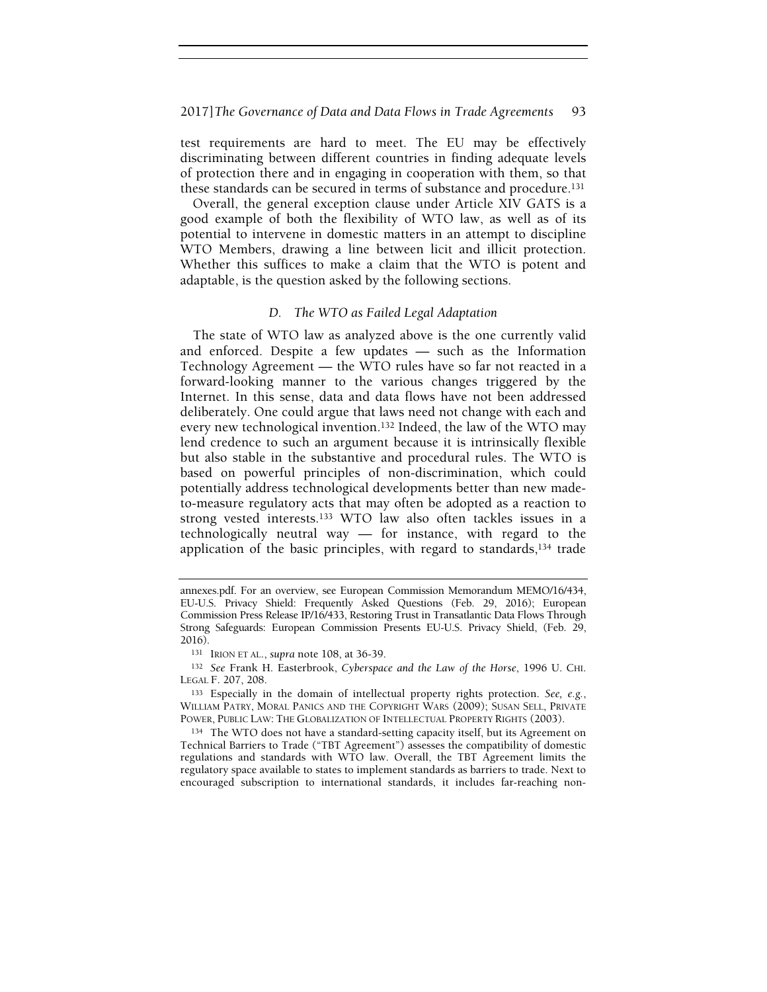test requirements are hard to meet. The EU may be effectively discriminating between different countries in finding adequate levels of protection there and in engaging in cooperation with them, so that these standards can be secured in terms of substance and procedure.<sup>131</sup>

Overall, the general exception clause under Article XIV GATS is a good example of both the flexibility of WTO law, as well as of its potential to intervene in domestic matters in an attempt to discipline WTO Members, drawing a line between licit and illicit protection. Whether this suffices to make a claim that the WTO is potent and adaptable, is the question asked by the following sections.

# D. The WTO as Failed Legal Adaptation

The state of WTO law as analyzed above is the one currently valid and enforced. Despite a few updates — such as the Information Technology Agreement — the WTO rules have so far not reacted in a forward-looking manner to the various changes triggered by the Internet. In this sense, data and data flows have not been addressed deliberately. One could argue that laws need not change with each and every new technological invention.132 Indeed, the law of the WTO may lend credence to such an argument because it is intrinsically flexible but also stable in the substantive and procedural rules. The WTO is based on powerful principles of non-discrimination, which could potentially address technological developments better than new madeto-measure regulatory acts that may often be adopted as a reaction to strong vested interests.133 WTO law also often tackles issues in a technologically neutral way — for instance, with regard to the application of the basic principles, with regard to standards,<sup>134</sup> trade

annexes.pdf. For an overview, see European Commission Memorandum MEMO/16/434, EU-U.S. Privacy Shield: Frequently Asked Questions (Feb. 29, 2016); European Commission Press Release IP/16/433, Restoring Trust in Transatlantic Data Flows Through Strong Safeguards: European Commission Presents EU-U.S. Privacy Shield, (Feb. 29, 2016).

<sup>131</sup> IRION ET AL., supra note 108, at 36-39.

<sup>132</sup> See Frank H. Easterbrook, Cyberspace and the Law of the Horse, 1996 U. CHI. LEGAL F. 207, 208.

<sup>133</sup> Especially in the domain of intellectual property rights protection. See, e.g., WILLIAM PATRY, MORAL PANICS AND THE COPYRIGHT WARS (2009); SUSAN SELL, PRIVATE POWER, PUBLIC LAW: THE GLOBALIZATION OF INTELLECTUAL PROPERTY RIGHTS (2003).

<sup>134</sup> The WTO does not have a standard-setting capacity itself, but its Agreement on Technical Barriers to Trade ("TBT Agreement") assesses the compatibility of domestic regulations and standards with WTO law. Overall, the TBT Agreement limits the regulatory space available to states to implement standards as barriers to trade. Next to encouraged subscription to international standards, it includes far-reaching non-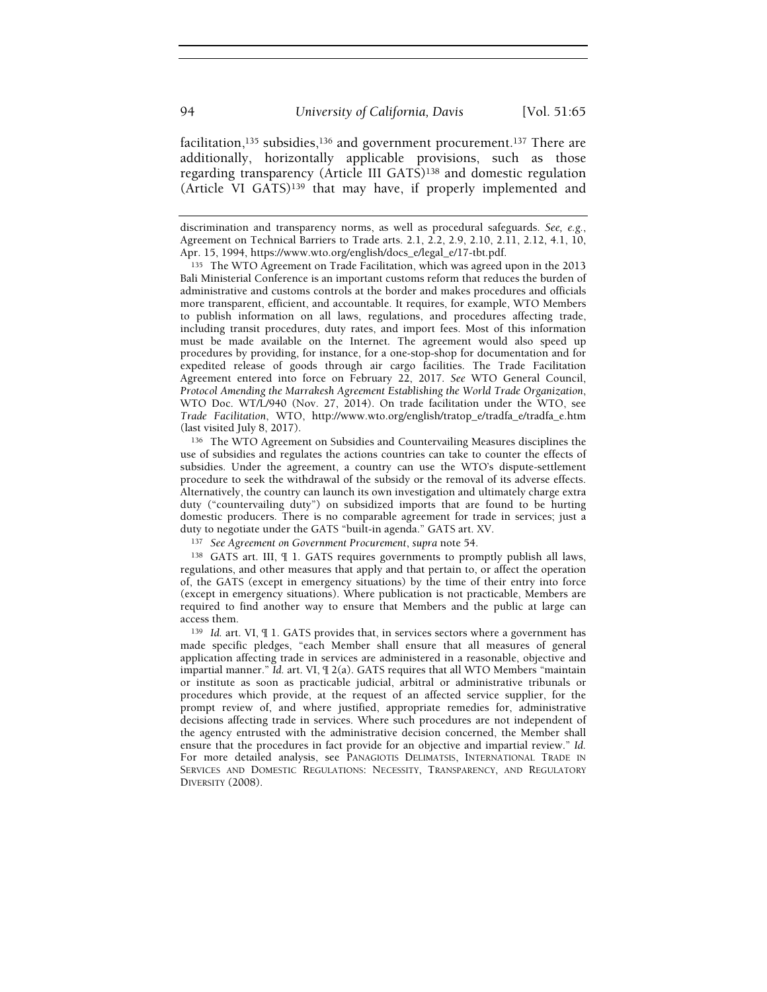facilitation,<sup>135</sup> subsidies,<sup>136</sup> and government procurement.<sup>137</sup> There are additionally, horizontally applicable provisions, such as those regarding transparency (Article III GATS)138 and domestic regulation (Article VI GATS)139 that may have, if properly implemented and

135 The WTO Agreement on Trade Facilitation, which was agreed upon in the 2013 Bali Ministerial Conference is an important customs reform that reduces the burden of administrative and customs controls at the border and makes procedures and officials more transparent, efficient, and accountable. It requires, for example, WTO Members to publish information on all laws, regulations, and procedures affecting trade, including transit procedures, duty rates, and import fees. Most of this information must be made available on the Internet. The agreement would also speed up procedures by providing, for instance, for a one-stop-shop for documentation and for expedited release of goods through air cargo facilities. The Trade Facilitation Agreement entered into force on February 22, 2017. See WTO General Council, Protocol Amending the Marrakesh Agreement Establishing the World Trade Organization, WTO Doc. WT/L/940 (Nov. 27, 2014). On trade facilitation under the WTO, see Trade Facilitation, WTO, http://www.wto.org/english/tratop\_e/tradfa\_e/tradfa\_e.htm (last visited July 8, 2017).

<sup>136</sup> The WTO Agreement on Subsidies and Countervailing Measures disciplines the use of subsidies and regulates the actions countries can take to counter the effects of subsidies. Under the agreement, a country can use the WTO's dispute-settlement procedure to seek the withdrawal of the subsidy or the removal of its adverse effects. Alternatively, the country can launch its own investigation and ultimately charge extra duty ("countervailing duty") on subsidized imports that are found to be hurting domestic producers. There is no comparable agreement for trade in services; just a duty to negotiate under the GATS "built-in agenda." GATS art. XV.

137 See Agreement on Government Procurement, supra note 54.

<sup>138</sup> GATS art. III, ¶ 1. GATS requires governments to promptly publish all laws, regulations, and other measures that apply and that pertain to, or affect the operation of, the GATS (except in emergency situations) by the time of their entry into force (except in emergency situations). Where publication is not practicable, Members are required to find another way to ensure that Members and the public at large can access them.

<sup>139</sup> Id. art. VI, ¶ 1. GATS provides that, in services sectors where a government has made specific pledges, "each Member shall ensure that all measures of general application affecting trade in services are administered in a reasonable, objective and impartial manner." Id. art. VI,  $\parallel$  2(a). GATS requires that all WTO Members "maintain or institute as soon as practicable judicial, arbitral or administrative tribunals or procedures which provide, at the request of an affected service supplier, for the prompt review of, and where justified, appropriate remedies for, administrative decisions affecting trade in services. Where such procedures are not independent of the agency entrusted with the administrative decision concerned, the Member shall ensure that the procedures in fact provide for an objective and impartial review." Id. For more detailed analysis, see PANAGIOTIS DELIMATSIS, INTERNATIONAL TRADE IN SERVICES AND DOMESTIC REGULATIONS: NECESSITY, TRANSPARENCY, AND REGULATORY DIVERSITY (2008).

discrimination and transparency norms, as well as procedural safeguards. See, e.g., Agreement on Technical Barriers to Trade arts. 2.1, 2.2, 2.9, 2.10, 2.11, 2.12, 4.1, 10, Apr. 15, 1994, https://www.wto.org/english/docs\_e/legal\_e/17-tbt.pdf.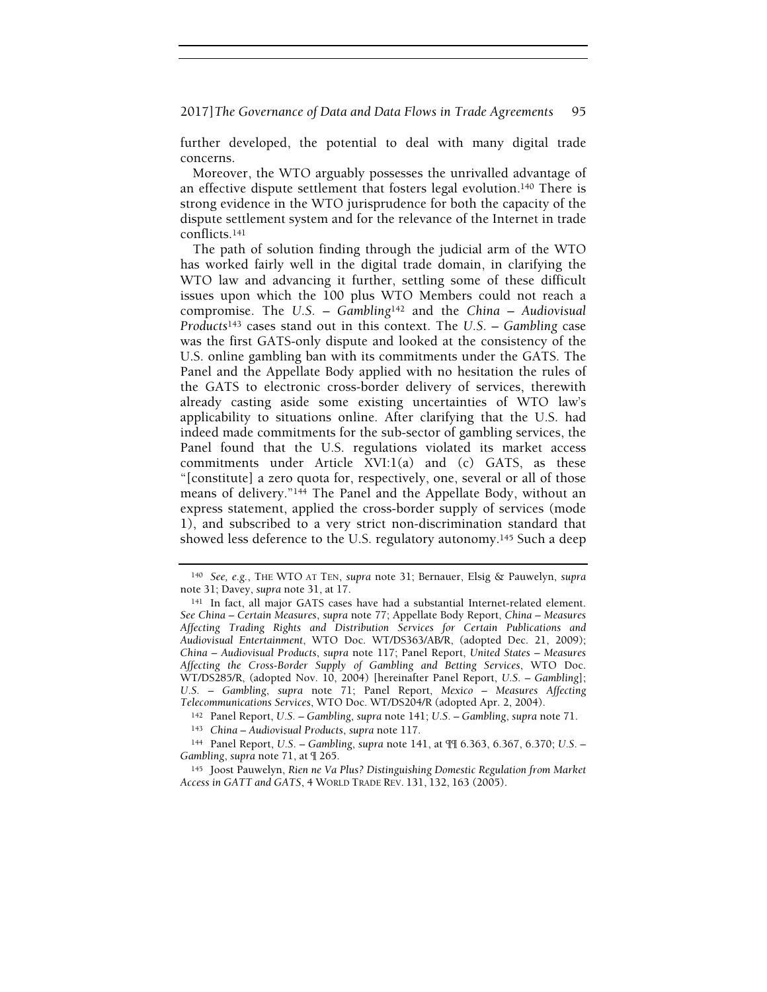further developed, the potential to deal with many digital trade concerns.

Moreover, the WTO arguably possesses the unrivalled advantage of an effective dispute settlement that fosters legal evolution.140 There is strong evidence in the WTO jurisprudence for both the capacity of the dispute settlement system and for the relevance of the Internet in trade conflicts.<sup>141</sup>

The path of solution finding through the judicial arm of the WTO has worked fairly well in the digital trade domain, in clarifying the WTO law and advancing it further, settling some of these difficult issues upon which the 100 plus WTO Members could not reach a compromise. The U.S. – Gambling<sup>142</sup> and the China – Audiovisual Products<sup>143</sup> cases stand out in this context. The U.S. – Gambling case was the first GATS-only dispute and looked at the consistency of the U.S. online gambling ban with its commitments under the GATS. The Panel and the Appellate Body applied with no hesitation the rules of the GATS to electronic cross-border delivery of services, therewith already casting aside some existing uncertainties of WTO law's applicability to situations online. After clarifying that the U.S. had indeed made commitments for the sub-sector of gambling services, the Panel found that the U.S. regulations violated its market access commitments under Article XVI:1(a) and (c) GATS, as these "[constitute] a zero quota for, respectively, one, several or all of those means of delivery."144 The Panel and the Appellate Body, without an express statement, applied the cross-border supply of services (mode 1), and subscribed to a very strict non-discrimination standard that showed less deference to the U.S. regulatory autonomy.<sup>145</sup> Such a deep

<sup>140</sup> See, e.g., THE WTO AT TEN, supra note 31; Bernauer, Elsig & Pauwelyn, supra note 31; Davey, supra note 31, at 17.

<sup>141</sup> In fact, all major GATS cases have had a substantial Internet-related element. See China – Certain Measures, supra note 77; Appellate Body Report, China – Measures Affecting Trading Rights and Distribution Services for Certain Publications and Audiovisual Entertainment, WTO Doc. WT/DS363/AB/R, (adopted Dec. 21, 2009); China – Audiovisual Products, supra note 117; Panel Report, United States – Measures Affecting the Cross-Border Supply of Gambling and Betting Services, WTO Doc. WT/DS285/R, (adopted Nov. 10, 2004) [hereinafter Panel Report, U.S. – Gambling]; U.S. – Gambling, supra note 71; Panel Report, Mexico – Measures Affecting Telecommunications Services, WTO Doc. WT/DS204/R (adopted Apr. 2, 2004).

<sup>142</sup> Panel Report, U.S. – Gambling, supra note 141; U.S. – Gambling, supra note 71.

<sup>143</sup> China – Audiovisual Products, supra note 117.

<sup>144</sup> Panel Report, U.S. – Gambling, supra note 141, at ¶¶ 6.363, 6.367, 6.370; U.S. – Gambling, supra note 71, at ¶ 265.

<sup>145</sup> Joost Pauwelyn, Rien ne Va Plus? Distinguishing Domestic Regulation from Market Access in GATT and GATS, 4 WORLD TRADE REV. 131, 132, 163 (2005).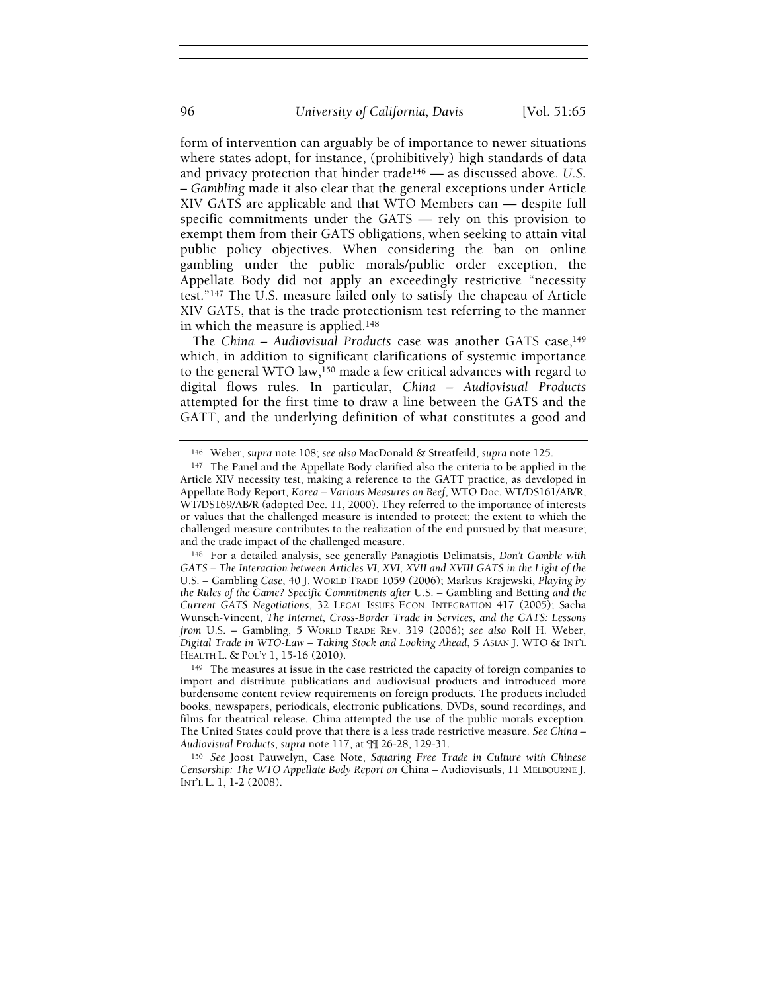form of intervention can arguably be of importance to newer situations where states adopt, for instance, (prohibitively) high standards of data and privacy protection that hinder trade146 — as discussed above. U.S. – Gambling made it also clear that the general exceptions under Article XIV GATS are applicable and that WTO Members can — despite full specific commitments under the GATS — rely on this provision to exempt them from their GATS obligations, when seeking to attain vital public policy objectives. When considering the ban on online gambling under the public morals/public order exception, the Appellate Body did not apply an exceedingly restrictive "necessity test."147 The U.S. measure failed only to satisfy the chapeau of Article XIV GATS, that is the trade protectionism test referring to the manner in which the measure is applied.<sup>148</sup>

The China – Audiovisual Products case was another GATS case,  $149$ which, in addition to significant clarifications of systemic importance to the general WTO law, $150$  made a few critical advances with regard to digital flows rules. In particular, China – Audiovisual Products attempted for the first time to draw a line between the GATS and the GATT, and the underlying definition of what constitutes a good and

<sup>146</sup> Weber, supra note 108; see also MacDonald & Streatfeild, supra note 125.

<sup>147</sup> The Panel and the Appellate Body clarified also the criteria to be applied in the Article XIV necessity test, making a reference to the GATT practice, as developed in Appellate Body Report, Korea – Various Measures on Beef, WTO Doc. WT/DS161/AB/R, WT/DS169/AB/R (adopted Dec. 11, 2000). They referred to the importance of interests or values that the challenged measure is intended to protect; the extent to which the challenged measure contributes to the realization of the end pursued by that measure; and the trade impact of the challenged measure.

<sup>148</sup> For a detailed analysis, see generally Panagiotis Delimatsis, Don't Gamble with GATS – The Interaction between Articles VI, XVI, XVII and XVIII GATS in the Light of the U.S. – Gambling Case, 40 J. WORLD TRADE 1059 (2006); Markus Krajewski, Playing by the Rules of the Game? Specific Commitments after U.S. – Gambling and Betting and the Current GATS Negotiations, 32 LEGAL ISSUES ECON. INTEGRATION 417 (2005); Sacha Wunsch-Vincent, The Internet, Cross-Border Trade in Services, and the GATS: Lessons from U.S. – Gambling, 5 WORLD TRADE REV. 319 (2006); see also Rolf H. Weber, Digital Trade in WTO-Law – Taking Stock and Looking Ahead, 5 ASIAN J. WTO & INT'L HEALTH L. & POL'Y 1, 15-16 (2010).

<sup>149</sup> The measures at issue in the case restricted the capacity of foreign companies to import and distribute publications and audiovisual products and introduced more burdensome content review requirements on foreign products. The products included books, newspapers, periodicals, electronic publications, DVDs, sound recordings, and films for theatrical release. China attempted the use of the public morals exception. The United States could prove that there is a less trade restrictive measure. See China -Audiovisual Products, supra note 117, at ¶¶ 26-28, 129-31.

<sup>150</sup> See Joost Pauwelyn, Case Note, Squaring Free Trade in Culture with Chinese Censorship: The WTO Appellate Body Report on China – Audiovisuals, 11 MELBOURNE J. INT'L L. 1, 1-2 (2008).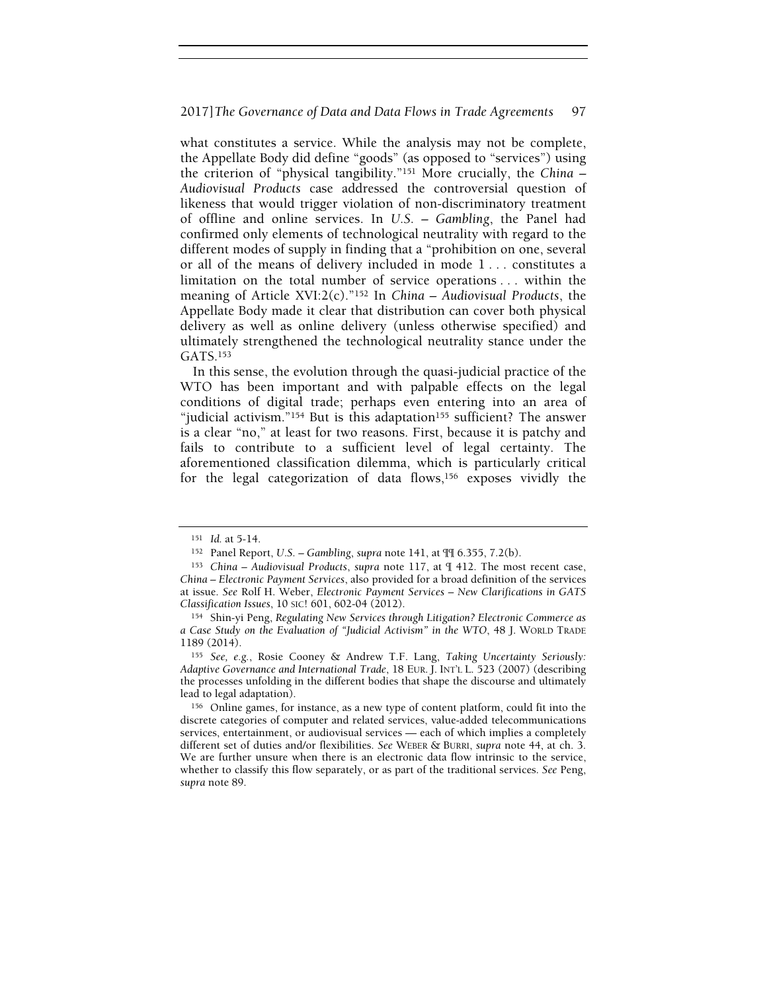what constitutes a service. While the analysis may not be complete, the Appellate Body did define "goods" (as opposed to "services") using the criterion of "physical tangibility."151 More crucially, the China – Audiovisual Products case addressed the controversial question of likeness that would trigger violation of non-discriminatory treatment of offline and online services. In U.S. – Gambling, the Panel had confirmed only elements of technological neutrality with regard to the different modes of supply in finding that a "prohibition on one, several or all of the means of delivery included in mode 1 . . . constitutes a limitation on the total number of service operations . . . within the meaning of Article XVI:2(c)."<sup>152</sup> In China – Audiovisual Products, the Appellate Body made it clear that distribution can cover both physical delivery as well as online delivery (unless otherwise specified) and ultimately strengthened the technological neutrality stance under the GATS.<sup>153</sup>

In this sense, the evolution through the quasi-judicial practice of the WTO has been important and with palpable effects on the legal conditions of digital trade; perhaps even entering into an area of "judicial activism."<sup>154</sup> But is this adaptation<sup>155</sup> sufficient? The answer is a clear "no," at least for two reasons. First, because it is patchy and fails to contribute to a sufficient level of legal certainty. The aforementioned classification dilemma, which is particularly critical for the legal categorization of data flows,156 exposes vividly the

<sup>151</sup> Id. at 5-14.

<sup>152</sup> Panel Report, U.S. – Gambling, supra note 141, at ¶¶ 6.355, 7.2(b).

<sup>153</sup> China – Audiovisual Products, supra note 117, at ¶ 412. The most recent case, China – Electronic Payment Services, also provided for a broad definition of the services at issue. See Rolf H. Weber, Electronic Payment Services – New Clarifications in GATS Classification Issues, 10 SIC! 601, 602-04 (2012).

<sup>154</sup> Shin-yi Peng, Regulating New Services through Litigation? Electronic Commerce as a Case Study on the Evaluation of "Judicial Activism" in the WTO, 48 J. WORLD TRADE 1189 (2014).

<sup>155</sup> See, e.g., Rosie Cooney & Andrew T.F. Lang, Taking Uncertainty Seriously: Adaptive Governance and International Trade, 18 EUR. J. INT'L L. 523 (2007) (describing the processes unfolding in the different bodies that shape the discourse and ultimately lead to legal adaptation).

<sup>156</sup> Online games, for instance, as a new type of content platform, could fit into the discrete categories of computer and related services, value-added telecommunications services, entertainment, or audiovisual services — each of which implies a completely different set of duties and/or flexibilities. See WEBER & BURRI, supra note 44, at ch. 3. We are further unsure when there is an electronic data flow intrinsic to the service, whether to classify this flow separately, or as part of the traditional services. See Peng, supra note 89.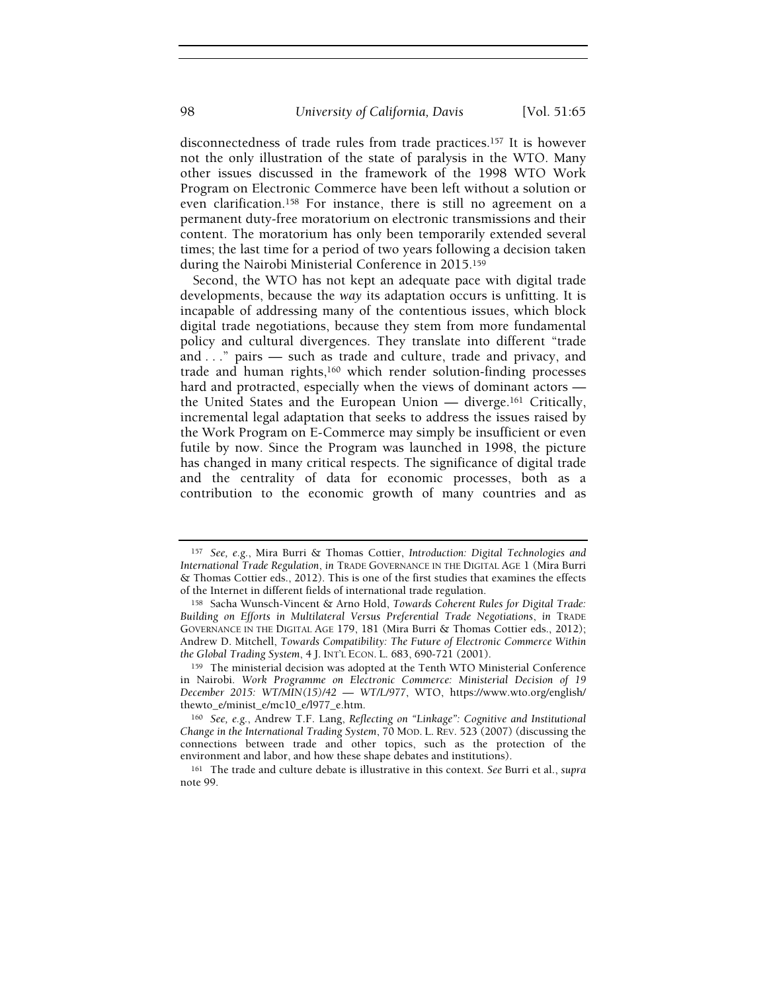disconnectedness of trade rules from trade practices.157 It is however not the only illustration of the state of paralysis in the WTO. Many other issues discussed in the framework of the 1998 WTO Work Program on Electronic Commerce have been left without a solution or even clarification.158 For instance, there is still no agreement on a permanent duty-free moratorium on electronic transmissions and their content. The moratorium has only been temporarily extended several times; the last time for a period of two years following a decision taken during the Nairobi Ministerial Conference in 2015.<sup>159</sup>

Second, the WTO has not kept an adequate pace with digital trade developments, because the way its adaptation occurs is unfitting. It is incapable of addressing many of the contentious issues, which block digital trade negotiations, because they stem from more fundamental policy and cultural divergences. They translate into different "trade and . . ." pairs — such as trade and culture, trade and privacy, and trade and human rights,160 which render solution-finding processes hard and protracted, especially when the views of dominant actors the United States and the European Union — diverge.161 Critically, incremental legal adaptation that seeks to address the issues raised by the Work Program on E-Commerce may simply be insufficient or even futile by now. Since the Program was launched in 1998, the picture has changed in many critical respects. The significance of digital trade and the centrality of data for economic processes, both as a contribution to the economic growth of many countries and as

<sup>157</sup> See, e.g., Mira Burri & Thomas Cottier, Introduction: Digital Technologies and International Trade Regulation, in TRADE GOVERNANCE IN THE DIGITAL AGE 1 (Mira Burri & Thomas Cottier eds., 2012). This is one of the first studies that examines the effects of the Internet in different fields of international trade regulation.

<sup>158</sup> Sacha Wunsch-Vincent & Arno Hold, Towards Coherent Rules for Digital Trade: Building on Efforts in Multilateral Versus Preferential Trade Negotiations, in TRADE GOVERNANCE IN THE DIGITAL AGE 179, 181 (Mira Burri & Thomas Cottier eds., 2012); Andrew D. Mitchell, Towards Compatibility: The Future of Electronic Commerce Within the Global Trading System, 4 J. INT'L ECON. L. 683, 690-721 (2001).

<sup>159</sup> The ministerial decision was adopted at the Tenth WTO Ministerial Conference in Nairobi. Work Programme on Electronic Commerce: Ministerial Decision of 19 December 2015: WT/MIN(15)/42 — WT/L/977, WTO, https://www.wto.org/english/ thewto\_e/minist\_e/mc10\_e/l977\_e.htm.

<sup>160</sup> See, e.g., Andrew T.F. Lang, Reflecting on "Linkage": Cognitive and Institutional Change in the International Trading System, 70 MOD. L. REV. 523 (2007) (discussing the connections between trade and other topics, such as the protection of the environment and labor, and how these shape debates and institutions).

<sup>&</sup>lt;sup>161</sup> The trade and culture debate is illustrative in this context. See Burri et al., supra note 99.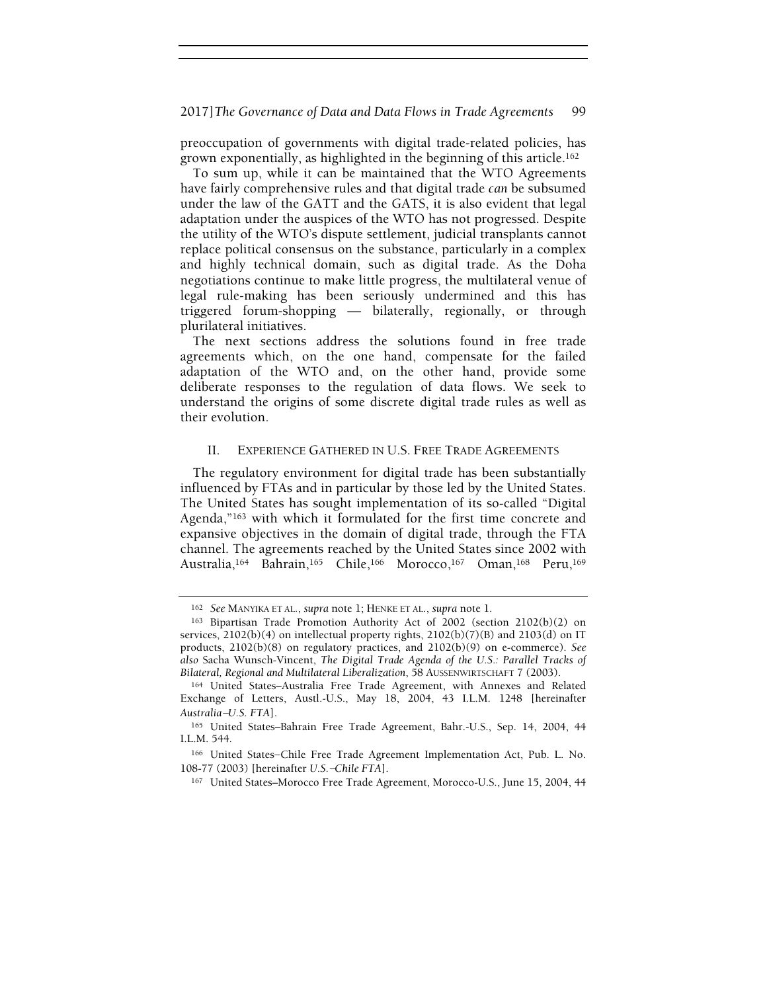preoccupation of governments with digital trade-related policies, has grown exponentially, as highlighted in the beginning of this article.<sup>162</sup>

To sum up, while it can be maintained that the WTO Agreements have fairly comprehensive rules and that digital trade can be subsumed under the law of the GATT and the GATS, it is also evident that legal adaptation under the auspices of the WTO has not progressed. Despite the utility of the WTO's dispute settlement, judicial transplants cannot replace political consensus on the substance, particularly in a complex and highly technical domain, such as digital trade. As the Doha negotiations continue to make little progress, the multilateral venue of legal rule-making has been seriously undermined and this has triggered forum-shopping — bilaterally, regionally, or through plurilateral initiatives.

The next sections address the solutions found in free trade agreements which, on the one hand, compensate for the failed adaptation of the WTO and, on the other hand, provide some deliberate responses to the regulation of data flows. We seek to understand the origins of some discrete digital trade rules as well as their evolution.

# II. EXPERIENCE GATHERED IN U.S. FREE TRADE AGREEMENTS

The regulatory environment for digital trade has been substantially influenced by FTAs and in particular by those led by the United States. The United States has sought implementation of its so-called "Digital Agenda,"163 with which it formulated for the first time concrete and expansive objectives in the domain of digital trade, through the FTA channel. The agreements reached by the United States since 2002 with Australia,164 Bahrain,165 Chile,166 Morocco,167 Oman,168 Peru,<sup>169</sup>

<sup>162</sup> See MANYIKA ET AL., supra note 1; HENKE ET AL., supra note 1.

<sup>163</sup> Bipartisan Trade Promotion Authority Act of 2002 (section 2102(b)(2) on services, 2102(b)(4) on intellectual property rights, 2102(b)(7)(B) and 2103(d) on IT products, 2102(b)(8) on regulatory practices, and 2102(b)(9) on e-commerce). See Bilateral, Regional and Multilateral Liberalization, 58 AUSSENWIRTSCHAFT 7 (2003).

also Sacha Wunsch-Vincent, *The Digital Trade Agenda of the U.S.: Parallel Tracks of Bilateral*, *Regional and Multilateral Liberalization*, 58 Aussenwirk Schaff Bilateral, *Regional and Multilateral Liberalization*, 58 Au <sup>164</sup> United States–Australia Free Trade Agreement, with Annexes and Related Exchange of Letters, Austl.-U.S., May 18, 2004, 43 I.L.M. 1248 [hereinafter

<sup>165</sup> United States–Bahrain Free Trade Agreement, Bahr.-U.S., Sep. 14, 2004, 44 I.L.M. 544. Australia–U.S. FTA].<br><sup>165</sup> United States–Bahrain Free Trade Ag<br>I.L.M. 544.<br><sup>166</sup> United States–Chile Free Trade Agre<br>108-77 (2003) [hereinafter U.S.–Chil*e* FTA].

<sup>166</sup> United States−Chile Free Trade Agreement Implementation Act, Pub. L. No.

<sup>167</sup> United States–Morocco Free Trade Agreement, Morocco-U.S., June 15, 2004, 44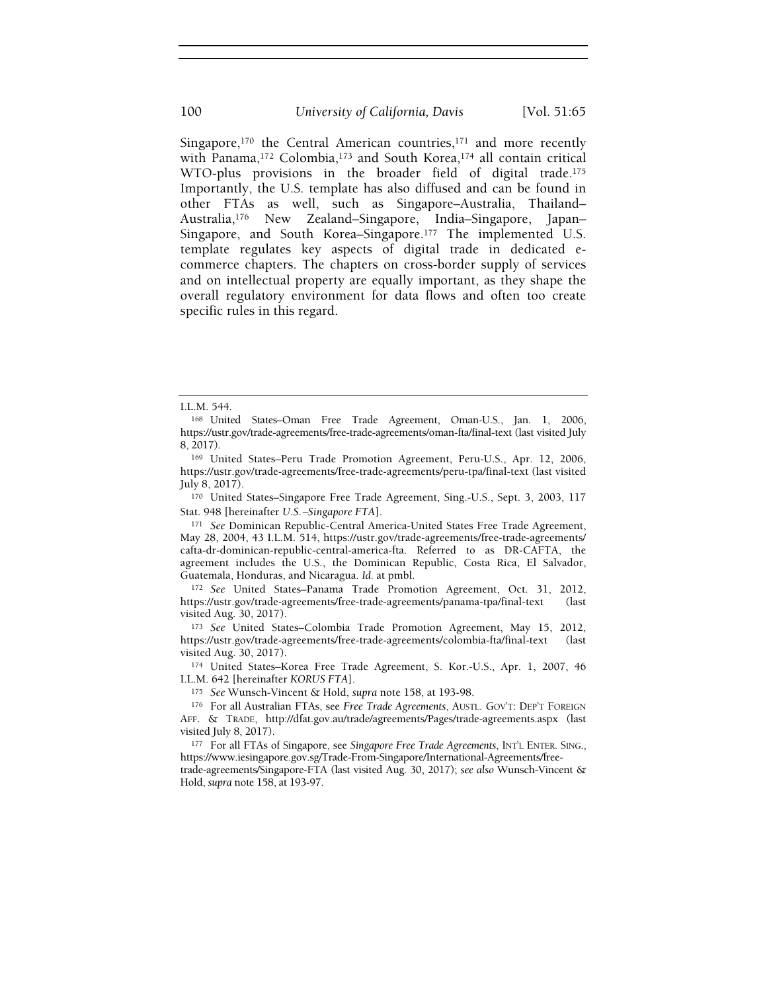Singapore,<sup>170</sup> the Central American countries,<sup>171</sup> and more recently with Panama,<sup>172</sup> Colombia,<sup>173</sup> and South Korea,<sup>174</sup> all contain critical WTO-plus provisions in the broader field of digital trade.<sup>175</sup> Importantly, the U.S. template has also diffused and can be found in other FTAs as well, such as Singapore–Australia, Thailand– Australia,176 New Zealand–Singapore, India–Singapore, Japan– Singapore, and South Korea–Singapore.<sup>177</sup> The implemented U.S. template regulates key aspects of digital trade in dedicated ecommerce chapters. The chapters on cross-border supply of services and on intellectual property are equally important, as they shape the overall regulatory environment for data flows and often too create specific rules in this regard.

<sup>170</sup> United States–Singapore Free Trade Agreement, Sing.-U.S., Sept. 3, 2003, 117

<sup>171</sup> See Dominican Republic-Central America-United States Free Trade Agreement, May 28, 2004, 43 I.L.M. 514, https://ustr.gov/trade-agreements/free-trade-agreements/ cafta-dr-dominican-republic-central-america-fta. Referred to as DR-CAFTA, the agreement includes the U.S., the Dominican Republic, Costa Rica, El Salvador, Guatemala, Honduras, and Nicaragua. Id. at pmbl.

<sup>172</sup> See United States–Panama Trade Promotion Agreement, Oct. 31, 2012, https://ustr.gov/trade-agreements/free-trade-agreements/panama-tpa/final-text (last visited Aug. 30, 2017).

<sup>173</sup> See United States–Colombia Trade Promotion Agreement, May 15, 2012, https://ustr.gov/trade-agreements/free-trade-agreements/colombia-fta/final-text (last visited Aug. 30, 2017).

<sup>174</sup> United States–Korea Free Trade Agreement, S. Kor.-U.S., Apr. 1, 2007, 46 I.L.M. 642 [hereinafter KORUS FTA].

<sup>175</sup> See Wunsch-Vincent & Hold, supra note 158, at 193-98.

<sup>176</sup> For all Australian FTAs, see Free Trade Agreements, AUSTL. GOV'T: DEP'T FOREIGN AFF. & TRADE, http://dfat.gov.au/trade/agreements/Pages/trade-agreements.aspx (last visited July 8, 2017).

177 For all FTAs of Singapore, see Singapore Free Trade Agreements, INT'L ENTER. SING., https://www.iesingapore.gov.sg/Trade-From-Singapore/International-Agreements/free-

trade-agreements/Singapore-FTA (last visited Aug. 30, 2017); see also Wunsch-Vincent & Hold, supra note 158, at 193-97.

I.L.M. 544.

<sup>168</sup> United States–Oman Free Trade Agreement, Oman-U.S., Jan. 1, 2006, https://ustr.gov/trade-agreements/free-trade-agreements/oman-fta/final-text (last visited July 8, 2017).

<sup>169</sup> United States–Peru Trade Promotion Agreement, Peru-U.S., Apr. 12, 2006, https://ustr.gov/trade-agreements/free-trade-agreements/peru-tpa/final-text (last visited July 8, 2017). <sup>169</sup> United States–Peru Trade Promotio<br>https://ustr.gov/trade-agreements/free-trade-<br>July 8, 2017).<br><sup>170</sup> United States–Singapore Free Trade<br>Stat. 948 [hereinafter U.S.–Singapore FTA].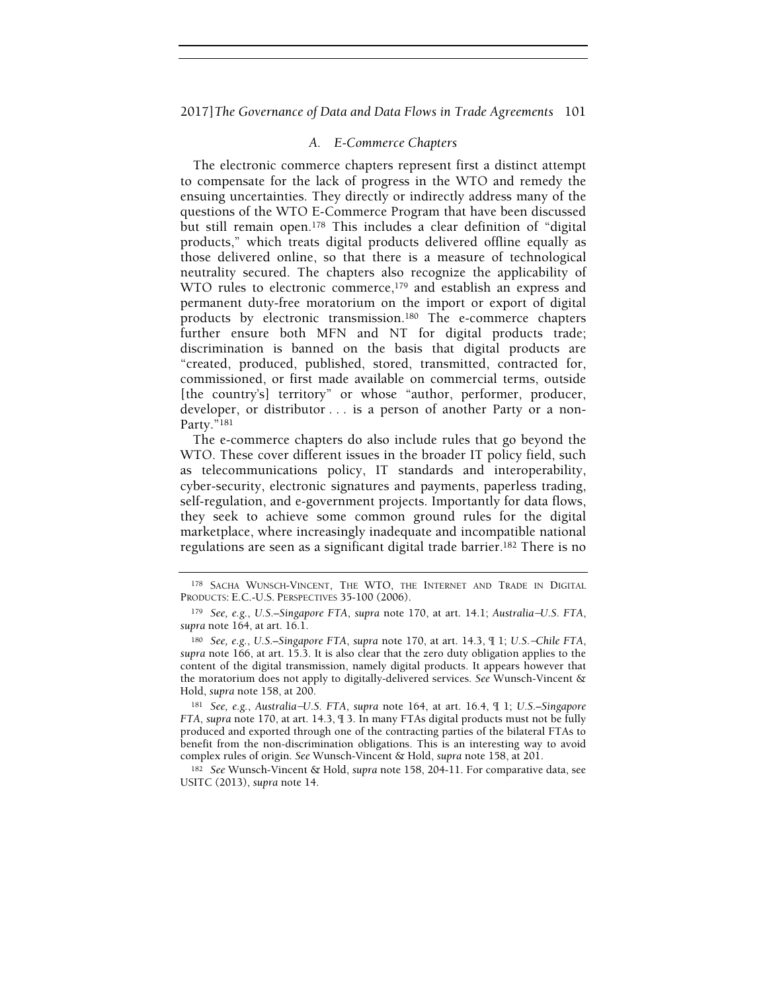# A. E-Commerce Chapters

The electronic commerce chapters represent first a distinct attempt to compensate for the lack of progress in the WTO and remedy the ensuing uncertainties. They directly or indirectly address many of the questions of the WTO E-Commerce Program that have been discussed but still remain open.178 This includes a clear definition of "digital products," which treats digital products delivered offline equally as those delivered online, so that there is a measure of technological neutrality secured. The chapters also recognize the applicability of WTO rules to electronic commerce,<sup>179</sup> and establish an express and permanent duty-free moratorium on the import or export of digital products by electronic transmission.180 The e-commerce chapters further ensure both MFN and NT for digital products trade; discrimination is banned on the basis that digital products are "created, produced, published, stored, transmitted, contracted for, commissioned, or first made available on commercial terms, outside [the country's] territory" or whose "author, performer, producer, developer, or distributor . . . is a person of another Party or a non-Party."181

The e-commerce chapters do also include rules that go beyond the WTO. These cover different issues in the broader IT policy field, such as telecommunications policy, IT standards and interoperability, cyber-security, electronic signatures and payments, paperless trading, self-regulation, and e-government projects. Importantly for data flows, they seek to achieve some common ground rules for the digital marketplace, where increasingly inadequate and incompatible national regulations are seen as a significant digital trade barrier.182 There is no

<sup>178</sup> SACHA WUNSCH-VINCENT, THE WTO, THE INTERNET AND TRADE IN DIGITAL PRODUCTS: E.C.-U.S. PERSPECTIVES 35-100 (2006). 178 SACHA WUNSCH-VINCENT, THE WTO, THE INTERNET AND TRADE IN DIGITAL<br>179 SACHA WUNSCH-VINCENT, THE WTO, THE INTERNET AND TRADE IN DIGITAL<br>179 See, e.g., U.S.–Singapore FTA, supra note 170, at art. 14.1; Australia–U.S. FTA,

supra note  $164$ , at art.  $16.1$ . 178 SACHA WUNSCH-VINCENT, THE WTO, THE INTERNET AND TRADE IN DIGITAL<br>ODUCTS: E.C.-U.S. PERSPECTIVES 35-100 (2006).<br><sup>179</sup> See, e.g., U.S.–Singapore FTA, supra note 170, at art. 14.1; Australia–U.S. FTA,<br>pra note 164, at art

supra note 166, at art. 15.3. It is also clear that the zero duty obligation applies to the content of the digital transmission, namely digital products. It appears however that the moratorium does not apply to digitallycontent of the digital transmission, namely digital products. It appears however that the moratorium does not apply to digitally-delivered services. See Wunsch-Vincent & Hold, supra note 158, at 200.

FTA, supra note 170, at art. 14.3, ¶ 3. In many FTAs digital products must not be fully produced and exported through one of the contracting parties of the bilateral FTAs to benefit from the non-discrimination obligations. This is an interesting way to avoid complex rules of origin. See Wunsch-Vincent & Hold, supra note 158, at 201.

<sup>182</sup> See Wunsch-Vincent & Hold, supra note 158, 204-11. For comparative data, see USITC (2013), supra note 14.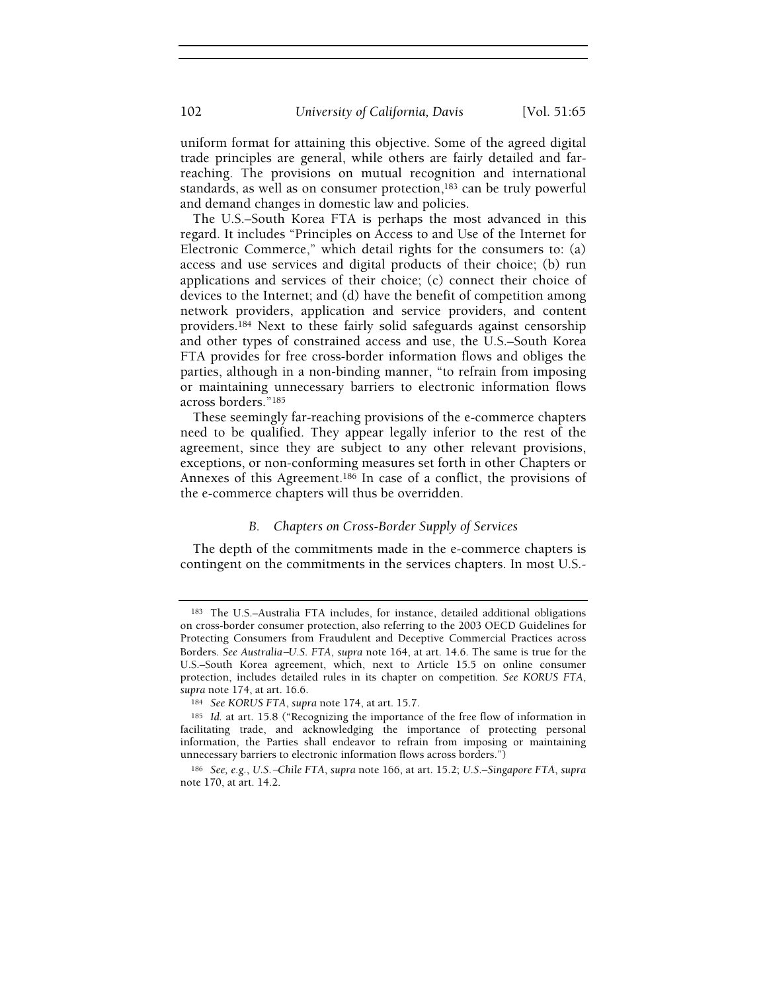uniform format for attaining this objective. Some of the agreed digital trade principles are general, while others are fairly detailed and farreaching. The provisions on mutual recognition and international standards, as well as on consumer protection,<sup>183</sup> can be truly powerful and demand changes in domestic law and policies.

The U.S.–South Korea FTA is perhaps the most advanced in this regard. It includes "Principles on Access to and Use of the Internet for Electronic Commerce," which detail rights for the consumers to: (a) access and use services and digital products of their choice; (b) run applications and services of their choice; (c) connect their choice of devices to the Internet; and (d) have the benefit of competition among network providers, application and service providers, and content providers.184 Next to these fairly solid safeguards against censorship and other types of constrained access and use, the U.S.–South Korea FTA provides for free cross-border information flows and obliges the parties, although in a non-binding manner, "to refrain from imposing or maintaining unnecessary barriers to electronic information flows across borders."<sup>185</sup>

These seemingly far-reaching provisions of the e-commerce chapters need to be qualified. They appear legally inferior to the rest of the agreement, since they are subject to any other relevant provisions, exceptions, or non-conforming measures set forth in other Chapters or Annexes of this Agreement.186 In case of a conflict, the provisions of the e-commerce chapters will thus be overridden.

# B. Chapters on Cross-Border Supply of Services

The depth of the commitments made in the e-commerce chapters is contingent on the commitments in the services chapters. In most U.S.-

<sup>183</sup> The U.S.–Australia FTA includes, for instance, detailed additional obligations on cross-border consumer protection, also referring to the 2003 OECD Guidelines for Protecting Consumers from Fraudulent and Deceptive Commercial Practices across <sup>183</sup> The U.S.–Australia FTA includes, for instance, detailed additional obligations<br>on cross-border consumer protection, also referring to the 2003 OECD Guidelines for<br>Protecting Consumers from Fraudulent and Deceptive Co U.S.–South Korea agreement, which, next to Article 15.5 on online consumer protection, includes detailed rules in its chapter on competition. See KORUS FTA, supra note 174, at art. 16.6.

<sup>184</sup> See KORUS FTA, supra note 174, at art. 15.7.

<sup>185</sup> Id. at art. 15.8 ("Recognizing the importance of the free flow of information in facilitating trade, and acknowledging the importance of protecting personal information, the Parties shall endeavor to refrain from imposing or maintaining unnecessary barriers to electronic information flows across borders.")

<sup>186</sup> See, e.g., U.S.−Chile FTA, supra note 166, at art. 15.2; U.S.–Singapore FTA, supra note 170, at art. 14.2.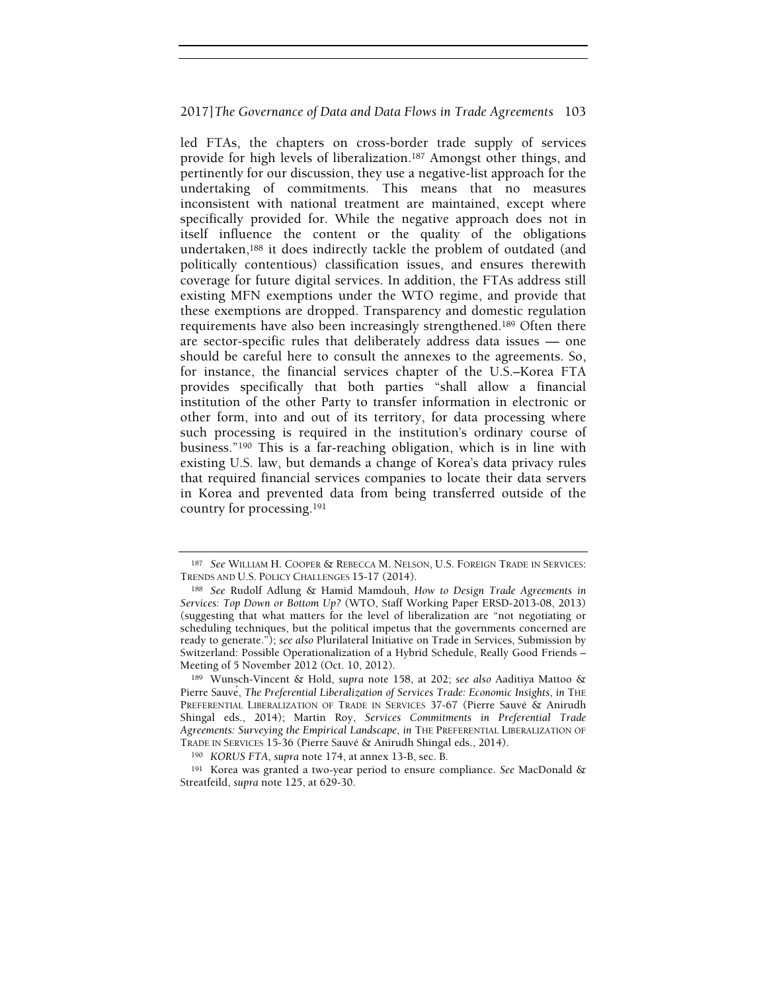led FTAs, the chapters on cross-border trade supply of services provide for high levels of liberalization.187 Amongst other things, and pertinently for our discussion, they use a negative-list approach for the undertaking of commitments. This means that no measures inconsistent with national treatment are maintained, except where specifically provided for. While the negative approach does not in itself influence the content or the quality of the obligations undertaken,188 it does indirectly tackle the problem of outdated (and politically contentious) classification issues, and ensures therewith coverage for future digital services. In addition, the FTAs address still existing MFN exemptions under the WTO regime, and provide that these exemptions are dropped. Transparency and domestic regulation requirements have also been increasingly strengthened.189 Often there are sector-specific rules that deliberately address data issues — one should be careful here to consult the annexes to the agreements. So, for instance, the financial services chapter of the U.S.–Korea FTA provides specifically that both parties "shall allow a financial institution of the other Party to transfer information in electronic or other form, into and out of its territory, for data processing where such processing is required in the institution's ordinary course of business."190 This is a far-reaching obligation, which is in line with existing U.S. law, but demands a change of Korea's data privacy rules that required financial services companies to locate their data servers in Korea and prevented data from being transferred outside of the country for processing.<sup>191</sup>

<sup>187</sup> See WILLIAM H. COOPER & REBECCA M. NELSON, U.S. FOREIGN TRADE IN SERVICES: TRENDS AND U.S. POLICY CHALLENGES 15-17 (2014).

<sup>188</sup> See Rudolf Adlung & Hamid Mamdouh, How to Design Trade Agreements in Services: Top Down or Bottom Up? (WTO, Staff Working Paper ERSD-2013-08, 2013) (suggesting that what matters for the level of liberalization are "not negotiating or scheduling techniques, but the political impetus that the governments concerned are ready to generate."); see also Plurilateral Initiative on Trade in Services, Submission by Switzerland: Possible Operationalization of a Hybrid Schedule, Really Good Friends – Meeting of 5 November 2012 (Oct. 10, 2012).

<sup>189</sup> Wunsch-Vincent & Hold, supra note 158, at 202; see also Aaditiya Mattoo & Pierre Sauvé, The Preferential Liberalization of Services Trade: Economic Insights, in THE PREFERENTIAL LIBERALIZATION OF TRADE IN SERVICES 37-67 (Pierre Sauvé & Anirudh Shingal eds., 2014); Martin Roy, Services Commitments in Preferential Trade Agreements: Surveying the Empirical Landscape, in THE PREFERENTIAL LIBERALIZATION OF TRADE IN SERVICES 15-36 (Pierre Sauvé & Anirudh Shingal eds., 2014).

<sup>190</sup> KORUS FTA, supra note 174, at annex 13-B, sec. B.

<sup>191</sup> Korea was granted a two-year period to ensure compliance. See MacDonald & Streatfeild, supra note 125, at 629-30.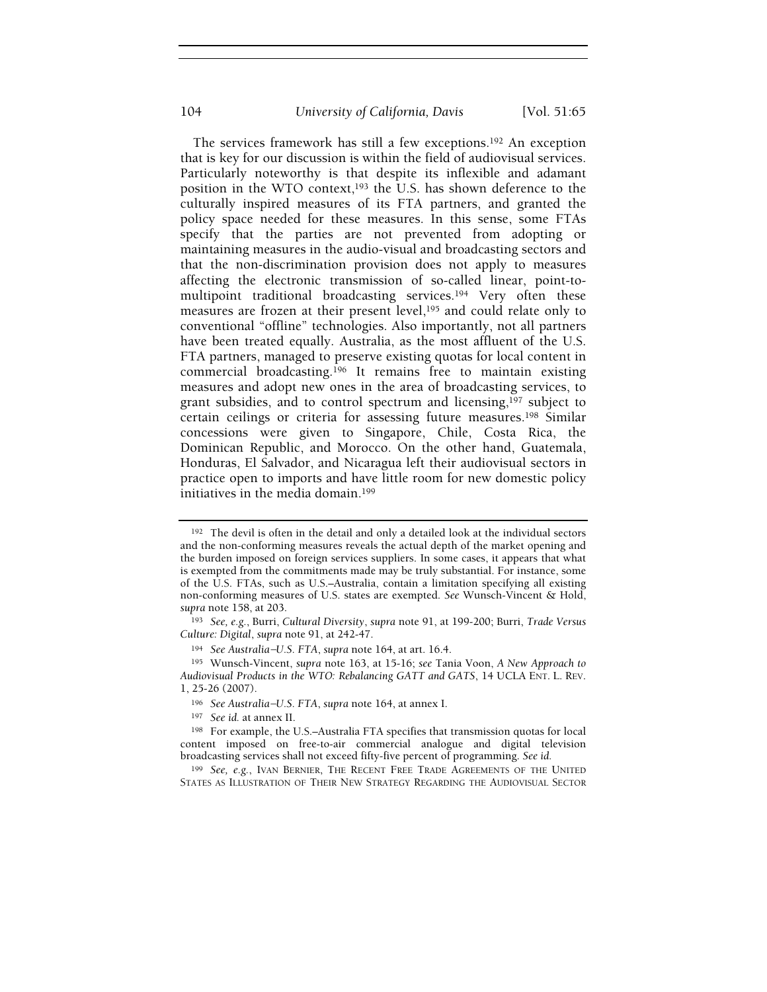The services framework has still a few exceptions.192 An exception that is key for our discussion is within the field of audiovisual services. Particularly noteworthy is that despite its inflexible and adamant position in the WTO context,<sup>193</sup> the U.S. has shown deference to the culturally inspired measures of its FTA partners, and granted the policy space needed for these measures. In this sense, some FTAs specify that the parties are not prevented from adopting or maintaining measures in the audio-visual and broadcasting sectors and that the non-discrimination provision does not apply to measures affecting the electronic transmission of so-called linear, point-tomultipoint traditional broadcasting services.194 Very often these measures are frozen at their present level,195 and could relate only to conventional "offline" technologies. Also importantly, not all partners have been treated equally. Australia, as the most affluent of the U.S. FTA partners, managed to preserve existing quotas for local content in commercial broadcasting.196 It remains free to maintain existing measures and adopt new ones in the area of broadcasting services, to grant subsidies, and to control spectrum and licensing,197 subject to certain ceilings or criteria for assessing future measures.198 Similar concessions were given to Singapore, Chile, Costa Rica, the Dominican Republic, and Morocco. On the other hand, Guatemala, Honduras, El Salvador, and Nicaragua left their audiovisual sectors in practice open to imports and have little room for new domestic policy initiatives in the media domain.<sup>199</sup>

<sup>192</sup> The devil is often in the detail and only a detailed look at the individual sectors and the non-conforming measures reveals the actual depth of the market opening and the burden imposed on foreign services suppliers. In some cases, it appears that what is exempted from the commitments made may be truly substantial. For instance, some of the U.S. FTAs, such as U.S.–Australia, contain a limitation specifying all existing non-conforming measures of U.S. states are exempted. See Wunsch-Vincent & Hold, supra note 158, at 203.

<sup>193</sup> See, e.g., Burri, Cultural Diversity, supra note 91, at 199-200; Burri, Trade Versus Culture: Digital, supra note 91, at 242-47.

<sup>194</sup> See Australia−U.S. FTA, supra note 164, at art. 16.4.

<sup>195</sup> Wunsch-Vincent, supra note 163, at 15-16; see Tania Voon, A New Approach to Audiovisual Products in the WTO: Rebalancing GATT and GATS, 14 UCLA ENT. L. REV. 1, 25-26 (2007). <sup>194</sup> See Australia–U.S. FTA, supra note 164, at art. 16.4.<br><sup>195</sup> Wunsch-Vincent, supra note 163, at 15-16; see Tar<br>diovisual Products in the WTO: Rebalancing GATT and C<br>25-26 (2007).<br><sup>196</sup> See Australia–U.S. FTA, supra no

<sup>197</sup> See id. at annex II.

<sup>198</sup> For example, the U.S.–Australia FTA specifies that transmission quotas for local content imposed on free-to-air commercial analogue and digital television broadcasting services shall not exceed fifty-five percent of programming. See id.

<sup>199</sup> See, e.g., IVAN BERNIER, THE RECENT FREE TRADE AGREEMENTS OF THE UNITED STATES AS ILLUSTRATION OF THEIR NEW STRATEGY REGARDING THE AUDIOVISUAL SECTOR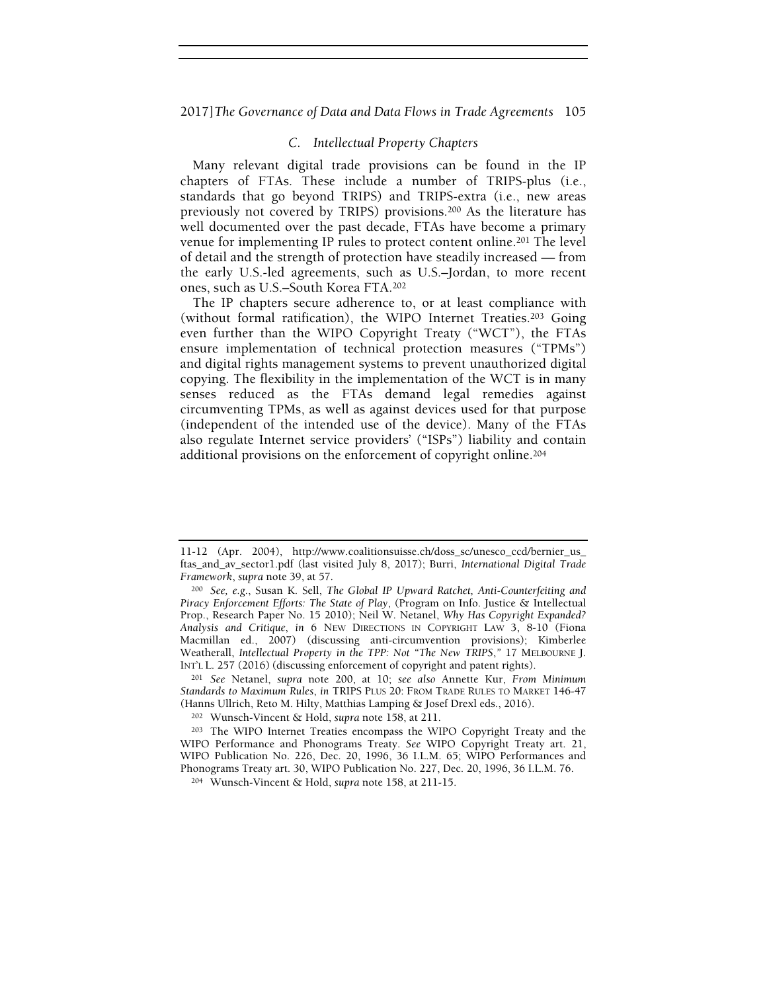# C. Intellectual Property Chapters

Many relevant digital trade provisions can be found in the IP chapters of FTAs. These include a number of TRIPS-plus (i.e., standards that go beyond TRIPS) and TRIPS-extra (i.e., new areas previously not covered by TRIPS) provisions.200 As the literature has well documented over the past decade, FTAs have become a primary venue for implementing IP rules to protect content online.201 The level of detail and the strength of protection have steadily increased — from the early U.S.-led agreements, such as U.S.–Jordan, to more recent ones, such as U.S.–South Korea FTA.<sup>202</sup>

The IP chapters secure adherence to, or at least compliance with (without formal ratification), the WIPO Internet Treaties.203 Going even further than the WIPO Copyright Treaty ("WCT"), the FTAs ensure implementation of technical protection measures ("TPMs") and digital rights management systems to prevent unauthorized digital copying. The flexibility in the implementation of the WCT is in many senses reduced as the FTAs demand legal remedies against circumventing TPMs, as well as against devices used for that purpose (independent of the intended use of the device). Many of the FTAs also regulate Internet service providers' ("ISPs") liability and contain additional provisions on the enforcement of copyright online.<sup>204</sup>

<sup>201</sup> See Netanel, supra note 200, at 10; see also Annette Kur, From Minimum Standards to Maximum Rules, in TRIPS PLUS 20: FROM TRADE RULES TO MARKET 146-47 (Hanns Ullrich, Reto M. Hilty, Matthias Lamping & Josef Drexl eds., 2016).

<sup>11-12 (</sup>Apr. 2004), http://www.coalitionsuisse.ch/doss\_sc/unesco\_ccd/bernier\_us\_ ftas\_and\_av\_sector1.pdf (last visited July 8, 2017); Burri, International Digital Trade Framework, supra note 39, at 57.

<sup>200</sup> See, e.g., Susan K. Sell, The Global IP Upward Ratchet, Anti-Counterfeiting and Piracy Enforcement Efforts: The State of Play, (Program on Info. Justice & Intellectual Prop., Research Paper No. 15 2010); Neil W. Netanel, Why Has Copyright Expanded? Analysis and Critique, in 6 NEW DIRECTIONS IN COPYRIGHT LAW 3, 8-10 (Fiona Macmillan ed., 2007) (discussing anti-circumvention provisions); Kimberlee Weatherall, Intellectual Property in the TPP: Not "The New TRIPS," 17 MELBOURNE J. INT'L L. 257 (2016) (discussing enforcement of copyright and patent rights).

<sup>202</sup> Wunsch-Vincent & Hold, supra note 158, at 211.

<sup>203</sup> The WIPO Internet Treaties encompass the WIPO Copyright Treaty and the WIPO Performance and Phonograms Treaty. See WIPO Copyright Treaty art. 21, WIPO Publication No. 226, Dec. 20, 1996, 36 I.L.M. 65; WIPO Performances and Phonograms Treaty art. 30, WIPO Publication No. 227, Dec. 20, 1996, 36 I.L.M. 76.

<sup>204</sup> Wunsch-Vincent & Hold, supra note 158, at 211-15.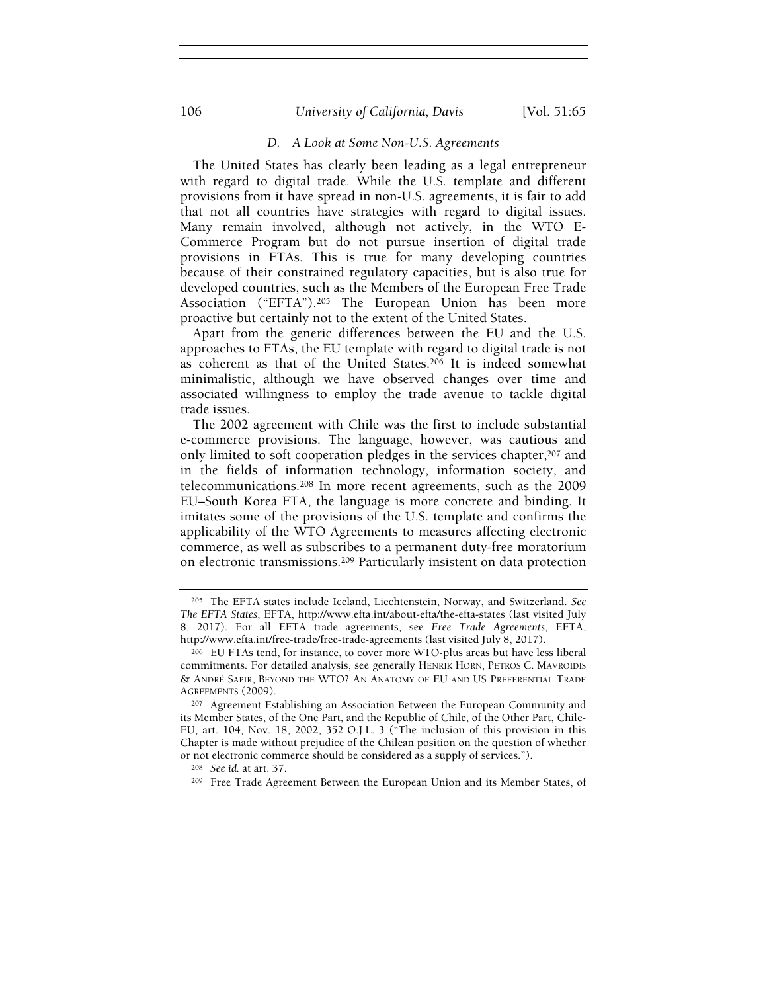# 106 **Iniversity of California, Davis** [Vol. 51:65]

# D. A Look at Some Non-U.S. Agreements

The United States has clearly been leading as a legal entrepreneur with regard to digital trade. While the U.S. template and different provisions from it have spread in non-U.S. agreements, it is fair to add that not all countries have strategies with regard to digital issues. Many remain involved, although not actively, in the WTO E-Commerce Program but do not pursue insertion of digital trade provisions in FTAs. This is true for many developing countries because of their constrained regulatory capacities, but is also true for developed countries, such as the Members of the European Free Trade Association ("EFTA").205 The European Union has been more proactive but certainly not to the extent of the United States.

Apart from the generic differences between the EU and the U.S. approaches to FTAs, the EU template with regard to digital trade is not as coherent as that of the United States.206 It is indeed somewhat minimalistic, although we have observed changes over time and associated willingness to employ the trade avenue to tackle digital trade issues.

The 2002 agreement with Chile was the first to include substantial e-commerce provisions. The language, however, was cautious and only limited to soft cooperation pledges in the services chapter,<sup>207</sup> and in the fields of information technology, information society, and telecommunications.208 In more recent agreements, such as the 2009 EU–South Korea FTA, the language is more concrete and binding. It imitates some of the provisions of the U.S. template and confirms the applicability of the WTO Agreements to measures affecting electronic commerce, as well as subscribes to a permanent duty-free moratorium on electronic transmissions.209 Particularly insistent on data protection

<sup>205</sup> The EFTA states include Iceland, Liechtenstein, Norway, and Switzerland. See The EFTA States, EFTA, http://www.efta.int/about-efta/the-efta-states (last visited July 8, 2017). For all EFTA trade agreements, see Free Trade Agreements, EFTA, http://www.efta.int/free-trade/free-trade-agreements (last visited July 8, 2017).

<sup>206</sup> EU FTAs tend, for instance, to cover more WTO-plus areas but have less liberal commitments. For detailed analysis, see generally HENRIK HORN, PETROS C. MAVROIDIS http://www.efta.int/free-trade/free-trade-agreements (last visited July 8, 2017).<br><sup>206</sup> EU FTAs tend, for instance, to cover more WTO-plus areas but have less liberal<br>commitments. For detailed analysis, see generally HENRI AGREEMENTS (2009).

<sup>207</sup> Agreement Establishing an Association Between the European Community and its Member States, of the One Part, and the Republic of Chile, of the Other Part, Chile-EU, art. 104, Nov. 18, 2002, 352 O.J.L. 3 ("The inclusion of this provision in this Chapter is made without prejudice of the Chilean position on the question of whether or not electronic commerce should be considered as a supply of services.").

<sup>208</sup> See id. at art. 37.

<sup>&</sup>lt;sup>209</sup> Free Trade Agreement Between the European Union and its Member States, of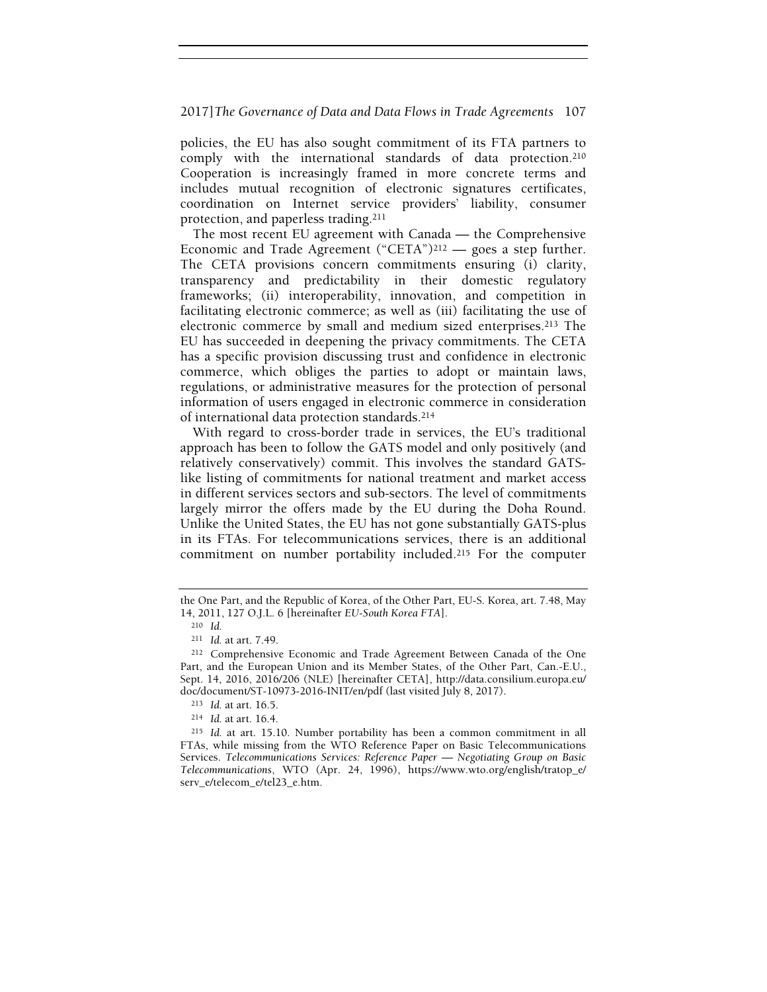policies, the EU has also sought commitment of its FTA partners to comply with the international standards of data protection.<sup>210</sup> Cooperation is increasingly framed in more concrete terms and includes mutual recognition of electronic signatures certificates, coordination on Internet service providers' liability, consumer protection, and paperless trading.<sup>211</sup>

The most recent EU agreement with Canada — the Comprehensive Economic and Trade Agreement ("CETA")<sup>212</sup> — goes a step further. The CETA provisions concern commitments ensuring (i) clarity, transparency and predictability in their domestic regulatory frameworks; (ii) interoperability, innovation, and competition in facilitating electronic commerce; as well as (iii) facilitating the use of electronic commerce by small and medium sized enterprises.213 The EU has succeeded in deepening the privacy commitments. The CETA has a specific provision discussing trust and confidence in electronic commerce, which obliges the parties to adopt or maintain laws, regulations, or administrative measures for the protection of personal information of users engaged in electronic commerce in consideration of international data protection standards.<sup>214</sup>

With regard to cross-border trade in services, the EU's traditional approach has been to follow the GATS model and only positively (and relatively conservatively) commit. This involves the standard GATSlike listing of commitments for national treatment and market access in different services sectors and sub-sectors. The level of commitments largely mirror the offers made by the EU during the Doha Round. Unlike the United States, the EU has not gone substantially GATS-plus in its FTAs. For telecommunications services, there is an additional commitment on number portability included.215 For the computer

the One Part, and the Republic of Korea, of the Other Part, EU-S. Korea, art. 7.48, May 14, 2011, 127 O.J.L. 6 [hereinafter EU-South Korea FTA].

<sup>210</sup> Id.

<sup>211</sup> Id. at art. 7.49.

<sup>212</sup> Comprehensive Economic and Trade Agreement Between Canada of the One Part, and the European Union and its Member States, of the Other Part, Can.-E.U., Sept. 14, 2016, 2016/206 (NLE) [hereinafter CETA], http://data.consilium.europa.eu/ doc/document/ST-10973-2016-INIT/en/pdf (last visited July 8, 2017).

<sup>213</sup> Id. at art. 16.5.

<sup>214</sup> Id. at art. 16.4.

<sup>215</sup> Id. at art. 15.10. Number portability has been a common commitment in all FTAs, while missing from the WTO Reference Paper on Basic Telecommunications Services. Telecommunications Services: Reference Paper — Negotiating Group on Basic Telecommunications, WTO (Apr. 24, 1996), https://www.wto.org/english/tratop\_e/ serv\_e/telecom\_e/tel23\_e.htm.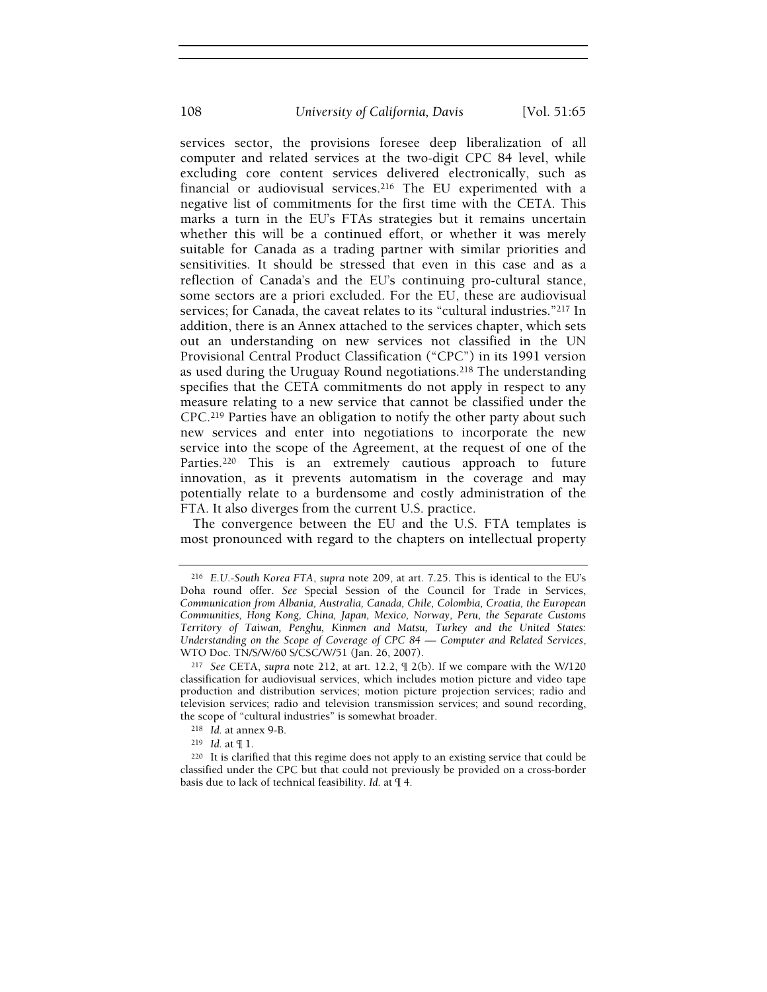services sector, the provisions foresee deep liberalization of all computer and related services at the two-digit CPC 84 level, while excluding core content services delivered electronically, such as financial or audiovisual services.<sup>216</sup> The EU experimented with a negative list of commitments for the first time with the CETA. This marks a turn in the EU's FTAs strategies but it remains uncertain whether this will be a continued effort, or whether it was merely suitable for Canada as a trading partner with similar priorities and sensitivities. It should be stressed that even in this case and as a reflection of Canada's and the EU's continuing pro-cultural stance, some sectors are a priori excluded. For the EU, these are audiovisual services; for Canada, the caveat relates to its "cultural industries."217 In addition, there is an Annex attached to the services chapter, which sets out an understanding on new services not classified in the UN Provisional Central Product Classification ("CPC") in its 1991 version as used during the Uruguay Round negotiations.218 The understanding specifies that the CETA commitments do not apply in respect to any measure relating to a new service that cannot be classified under the CPC.219 Parties have an obligation to notify the other party about such new services and enter into negotiations to incorporate the new service into the scope of the Agreement, at the request of one of the Parties.<sup>220</sup> This is an extremely cautious approach to future innovation, as it prevents automatism in the coverage and may potentially relate to a burdensome and costly administration of the FTA. It also diverges from the current U.S. practice.

The convergence between the EU and the U.S. FTA templates is most pronounced with regard to the chapters on intellectual property

<sup>216</sup> E.U.-South Korea FTA, supra note 209, at art. 7.25. This is identical to the EU's Doha round offer. See Special Session of the Council for Trade in Services, Communication from Albania, Australia, Canada, Chile, Colombia, Croatia, the European Communities, Hong Kong, China, Japan, Mexico, Norway, Peru, the Separate Customs Territory of Taiwan, Penghu, Kinmen and Matsu, Turkey and the United States: Understanding on the Scope of Coverage of CPC 84 — Computer and Related Services, WTO Doc. TN/S/W/60 S/CSC/W/51 (Jan. 26, 2007).

<sup>217</sup> See CETA, supra note 212, at art. 12.2, ¶ 2(b). If we compare with the W/120 classification for audiovisual services, which includes motion picture and video tape production and distribution services; motion picture projection services; radio and television services; radio and television transmission services; and sound recording, the scope of "cultural industries" is somewhat broader.

<sup>218</sup> Id. at annex 9-B.

<sup>219</sup> Id. at ¶ 1.

<sup>220</sup> It is clarified that this regime does not apply to an existing service that could be classified under the CPC but that could not previously be provided on a cross-border basis due to lack of technical feasibility. Id. at ¶ 4.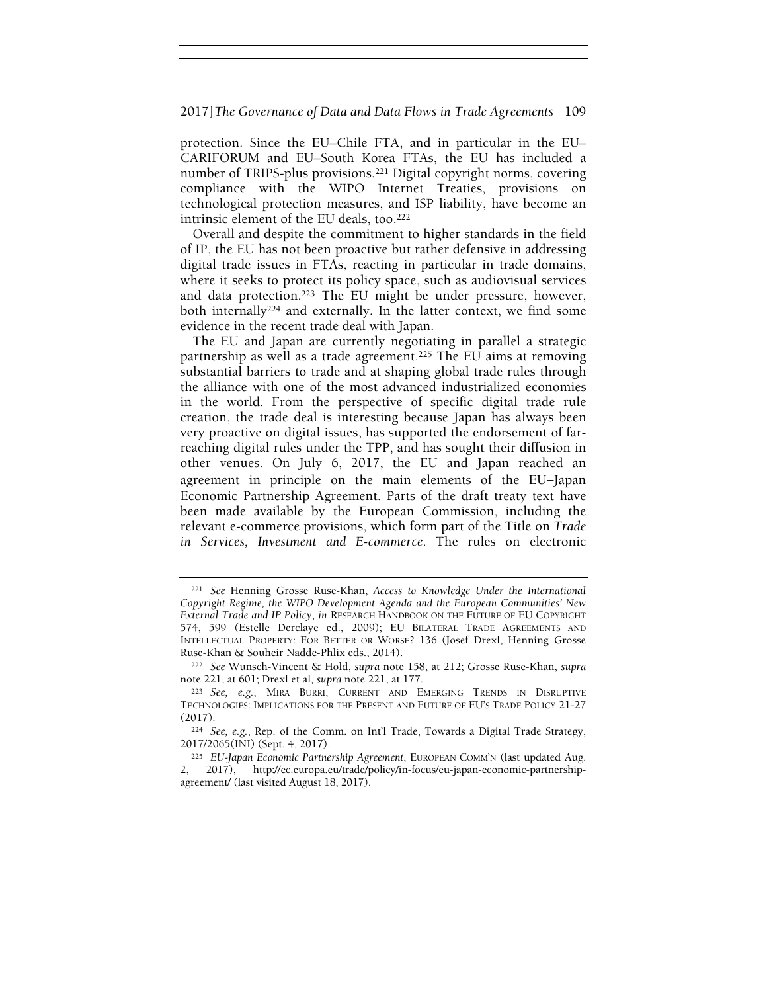protection. Since the EU–Chile FTA, and in particular in the EU– CARIFORUM and EU–South Korea FTAs, the EU has included a number of TRIPS-plus provisions.221 Digital copyright norms, covering compliance with the WIPO Internet Treaties, provisions on technological protection measures, and ISP liability, have become an intrinsic element of the EU deals, too.<sup>222</sup>

Overall and despite the commitment to higher standards in the field of IP, the EU has not been proactive but rather defensive in addressing digital trade issues in FTAs, reacting in particular in trade domains, where it seeks to protect its policy space, such as audiovisual services and data protection.223 The EU might be under pressure, however, both internally<sup>224</sup> and externally. In the latter context, we find some evidence in the recent trade deal with Japan.

The EU and Japan are currently negotiating in parallel a strategic partnership as well as a trade agreement.<sup>225</sup> The EU aims at removing substantial barriers to trade and at shaping global trade rules through the alliance with one of the most advanced industrialized economies in the world. From the perspective of specific digital trade rule creation, the trade deal is interesting because Japan has always been very proactive on digital issues, has supported the endorsement of farreaching digital rules under the TPP, and has sought their diffusion in other venues. On July 6, 2017, the EU and Japan reached an agreement in principle on the main elements of the EU−Japan Economic Partnership Agreement. Parts of the draft treaty text have been made available by the European Commission, including the relevant e-commerce provisions, which form part of the Title on Trade in Services, Investment and E-commerce. The rules on electronic

<sup>221</sup> See Henning Grosse Ruse-Khan, Access to Knowledge Under the International Copyright Regime, the WIPO Development Agenda and the European Communities' New External Trade and IP Policy, in RESEARCH HANDBOOK ON THE FUTURE OF EU COPYRIGHT 574, 599 (Estelle Derclaye ed., 2009); EU BILATERAL TRADE AGREEMENTS AND INTELLECTUAL PROPERTY: FOR BETTER OR WORSE? 136 (Josef Drexl, Henning Grosse Ruse-Khan & Souheir Nadde-Phlix eds., 2014).

<sup>222</sup> See Wunsch-Vincent & Hold, supra note 158, at 212; Grosse Ruse-Khan, supra note 221, at 601; Drexl et al, supra note 221, at 177.

<sup>223</sup> See, e.g., MIRA BURRI, CURRENT AND EMERGING TRENDS IN DISRUPTIVE TECHNOLOGIES: IMPLICATIONS FOR THE PRESENT AND FUTURE OF EU'S TRADE POLICY 21-27 (2017).

<sup>224</sup> See, e.g., Rep. of the Comm. on Int'l Trade, Towards a Digital Trade Strategy, 2017/2065(INI) (Sept. 4, 2017).

<sup>225</sup> EU-Japan Economic Partnership Agreement, EUROPEAN COMM'N (last updated Aug. 2, 2017), http://ec.europa.eu/trade/policy/in-focus/eu-japan-economic-partnershipagreement/ (last visited August 18, 2017).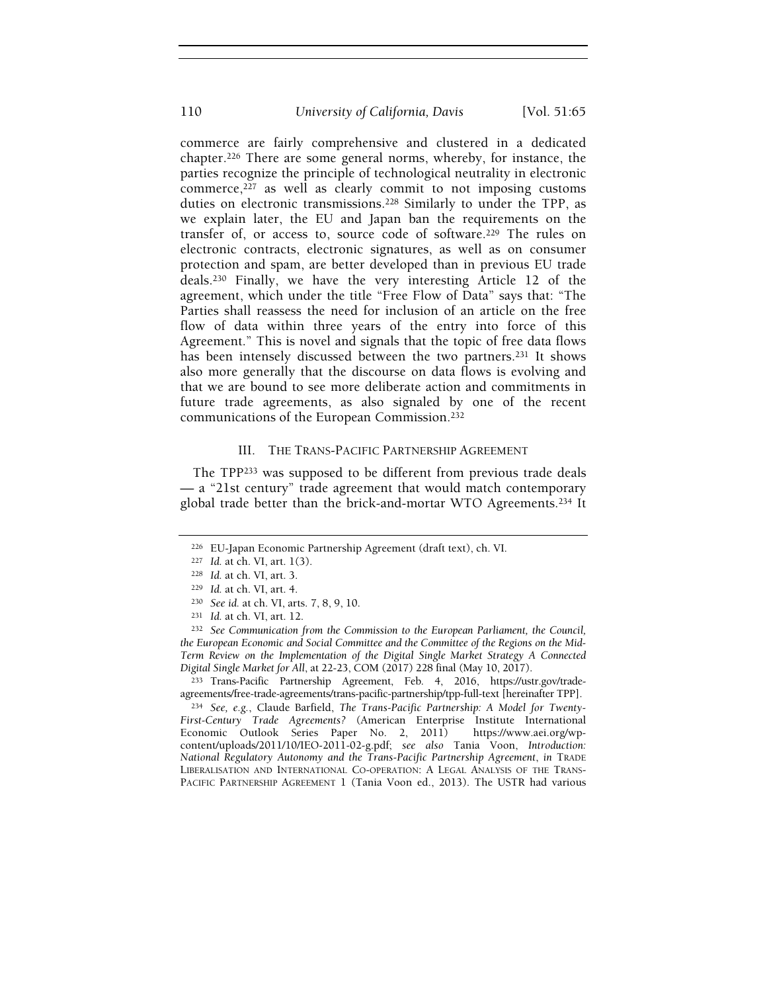commerce are fairly comprehensive and clustered in a dedicated chapter.226 There are some general norms, whereby, for instance, the parties recognize the principle of technological neutrality in electronic commerce, $227$  as well as clearly commit to not imposing customs duties on electronic transmissions.228 Similarly to under the TPP, as we explain later, the EU and Japan ban the requirements on the transfer of, or access to, source code of software.229 The rules on electronic contracts, electronic signatures, as well as on consumer protection and spam, are better developed than in previous EU trade deals.230 Finally, we have the very interesting Article 12 of the agreement, which under the title "Free Flow of Data" says that: "The Parties shall reassess the need for inclusion of an article on the free flow of data within three years of the entry into force of this Agreement." This is novel and signals that the topic of free data flows has been intensely discussed between the two partners.<sup>231</sup> It shows also more generally that the discourse on data flows is evolving and that we are bound to see more deliberate action and commitments in future trade agreements, as also signaled by one of the recent communications of the European Commission.<sup>232</sup>

# III. THE TRANS-PACIFIC PARTNERSHIP AGREEMENT

The TPP233 was supposed to be different from previous trade deals — a "21st century" trade agreement that would match contemporary global trade better than the brick-and-mortar WTO Agreements.234 It

<sup>232</sup> See Communication from the Commission to the European Parliament, the Council, the European Economic and Social Committee and the Committee of the Regions on the Mid-Term Review on the Implementation of the Digital Single Market Strategy A Connected Digital Single Market for All, at 22-23, COM (2017) 228 final (May 10, 2017).

<sup>233</sup> Trans-Pacific Partnership Agreement, Feb. 4, 2016, https://ustr.gov/tradeagreements/free-trade-agreements/trans-pacific-partnership/tpp-full-text [hereinafter TPP].

<sup>234</sup> See, e.g., Claude Barfield, The Trans-Pacific Partnership: A Model for Twenty-First-Century Trade Agreements? (American Enterprise Institute International Economic Outlook Series Paper No. 2, 2011) https://www.aei.org/wpcontent/uploads/2011/10/IEO-2011-02-g.pdf; see also Tania Voon, Introduction: National Regulatory Autonomy and the Trans-Pacific Partnership Agreement, in TRADE LIBERALISATION AND INTERNATIONAL CO-OPERATION: A LEGAL ANALYSIS OF THE TRANS-PACIFIC PARTNERSHIP AGREEMENT 1 (Tania Voon ed., 2013). The USTR had various

<sup>226</sup> EU-Japan Economic Partnership Agreement (draft text), ch. VI.

<sup>227</sup> Id. at ch. VI, art. 1(3).

<sup>228</sup> Id. at ch. VI, art. 3.

<sup>229</sup> Id. at ch. VI, art. 4.

<sup>230</sup> See id. at ch. VI, arts. 7, 8, 9, 10.

<sup>231</sup> Id. at ch. VI, art. 12.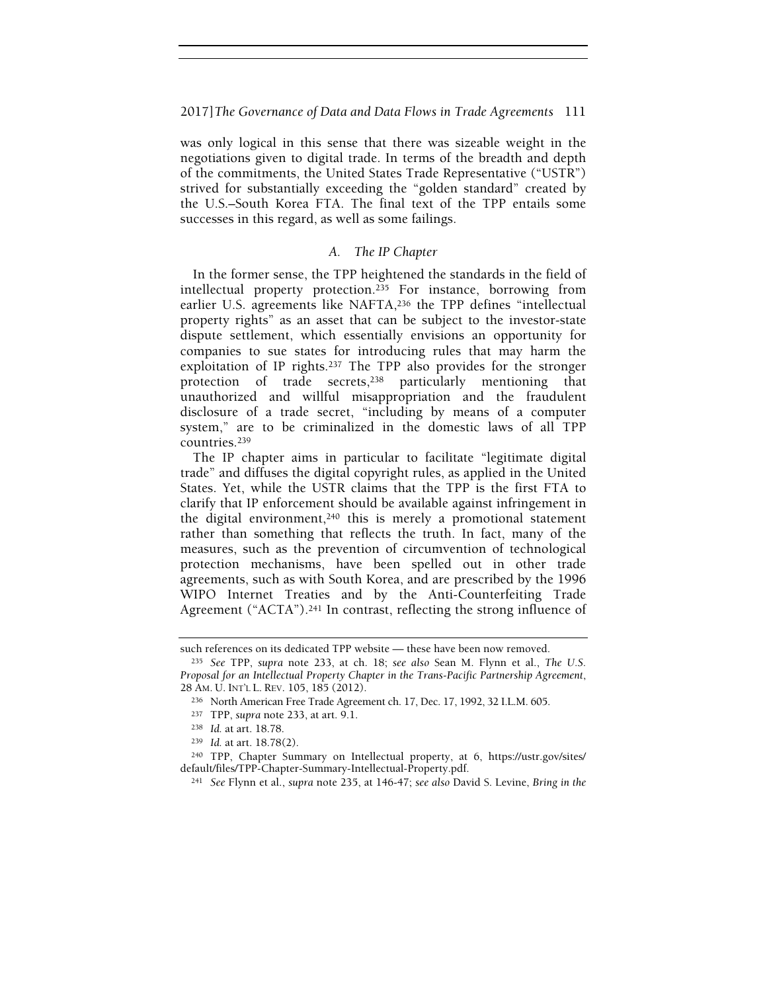was only logical in this sense that there was sizeable weight in the negotiations given to digital trade. In terms of the breadth and depth of the commitments, the United States Trade Representative ("USTR") strived for substantially exceeding the "golden standard" created by the U.S.–South Korea FTA. The final text of the TPP entails some successes in this regard, as well as some failings.

# A. The IP Chapter

In the former sense, the TPP heightened the standards in the field of intellectual property protection.235 For instance, borrowing from earlier U.S. agreements like NAFTA,236 the TPP defines "intellectual property rights" as an asset that can be subject to the investor-state dispute settlement, which essentially envisions an opportunity for companies to sue states for introducing rules that may harm the exploitation of IP rights.237 The TPP also provides for the stronger protection of trade secrets,238 particularly mentioning that unauthorized and willful misappropriation and the fraudulent disclosure of a trade secret, "including by means of a computer system," are to be criminalized in the domestic laws of all TPP countries.<sup>239</sup>

The IP chapter aims in particular to facilitate "legitimate digital trade" and diffuses the digital copyright rules, as applied in the United States. Yet, while the USTR claims that the TPP is the first FTA to clarify that IP enforcement should be available against infringement in the digital environment,  $240$  this is merely a promotional statement rather than something that reflects the truth. In fact, many of the measures, such as the prevention of circumvention of technological protection mechanisms, have been spelled out in other trade agreements, such as with South Korea, and are prescribed by the 1996 WIPO Internet Treaties and by the Anti-Counterfeiting Trade Agreement ("ACTA").<sup>241</sup> In contrast, reflecting the strong influence of

such references on its dedicated TPP website — these have been now removed.

<sup>&</sup>lt;sup>235</sup> See TPP, supra note 233, at ch. 18; see also Sean M. Flynn et al., The U.S. Proposal for an Intellectual Property Chapter in the Trans-Pacific Partnership Agreement, 28 AM. U. INT'L L. REV. 105, 185 (2012).

<sup>236</sup> North American Free Trade Agreement ch. 17, Dec. 17, 1992, 32 I.L.M. 605.

<sup>237</sup> TPP, supra note 233, at art. 9.1.

<sup>238</sup> Id. at art. 18.78.

<sup>239</sup> Id. at art. 18.78(2).

<sup>240</sup> TPP, Chapter Summary on Intellectual property, at 6, https://ustr.gov/sites/ default/files/TPP-Chapter-Summary-Intellectual-Property.pdf.

<sup>241</sup> See Flynn et al., supra note 235, at 146-47; see also David S. Levine, Bring in the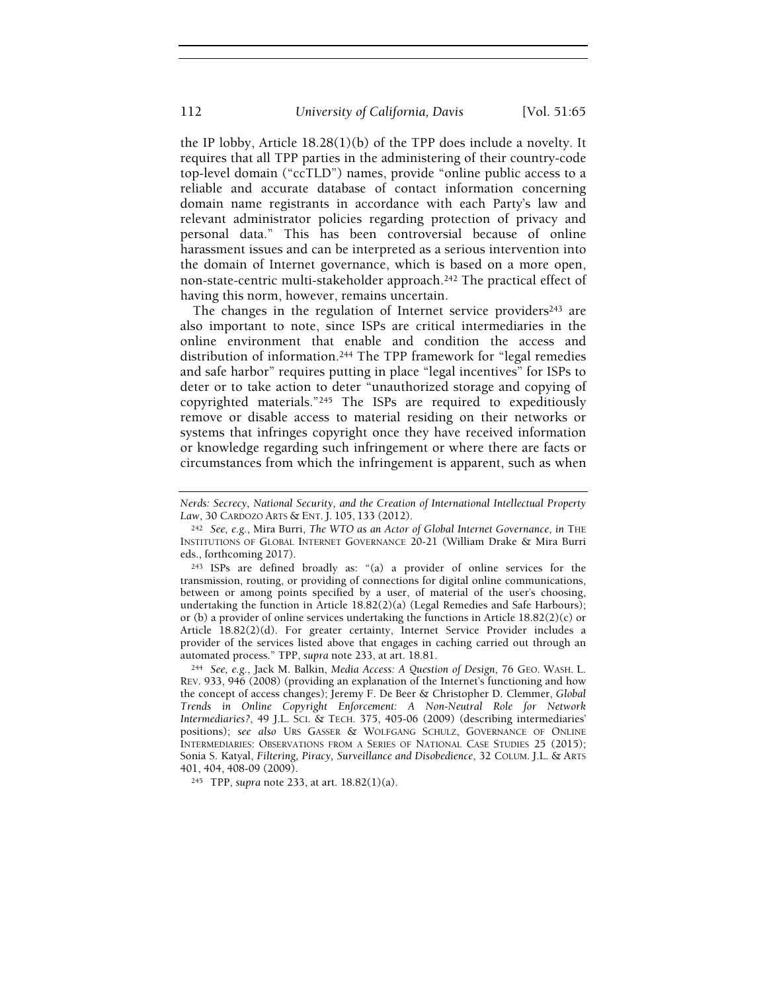the IP lobby, Article 18.28(1)(b) of the TPP does include a novelty. It requires that all TPP parties in the administering of their country-code top-level domain ("ccTLD") names, provide "online public access to a reliable and accurate database of contact information concerning domain name registrants in accordance with each Party's law and relevant administrator policies regarding protection of privacy and personal data." This has been controversial because of online harassment issues and can be interpreted as a serious intervention into the domain of Internet governance, which is based on a more open, non-state-centric multi-stakeholder approach.242 The practical effect of having this norm, however, remains uncertain.

The changes in the regulation of Internet service providers<sup>243</sup> are also important to note, since ISPs are critical intermediaries in the online environment that enable and condition the access and distribution of information.244 The TPP framework for "legal remedies and safe harbor" requires putting in place "legal incentives" for ISPs to deter or to take action to deter "unauthorized storage and copying of copyrighted materials."245 The ISPs are required to expeditiously remove or disable access to material residing on their networks or systems that infringes copyright once they have received information or knowledge regarding such infringement or where there are facts or circumstances from which the infringement is apparent, such as when

<sup>245</sup> TPP, supra note 233, at art. 18.82(1)(a).

Nerds: Secrecy, National Security, and the Creation of International Intellectual Property Law, 30 CARDOZO ARTS & ENT. J. 105, 133 (2012).

 $242$  See, e.g., Mira Burri, The WTO as an Actor of Global Internet Governance, in THE INSTITUTIONS OF GLOBAL INTERNET GOVERNANCE 20-21 (William Drake & Mira Burri eds., forthcoming 2017).

<sup>243</sup> ISPs are defined broadly as: "(a) a provider of online services for the transmission, routing, or providing of connections for digital online communications, between or among points specified by a user, of material of the user's choosing, undertaking the function in Article 18.82(2)(a) (Legal Remedies and Safe Harbours); or (b) a provider of online services undertaking the functions in Article 18.82(2)(c) or Article 18.82(2)(d). For greater certainty, Internet Service Provider includes a provider of the services listed above that engages in caching carried out through an automated process." TPP, supra note 233, at art. 18.81.

<sup>244</sup> See, e.g., Jack M. Balkin, Media Access: A Question of Design, 76 GEO. WASH. L. REV. 933, 946 (2008) (providing an explanation of the Internet's functioning and how the concept of access changes); Jeremy F. De Beer & Christopher D. Clemmer, Global Trends in Online Copyright Enforcement: A Non-Neutral Role for Network Intermediaries?, 49 J.L. SCI. & TECH. 375, 405-06 (2009) (describing intermediaries' positions); see also URS GASSER & WOLFGANG SCHULZ, GOVERNANCE OF ONLINE INTERMEDIARIES: OBSERVATIONS FROM A SERIES OF NATIONAL CASE STUDIES 25 (2015); Sonia S. Katyal, Filtering, Piracy, Surveillance and Disobedience, 32 COLUM. J.L. & ARTS 401, 404, 408-09 (2009).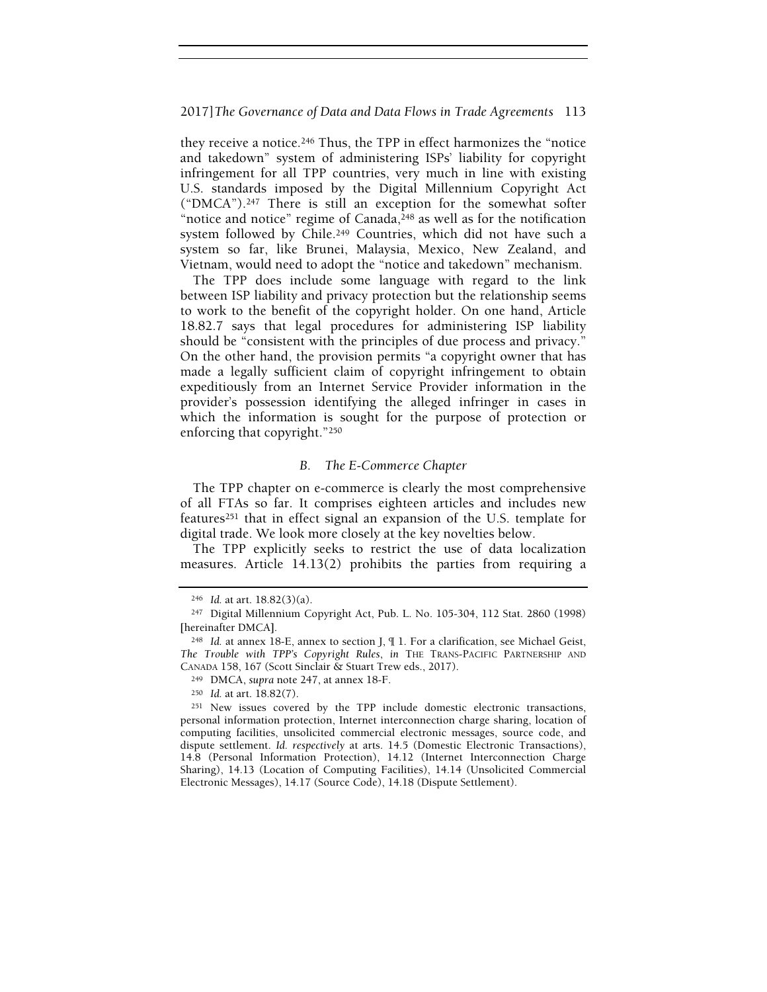they receive a notice.246 Thus, the TPP in effect harmonizes the "notice and takedown" system of administering ISPs' liability for copyright infringement for all TPP countries, very much in line with existing U.S. standards imposed by the Digital Millennium Copyright Act ("DMCA").247 There is still an exception for the somewhat softer "notice and notice" regime of Canada,<sup>248</sup> as well as for the notification system followed by Chile.249 Countries, which did not have such a system so far, like Brunei, Malaysia, Mexico, New Zealand, and Vietnam, would need to adopt the "notice and takedown" mechanism.

The TPP does include some language with regard to the link between ISP liability and privacy protection but the relationship seems to work to the benefit of the copyright holder. On one hand, Article 18.82.7 says that legal procedures for administering ISP liability should be "consistent with the principles of due process and privacy." On the other hand, the provision permits "a copyright owner that has made a legally sufficient claim of copyright infringement to obtain expeditiously from an Internet Service Provider information in the provider's possession identifying the alleged infringer in cases in which the information is sought for the purpose of protection or enforcing that copyright."<sup>250</sup>

#### B. The E-Commerce Chapter

The TPP chapter on e-commerce is clearly the most comprehensive of all FTAs so far. It comprises eighteen articles and includes new features251 that in effect signal an expansion of the U.S. template for digital trade. We look more closely at the key novelties below.

The TPP explicitly seeks to restrict the use of data localization measures. Article 14.13(2) prohibits the parties from requiring a

 $246$  *Id.* at art.  $18.82(3)(a)$ .

<sup>247</sup> Digital Millennium Copyright Act, Pub. L. No. 105-304, 112 Stat. 2860 (1998) [hereinafter DMCA].

<sup>248</sup> Id. at annex 18-E, annex to section J, ¶ 1. For a clarification, see Michael Geist, The Trouble with TPP's Copyright Rules, in THE TRANS-PACIFIC PARTNERSHIP AND CANADA 158, 167 (Scott Sinclair & Stuart Trew eds., 2017).

<sup>249</sup> DMCA, supra note 247, at annex 18-F.

<sup>250</sup> Id. at art. 18.82(7).

<sup>251</sup> New issues covered by the TPP include domestic electronic transactions, personal information protection, Internet interconnection charge sharing, location of computing facilities, unsolicited commercial electronic messages, source code, and dispute settlement. Id. respectively at arts. 14.5 (Domestic Electronic Transactions), 14.8 (Personal Information Protection), 14.12 (Internet Interconnection Charge Sharing), 14.13 (Location of Computing Facilities), 14.14 (Unsolicited Commercial Electronic Messages), 14.17 (Source Code), 14.18 (Dispute Settlement).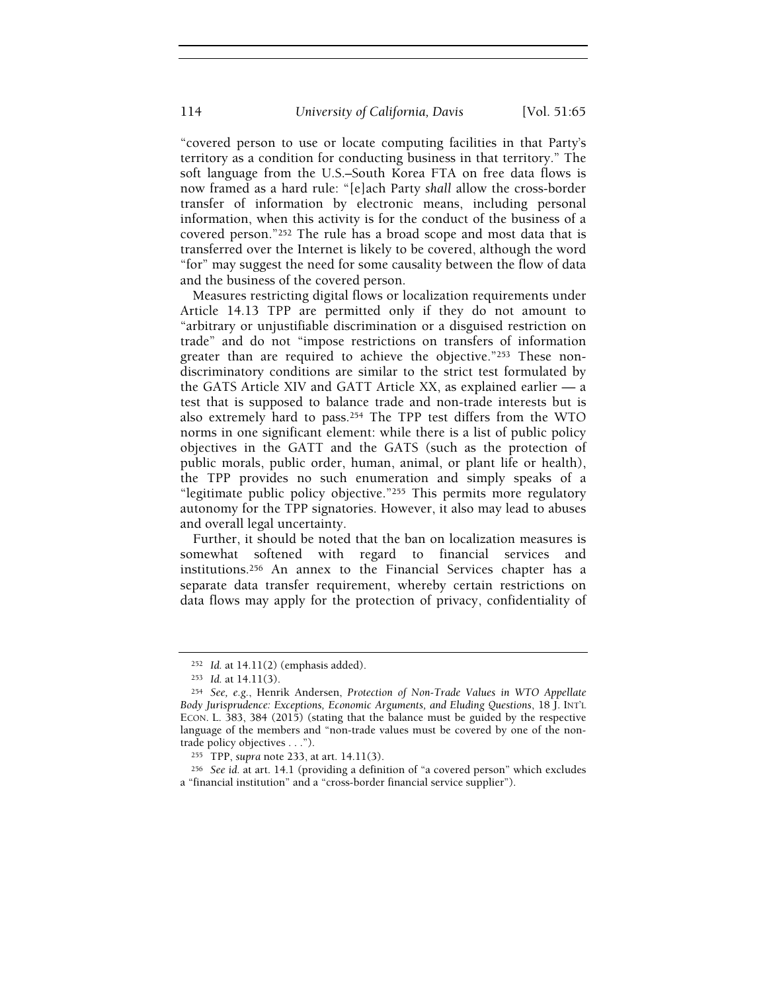"covered person to use or locate computing facilities in that Party's territory as a condition for conducting business in that territory." The soft language from the U.S.–South Korea FTA on free data flows is now framed as a hard rule: "[e]ach Party shall allow the cross-border transfer of information by electronic means, including personal information, when this activity is for the conduct of the business of a covered person."252 The rule has a broad scope and most data that is transferred over the Internet is likely to be covered, although the word "for" may suggest the need for some causality between the flow of data and the business of the covered person.

Measures restricting digital flows or localization requirements under Article 14.13 TPP are permitted only if they do not amount to "arbitrary or unjustifiable discrimination or a disguised restriction on trade" and do not "impose restrictions on transfers of information greater than are required to achieve the objective."253 These nondiscriminatory conditions are similar to the strict test formulated by the GATS Article XIV and GATT Article XX, as explained earlier — a test that is supposed to balance trade and non-trade interests but is also extremely hard to pass.254 The TPP test differs from the WTO norms in one significant element: while there is a list of public policy objectives in the GATT and the GATS (such as the protection of public morals, public order, human, animal, or plant life or health), the TPP provides no such enumeration and simply speaks of a "legitimate public policy objective."255 This permits more regulatory autonomy for the TPP signatories. However, it also may lead to abuses and overall legal uncertainty.

Further, it should be noted that the ban on localization measures is somewhat softened with regard to financial services and institutions.256 An annex to the Financial Services chapter has a separate data transfer requirement, whereby certain restrictions on data flows may apply for the protection of privacy, confidentiality of

<sup>252</sup> Id. at 14.11(2) (emphasis added).

<sup>253</sup> Id. at 14.11(3).

<sup>254</sup> See, e.g., Henrik Andersen, Protection of Non-Trade Values in WTO Appellate Body Jurisprudence: Exceptions, Economic Arguments, and Eluding Questions, 18 J. INT'L ECON. L. 383, 384 (2015) (stating that the balance must be guided by the respective language of the members and "non-trade values must be covered by one of the nontrade policy objectives . . .").

<sup>255</sup> TPP, supra note 233, at art. 14.11(3).

<sup>256</sup> See id. at art. 14.1 (providing a definition of "a covered person" which excludes a "financial institution" and a "cross-border financial service supplier").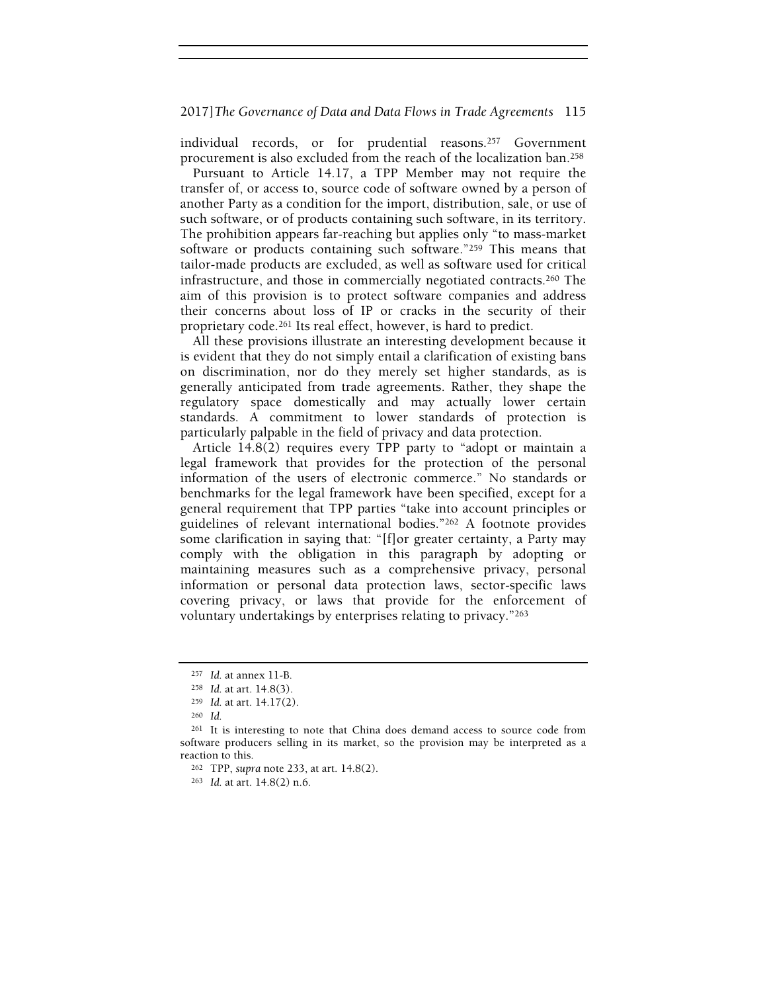individual records, or for prudential reasons.257 Government procurement is also excluded from the reach of the localization ban.<sup>258</sup>

Pursuant to Article 14.17, a TPP Member may not require the transfer of, or access to, source code of software owned by a person of another Party as a condition for the import, distribution, sale, or use of such software, or of products containing such software, in its territory. The prohibition appears far-reaching but applies only "to mass-market software or products containing such software."259 This means that tailor-made products are excluded, as well as software used for critical infrastructure, and those in commercially negotiated contracts.260 The aim of this provision is to protect software companies and address their concerns about loss of IP or cracks in the security of their proprietary code.261 Its real effect, however, is hard to predict.

All these provisions illustrate an interesting development because it is evident that they do not simply entail a clarification of existing bans on discrimination, nor do they merely set higher standards, as is generally anticipated from trade agreements. Rather, they shape the regulatory space domestically and may actually lower certain standards. A commitment to lower standards of protection is particularly palpable in the field of privacy and data protection.

Article 14.8(2) requires every TPP party to "adopt or maintain a legal framework that provides for the protection of the personal information of the users of electronic commerce." No standards or benchmarks for the legal framework have been specified, except for a general requirement that TPP parties "take into account principles or guidelines of relevant international bodies."262 A footnote provides some clarification in saying that: "[f]or greater certainty, a Party may comply with the obligation in this paragraph by adopting or maintaining measures such as a comprehensive privacy, personal information or personal data protection laws, sector-specific laws covering privacy, or laws that provide for the enforcement of voluntary undertakings by enterprises relating to privacy."<sup>263</sup>

<sup>257</sup> Id. at annex 11-B.

<sup>258</sup> Id. at art. 14.8(3).

<sup>259</sup> Id. at art. 14.17(2).

<sup>260</sup> Id.

<sup>261</sup> It is interesting to note that China does demand access to source code from software producers selling in its market, so the provision may be interpreted as a reaction to this.

<sup>262</sup> TPP, supra note 233, at art. 14.8(2).

<sup>263</sup> Id. at art. 14.8(2) n.6.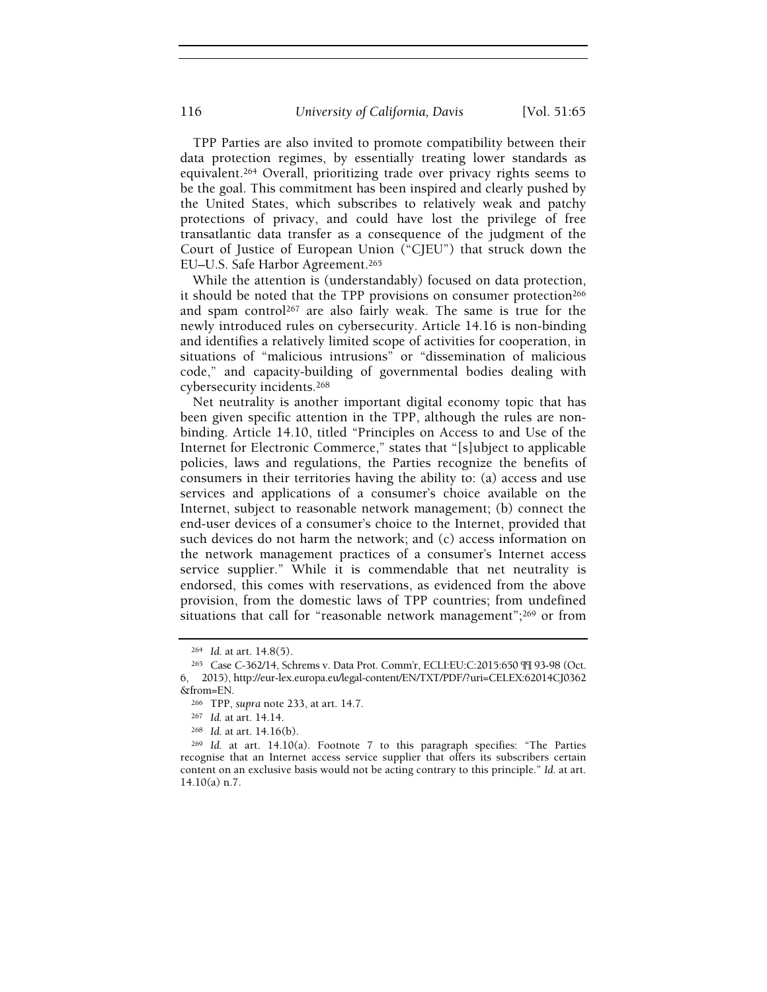TPP Parties are also invited to promote compatibility between their data protection regimes, by essentially treating lower standards as equivalent.264 Overall, prioritizing trade over privacy rights seems to be the goal. This commitment has been inspired and clearly pushed by the United States, which subscribes to relatively weak and patchy protections of privacy, and could have lost the privilege of free transatlantic data transfer as a consequence of the judgment of the Court of Justice of European Union ("CJEU") that struck down the EU–U.S. Safe Harbor Agreement.<sup>265</sup>

While the attention is (understandably) focused on data protection, it should be noted that the TPP provisions on consumer protection<sup>266</sup> and spam control267 are also fairly weak. The same is true for the newly introduced rules on cybersecurity. Article 14.16 is non-binding and identifies a relatively limited scope of activities for cooperation, in situations of "malicious intrusions" or "dissemination of malicious code," and capacity-building of governmental bodies dealing with cybersecurity incidents.<sup>268</sup>

Net neutrality is another important digital economy topic that has been given specific attention in the TPP, although the rules are nonbinding. Article 14.10, titled "Principles on Access to and Use of the Internet for Electronic Commerce," states that "[s]ubject to applicable policies, laws and regulations, the Parties recognize the benefits of consumers in their territories having the ability to: (a) access and use services and applications of a consumer's choice available on the Internet, subject to reasonable network management; (b) connect the end-user devices of a consumer's choice to the Internet, provided that such devices do not harm the network; and (c) access information on the network management practices of a consumer's Internet access service supplier." While it is commendable that net neutrality is endorsed, this comes with reservations, as evidenced from the above provision, from the domestic laws of TPP countries; from undefined situations that call for "reasonable network management";<sup>269</sup> or from

<sup>264</sup> Id. at art. 14.8(5).

<sup>265</sup> Case C-362/14, Schrems v. Data Prot. Comm'r, ECLI:EU:C:2015:650 ¶¶ 93-98 (Oct. 6, 2015), http://eur-lex.europa.eu/legal-content/EN/TXT/PDF/?uri=CELEX:62014CJ0362 &from=EN.

<sup>266</sup> TPP, supra note 233, at art. 14.7.

<sup>267</sup> Id. at art. 14.14.

<sup>268</sup> Id. at art. 14.16(b).

<sup>269</sup> Id. at art. 14.10(a). Footnote 7 to this paragraph specifies: "The Parties recognise that an Internet access service supplier that offers its subscribers certain content on an exclusive basis would not be acting contrary to this principle." Id. at art. 14.10(a) n.7.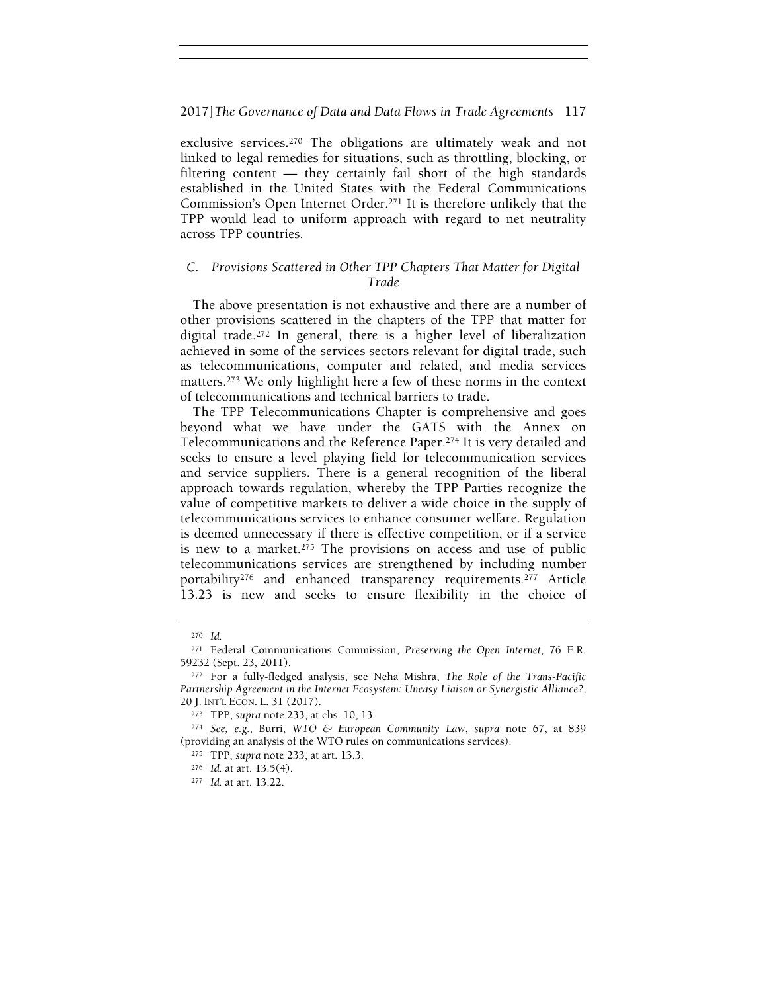exclusive services.270 The obligations are ultimately weak and not linked to legal remedies for situations, such as throttling, blocking, or filtering content — they certainly fail short of the high standards established in the United States with the Federal Communications Commission's Open Internet Order.271 It is therefore unlikely that the TPP would lead to uniform approach with regard to net neutrality across TPP countries.

# C. Provisions Scattered in Other TPP Chapters That Matter for Digital Trade

The above presentation is not exhaustive and there are a number of other provisions scattered in the chapters of the TPP that matter for digital trade.272 In general, there is a higher level of liberalization achieved in some of the services sectors relevant for digital trade, such as telecommunications, computer and related, and media services matters.273 We only highlight here a few of these norms in the context of telecommunications and technical barriers to trade.

The TPP Telecommunications Chapter is comprehensive and goes beyond what we have under the GATS with the Annex on Telecommunications and the Reference Paper.274 It is very detailed and seeks to ensure a level playing field for telecommunication services and service suppliers. There is a general recognition of the liberal approach towards regulation, whereby the TPP Parties recognize the value of competitive markets to deliver a wide choice in the supply of telecommunications services to enhance consumer welfare. Regulation is deemed unnecessary if there is effective competition, or if a service is new to a market.275 The provisions on access and use of public telecommunications services are strengthened by including number portability276 and enhanced transparency requirements.277 Article 13.23 is new and seeks to ensure flexibility in the choice of

<sup>270</sup> Id.

<sup>271</sup> Federal Communications Commission, Preserving the Open Internet, 76 F.R. 59232 (Sept. 23, 2011).

<sup>272</sup> For a fully-fledged analysis, see Neha Mishra, The Role of the Trans-Pacific Partnership Agreement in the Internet Ecosystem: Uneasy Liaison or Synergistic Alliance?, 20 J. INT'L ECON. L. 31 (2017).

<sup>273</sup> TPP, supra note 233, at chs. 10, 13.

<sup>274</sup> See, e.g., Burri, WTO & European Community Law, supra note 67, at 839 (providing an analysis of the WTO rules on communications services).

<sup>275</sup> TPP, supra note 233, at art. 13.3.

<sup>276</sup> Id. at art. 13.5(4).

<sup>277</sup> Id. at art. 13.22.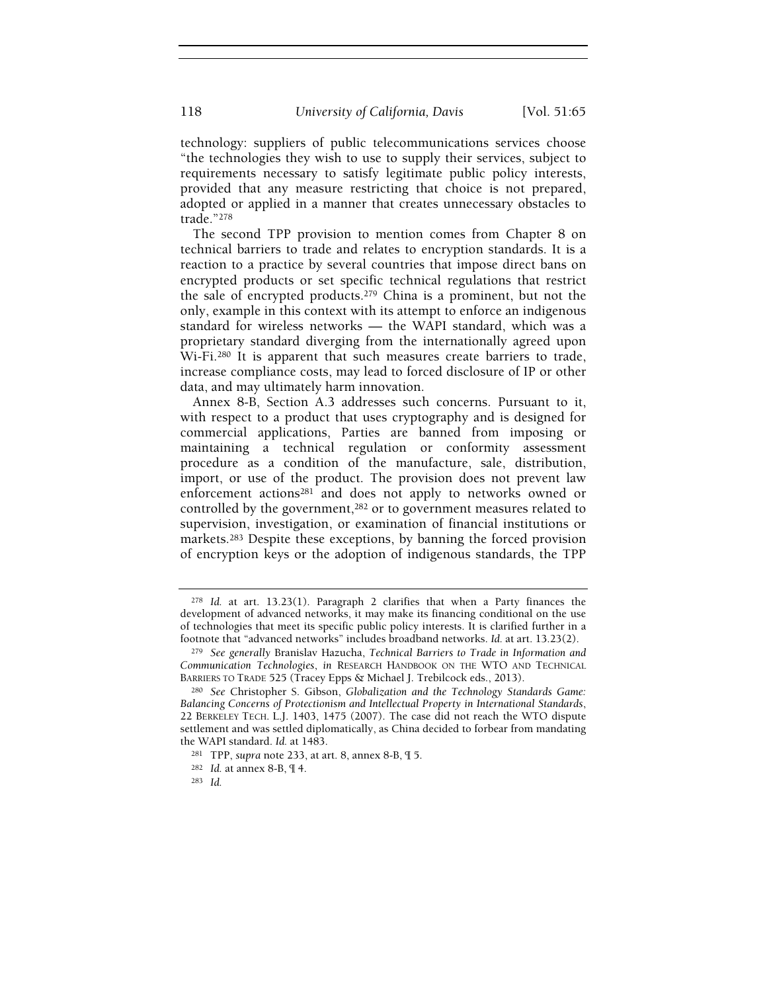technology: suppliers of public telecommunications services choose "the technologies they wish to use to supply their services, subject to requirements necessary to satisfy legitimate public policy interests, provided that any measure restricting that choice is not prepared, adopted or applied in a manner that creates unnecessary obstacles to trade."<sup>278</sup>

The second TPP provision to mention comes from Chapter 8 on technical barriers to trade and relates to encryption standards. It is a reaction to a practice by several countries that impose direct bans on encrypted products or set specific technical regulations that restrict the sale of encrypted products.279 China is a prominent, but not the only, example in this context with its attempt to enforce an indigenous standard for wireless networks — the WAPI standard, which was a proprietary standard diverging from the internationally agreed upon Wi-Fi.280 It is apparent that such measures create barriers to trade, increase compliance costs, may lead to forced disclosure of IP or other data, and may ultimately harm innovation.

Annex 8-B, Section A.3 addresses such concerns. Pursuant to it, with respect to a product that uses cryptography and is designed for commercial applications, Parties are banned from imposing or maintaining a technical regulation or conformity assessment procedure as a condition of the manufacture, sale, distribution, import, or use of the product. The provision does not prevent law enforcement actions<sup>281</sup> and does not apply to networks owned or controlled by the government,<sup>282</sup> or to government measures related to supervision, investigation, or examination of financial institutions or markets.283 Despite these exceptions, by banning the forced provision of encryption keys or the adoption of indigenous standards, the TPP

<sup>278</sup> Id. at art. 13.23(1). Paragraph 2 clarifies that when a Party finances the development of advanced networks, it may make its financing conditional on the use of technologies that meet its specific public policy interests. It is clarified further in a footnote that "advanced networks" includes broadband networks. Id. at art. 13.23(2).

<sup>&</sup>lt;sup>279</sup> See generally Branislav Hazucha, Technical Barriers to Trade in Information and Communication Technologies, in RESEARCH HANDBOOK ON THE WTO AND TECHNICAL BARRIERS TO TRADE 525 (Tracey Epps & Michael J. Trebilcock eds., 2013).

<sup>280</sup> See Christopher S. Gibson, Globalization and the Technology Standards Game: Balancing Concerns of Protectionism and Intellectual Property in International Standards, 22 BERKELEY TECH. L.J. 1403, 1475 (2007). The case did not reach the WTO dispute settlement and was settled diplomatically, as China decided to forbear from mandating the WAPI standard. Id. at 1483.

<sup>281</sup> TPP, supra note 233, at art. 8, annex 8-B, ¶ 5.

<sup>282</sup> Id. at annex 8-B, ¶ 4.

<sup>283</sup> Id.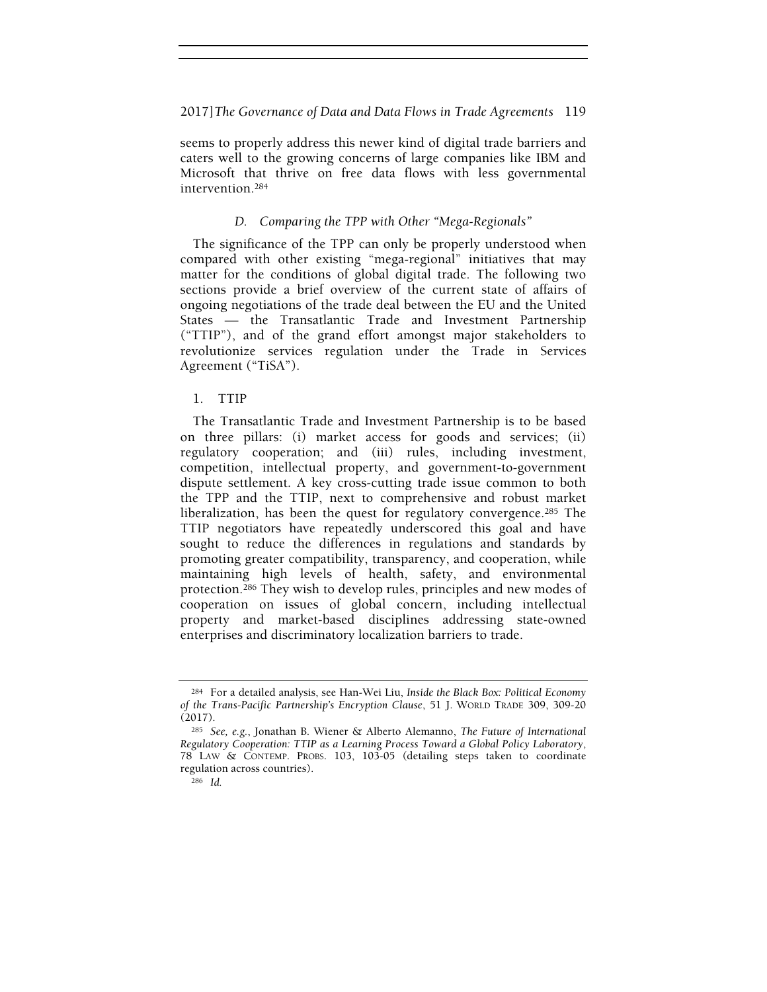seems to properly address this newer kind of digital trade barriers and caters well to the growing concerns of large companies like IBM and Microsoft that thrive on free data flows with less governmental intervention.<sup>284</sup>

# D. Comparing the TPP with Other "Mega-Regionals"

The significance of the TPP can only be properly understood when compared with other existing "mega-regional" initiatives that may matter for the conditions of global digital trade. The following two sections provide a brief overview of the current state of affairs of ongoing negotiations of the trade deal between the EU and the United States — the Transatlantic Trade and Investment Partnership ("TTIP"), and of the grand effort amongst major stakeholders to revolutionize services regulation under the Trade in Services Agreement ("TiSA").

# 1. TTIP

The Transatlantic Trade and Investment Partnership is to be based on three pillars: (i) market access for goods and services; (ii) regulatory cooperation; and (iii) rules, including investment, competition, intellectual property, and government-to-government dispute settlement. A key cross-cutting trade issue common to both the TPP and the TTIP, next to comprehensive and robust market liberalization, has been the quest for regulatory convergence.285 The TTIP negotiators have repeatedly underscored this goal and have sought to reduce the differences in regulations and standards by promoting greater compatibility, transparency, and cooperation, while maintaining high levels of health, safety, and environmental protection.286 They wish to develop rules, principles and new modes of cooperation on issues of global concern, including intellectual property and market-based disciplines addressing state-owned enterprises and discriminatory localization barriers to trade.

<sup>284</sup> For a detailed analysis, see Han-Wei Liu, Inside the Black Box: Political Economy of the Trans-Pacific Partnership's Encryption Clause, 51 J. WORLD TRADE 309, 309-20 (2017).

<sup>285</sup> See, e.g., Jonathan B. Wiener & Alberto Alemanno, The Future of International Regulatory Cooperation: TTIP as a Learning Process Toward a Global Policy Laboratory, 78 LAW & CONTEMP. PROBS. 103, 103-05 (detailing steps taken to coordinate regulation across countries).

<sup>286</sup> Id.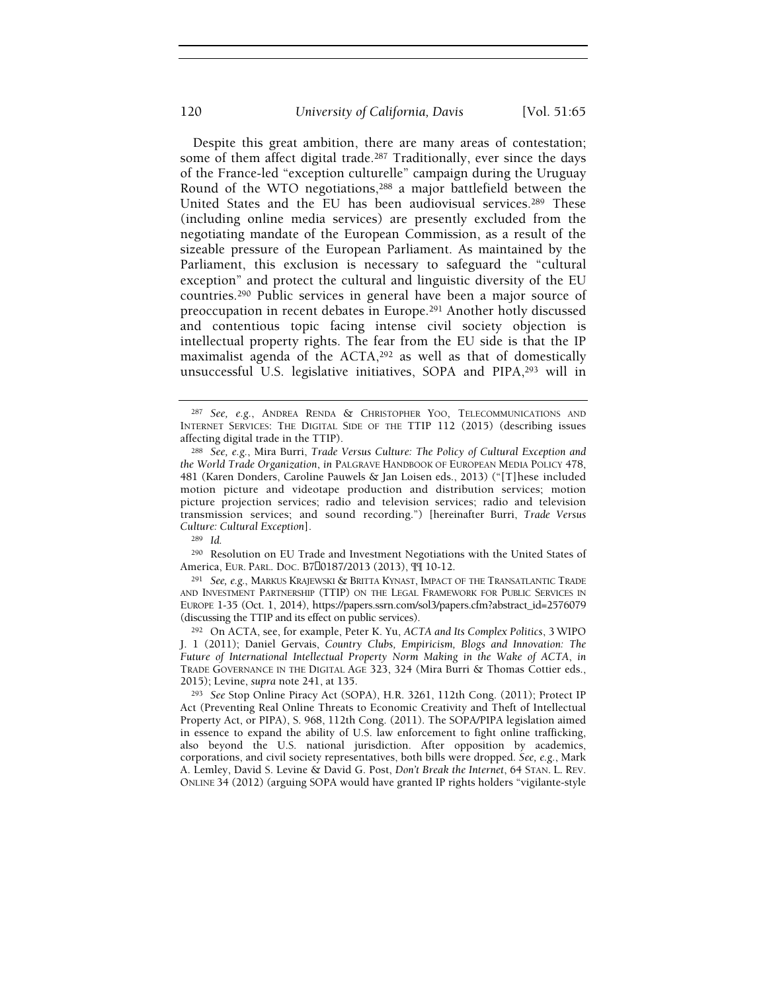Despite this great ambition, there are many areas of contestation; some of them affect digital trade.<sup>287</sup> Traditionally, ever since the days of the France-led "exception culturelle" campaign during the Uruguay Round of the WTO negotiations,288 a major battlefield between the United States and the EU has been audiovisual services.289 These (including online media services) are presently excluded from the negotiating mandate of the European Commission, as a result of the sizeable pressure of the European Parliament. As maintained by the Parliament, this exclusion is necessary to safeguard the "cultural exception" and protect the cultural and linguistic diversity of the EU countries.290 Public services in general have been a major source of preoccupation in recent debates in Europe.291 Another hotly discussed and contentious topic facing intense civil society objection is intellectual property rights. The fear from the EU side is that the IP maximalist agenda of the ACTA,<sup>292</sup> as well as that of domestically unsuccessful U.S. legislative initiatives, SOPA and PIPA,293 will in

<sup>290</sup> Resolution on EU Trade and Investment Negotiations with the United States of America, EUR. PARL. DOC. B7 0187/2013 (2013), ¶¶ 10-12.

<sup>291</sup> See, e.g., MARKUS KRAJEWSKI & BRITTA KYNAST, IMPACT OF THE TRANSATLANTIC TRADE AND INVESTMENT PARTNERSHIP (TTIP) ON THE LEGAL FRAMEWORK FOR PUBLIC SERVICES IN EUROPE 1-35 (Oct. 1, 2014), https://papers.ssrn.com/sol3/papers.cfm?abstract\_id=2576079 (discussing the TTIP and its effect on public services).

<sup>292</sup> On ACTA, see, for example, Peter K. Yu, ACTA and Its Complex Politics, 3 WIPO J. 1 (2011); Daniel Gervais, Country Clubs, Empiricism, Blogs and Innovation: The Future of International Intellectual Property Norm Making in the Wake of ACTA, in TRADE GOVERNANCE IN THE DIGITAL AGE 323, 324 (Mira Burri & Thomas Cottier eds., 2015); Levine, supra note 241, at 135.

<sup>293</sup> See Stop Online Piracy Act (SOPA), H.R. 3261, 112th Cong. (2011); Protect IP Act (Preventing Real Online Threats to Economic Creativity and Theft of Intellectual Property Act, or PIPA), S. 968, 112th Cong. (2011). The SOPA/PIPA legislation aimed in essence to expand the ability of U.S. law enforcement to fight online trafficking, also beyond the U.S. national jurisdiction. After opposition by academics, corporations, and civil society representatives, both bills were dropped. See, e.g., Mark A. Lemley, David S. Levine & David G. Post, Don't Break the Internet, 64 STAN. L. REV. ONLINE 34 (2012) (arguing SOPA would have granted IP rights holders "vigilante-style

<sup>287</sup> See, e.g., ANDREA RENDA & CHRISTOPHER YOO, TELECOMMUNICATIONS AND INTERNET SERVICES: THE DIGITAL SIDE OF THE TTIP 112 (2015) (describing issues affecting digital trade in the TTIP).

<sup>288</sup> See, e.g., Mira Burri, Trade Versus Culture: The Policy of Cultural Exception and the World Trade Organization, in PALGRAVE HANDBOOK OF EUROPEAN MEDIA POLICY 478, 481 (Karen Donders, Caroline Pauwels & Jan Loisen eds., 2013) ("[T]hese included motion picture and videotape production and distribution services; motion picture projection services; radio and television services; radio and television transmission services; and sound recording.") [hereinafter Burri, Trade Versus Culture: Cultural Exception].

<sup>289</sup> Id.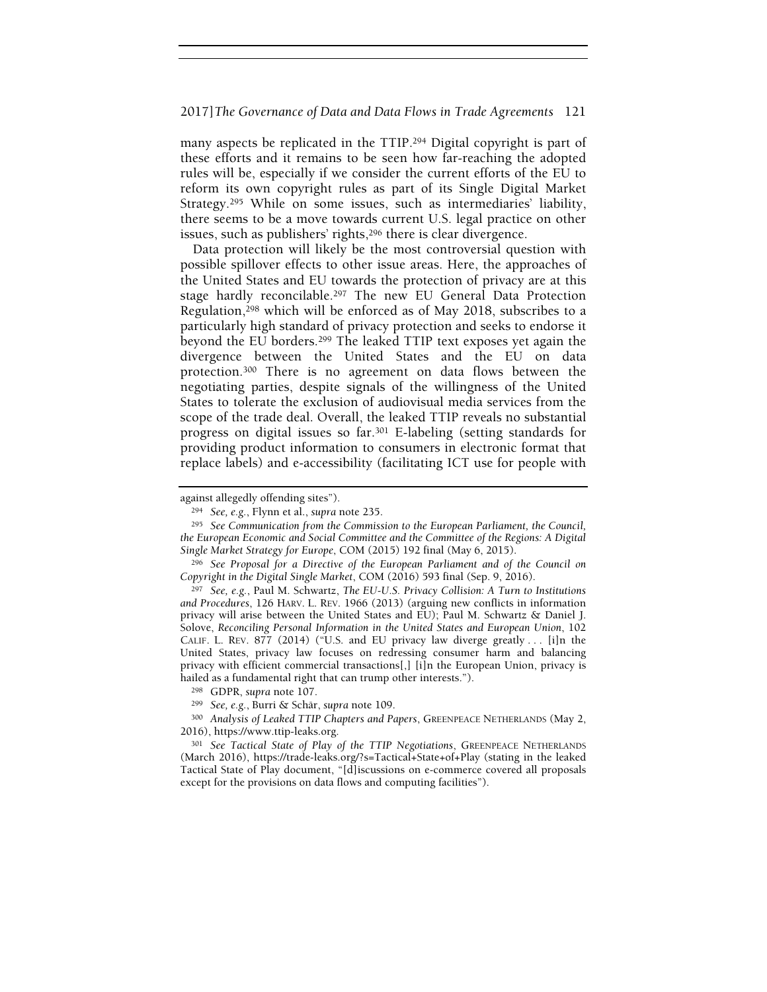many aspects be replicated in the TTIP.294 Digital copyright is part of these efforts and it remains to be seen how far-reaching the adopted rules will be, especially if we consider the current efforts of the EU to reform its own copyright rules as part of its Single Digital Market Strategy.295 While on some issues, such as intermediaries' liability, there seems to be a move towards current U.S. legal practice on other issues, such as publishers' rights,<sup>296</sup> there is clear divergence.

Data protection will likely be the most controversial question with possible spillover effects to other issue areas. Here, the approaches of the United States and EU towards the protection of privacy are at this stage hardly reconcilable.297 The new EU General Data Protection Regulation,298 which will be enforced as of May 2018, subscribes to a particularly high standard of privacy protection and seeks to endorse it beyond the EU borders.299 The leaked TTIP text exposes yet again the divergence between the United States and the EU on data protection.300 There is no agreement on data flows between the negotiating parties, despite signals of the willingness of the United States to tolerate the exclusion of audiovisual media services from the scope of the trade deal. Overall, the leaked TTIP reveals no substantial progress on digital issues so far.301 E-labeling (setting standards for providing product information to consumers in electronic format that replace labels) and e-accessibility (facilitating ICT use for people with

<sup>296</sup> See Proposal for a Directive of the European Parliament and of the Council on Copyright in the Digital Single Market, COM (2016) 593 final (Sep. 9, 2016).

<sup>297</sup> See, e.g., Paul M. Schwartz, The EU-U.S. Privacy Collision: A Turn to Institutions and Procedures, 126 HARV. L. REV. 1966 (2013) (arguing new conflicts in information privacy will arise between the United States and EU); Paul M. Schwartz & Daniel J. Solove, Reconciling Personal Information in the United States and European Union, 102 CALIF. L. REV. 877 (2014) ("U.S. and EU privacy law diverge greatly . . . [i]n the United States, privacy law focuses on redressing consumer harm and balancing privacy with efficient commercial transactions[,] [i]n the European Union, privacy is hailed as a fundamental right that can trump other interests.").

against allegedly offending sites").

<sup>294</sup> See, e.g., Flynn et al., supra note 235.

<sup>295</sup> See Communication from the Commission to the European Parliament, the Council, the European Economic and Social Committee and the Committee of the Regions: A Digital Single Market Strategy for Europe, COM (2015) 192 final (May 6, 2015).

<sup>298</sup> GDPR, supra note 107.

<sup>299</sup> See, e.g., Burri & Schär, supra note 109.

<sup>300</sup> Analysis of Leaked TTIP Chapters and Papers, GREENPEACE NETHERLANDS (May 2, 2016), https://www.ttip-leaks.org.

<sup>301</sup> See Tactical State of Play of the TTIP Negotiations, GREENPEACE NETHERLANDS (March 2016), https://trade-leaks.org/?s=Tactical+State+of+Play (stating in the leaked Tactical State of Play document, "[d]iscussions on e-commerce covered all proposals except for the provisions on data flows and computing facilities").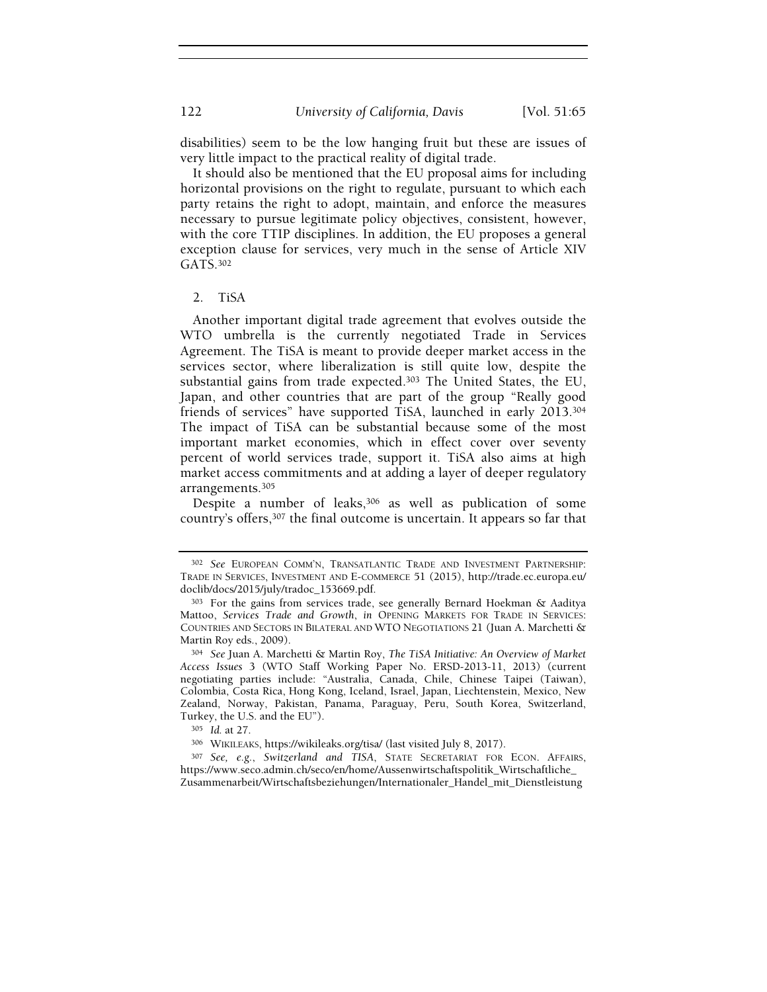disabilities) seem to be the low hanging fruit but these are issues of very little impact to the practical reality of digital trade.

It should also be mentioned that the EU proposal aims for including horizontal provisions on the right to regulate, pursuant to which each party retains the right to adopt, maintain, and enforce the measures necessary to pursue legitimate policy objectives, consistent, however, with the core TTIP disciplines. In addition, the EU proposes a general exception clause for services, very much in the sense of Article XIV GATS.<sup>302</sup>

#### 2. TiSA

Another important digital trade agreement that evolves outside the WTO umbrella is the currently negotiated Trade in Services Agreement. The TiSA is meant to provide deeper market access in the services sector, where liberalization is still quite low, despite the substantial gains from trade expected.303 The United States, the EU, Japan, and other countries that are part of the group "Really good friends of services" have supported TiSA, launched in early 2013.<sup>304</sup> The impact of TiSA can be substantial because some of the most important market economies, which in effect cover over seventy percent of world services trade, support it. TiSA also aims at high market access commitments and at adding a layer of deeper regulatory arrangements.<sup>305</sup>

Despite a number of leaks,<sup>306</sup> as well as publication of some country's offers,307 the final outcome is uncertain. It appears so far that

<sup>302</sup> See EUROPEAN COMM'N, TRANSATLANTIC TRADE AND INVESTMENT PARTNERSHIP: TRADE IN SERVICES, INVESTMENT AND E-COMMERCE 51 (2015), http://trade.ec.europa.eu/ doclib/docs/2015/july/tradoc\_153669.pdf.

<sup>303</sup> For the gains from services trade, see generally Bernard Hoekman & Aaditya Mattoo, Services Trade and Growth, in OPENING MARKETS FOR TRADE IN SERVICES: COUNTRIES AND SECTORS IN BILATERAL AND WTO NEGOTIATIONS 21 (Juan A. Marchetti & Martin Roy eds., 2009).

<sup>304</sup> See Juan A. Marchetti & Martin Roy, The TiSA Initiative: An Overview of Market Access Issues 3 (WTO Staff Working Paper No. ERSD-2013-11, 2013) (current negotiating parties include: "Australia, Canada, Chile, Chinese Taipei (Taiwan), Colombia, Costa Rica, Hong Kong, Iceland, Israel, Japan, Liechtenstein, Mexico, New Zealand, Norway, Pakistan, Panama, Paraguay, Peru, South Korea, Switzerland, Turkey, the U.S. and the EU").

<sup>305</sup> Id. at 27.

<sup>306</sup> WIKILEAKS, https://wikileaks.org/tisa/ (last visited July 8, 2017).

<sup>307</sup> See, e.g., Switzerland and TISA, STATE SECRETARIAT FOR ECON. AFFAIRS, https://www.seco.admin.ch/seco/en/home/Aussenwirtschaftspolitik\_Wirtschaftliche\_ Zusammenarbeit/Wirtschaftsbeziehungen/Internationaler\_Handel\_mit\_Dienstleistung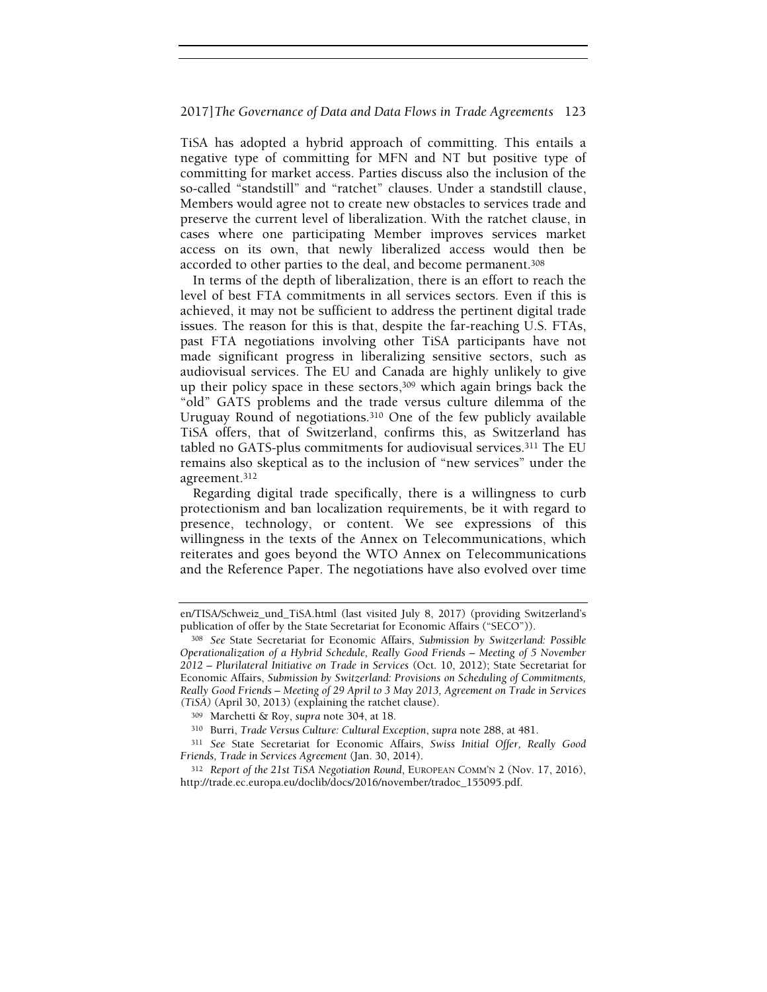TiSA has adopted a hybrid approach of committing. This entails a negative type of committing for MFN and NT but positive type of committing for market access. Parties discuss also the inclusion of the so-called "standstill" and "ratchet" clauses. Under a standstill clause, Members would agree not to create new obstacles to services trade and preserve the current level of liberalization. With the ratchet clause, in cases where one participating Member improves services market access on its own, that newly liberalized access would then be accorded to other parties to the deal, and become permanent.<sup>308</sup>

In terms of the depth of liberalization, there is an effort to reach the level of best FTA commitments in all services sectors. Even if this is achieved, it may not be sufficient to address the pertinent digital trade issues. The reason for this is that, despite the far-reaching U.S. FTAs, past FTA negotiations involving other TiSA participants have not made significant progress in liberalizing sensitive sectors, such as audiovisual services. The EU and Canada are highly unlikely to give up their policy space in these sectors,<sup>309</sup> which again brings back the "old" GATS problems and the trade versus culture dilemma of the Uruguay Round of negotiations.310 One of the few publicly available TiSA offers, that of Switzerland, confirms this, as Switzerland has tabled no GATS-plus commitments for audiovisual services.311 The EU remains also skeptical as to the inclusion of "new services" under the agreement.<sup>312</sup>

Regarding digital trade specifically, there is a willingness to curb protectionism and ban localization requirements, be it with regard to presence, technology, or content. We see expressions of this willingness in the texts of the Annex on Telecommunications, which reiterates and goes beyond the WTO Annex on Telecommunications and the Reference Paper. The negotiations have also evolved over time

en/TISA/Schweiz\_und\_TiSA.html (last visited July 8, 2017) (providing Switzerland's publication of offer by the State Secretariat for Economic Affairs ("SECO")).

<sup>308</sup> See State Secretariat for Economic Affairs, Submission by Switzerland: Possible Operationalization of a Hybrid Schedule, Really Good Friends – Meeting of 5 November 2012 – Plurilateral Initiative on Trade in Services (Oct. 10, 2012); State Secretariat for Economic Affairs, Submission by Switzerland: Provisions on Scheduling of Commitments, Really Good Friends – Meeting of 29 April to 3 May 2013, Agreement on Trade in Services (TiSA) (April 30, 2013) (explaining the ratchet clause).

<sup>309</sup> Marchetti & Roy, supra note 304, at 18.

<sup>310</sup> Burri, Trade Versus Culture: Cultural Exception, supra note 288, at 481.

<sup>311</sup> See State Secretariat for Economic Affairs, Swiss Initial Offer, Really Good Friends, Trade in Services Agreement (Jan. 30, 2014).

<sup>312</sup> Report of the 21st TiSA Negotiation Round, EUROPEAN COMM'N 2 (Nov. 17, 2016), http://trade.ec.europa.eu/doclib/docs/2016/november/tradoc\_155095.pdf.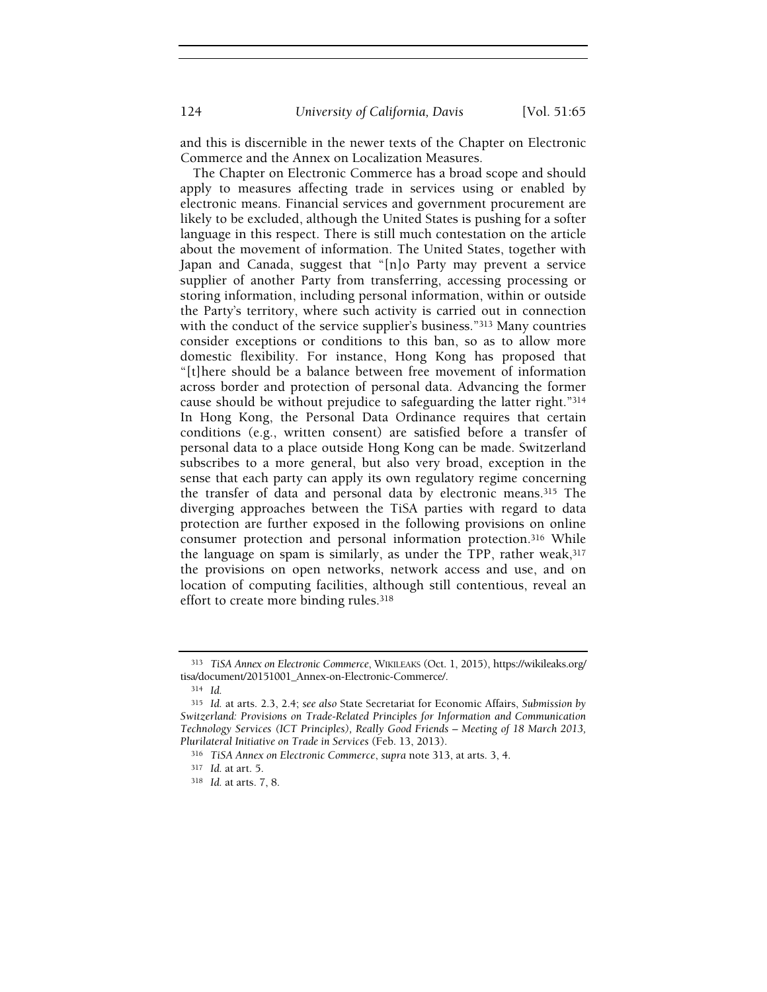and this is discernible in the newer texts of the Chapter on Electronic Commerce and the Annex on Localization Measures.

The Chapter on Electronic Commerce has a broad scope and should apply to measures affecting trade in services using or enabled by electronic means. Financial services and government procurement are likely to be excluded, although the United States is pushing for a softer language in this respect. There is still much contestation on the article about the movement of information. The United States, together with Japan and Canada, suggest that "[n]o Party may prevent a service supplier of another Party from transferring, accessing processing or storing information, including personal information, within or outside the Party's territory, where such activity is carried out in connection with the conduct of the service supplier's business."<sup>313</sup> Many countries consider exceptions or conditions to this ban, so as to allow more domestic flexibility. For instance, Hong Kong has proposed that "[t]here should be a balance between free movement of information across border and protection of personal data. Advancing the former cause should be without prejudice to safeguarding the latter right."<sup>314</sup> In Hong Kong, the Personal Data Ordinance requires that certain conditions (e.g., written consent) are satisfied before a transfer of personal data to a place outside Hong Kong can be made. Switzerland subscribes to a more general, but also very broad, exception in the sense that each party can apply its own regulatory regime concerning the transfer of data and personal data by electronic means.315 The diverging approaches between the TiSA parties with regard to data protection are further exposed in the following provisions on online consumer protection and personal information protection.316 While the language on spam is similarly, as under the TPP, rather weak,  $317$ the provisions on open networks, network access and use, and on location of computing facilities, although still contentious, reveal an effort to create more binding rules.<sup>318</sup>

<sup>313</sup> TiSA Annex on Electronic Commerce, WIKILEAKS (Oct. 1, 2015), https://wikileaks.org/ tisa/document/20151001\_Annex-on-Electronic-Commerce/.

<sup>314</sup> Id.

<sup>315</sup> Id. at arts. 2.3, 2.4; see also State Secretariat for Economic Affairs, Submission by Switzerland: Provisions on Trade-Related Principles for Information and Communication Technology Services (ICT Principles), Really Good Friends – Meeting of 18 March 2013, Plurilateral Initiative on Trade in Services (Feb. 13, 2013).

<sup>316</sup> TiSA Annex on Electronic Commerce, supra note 313, at arts. 3, 4.

<sup>317</sup> Id. at art. 5.

<sup>318</sup> Id. at arts. 7, 8.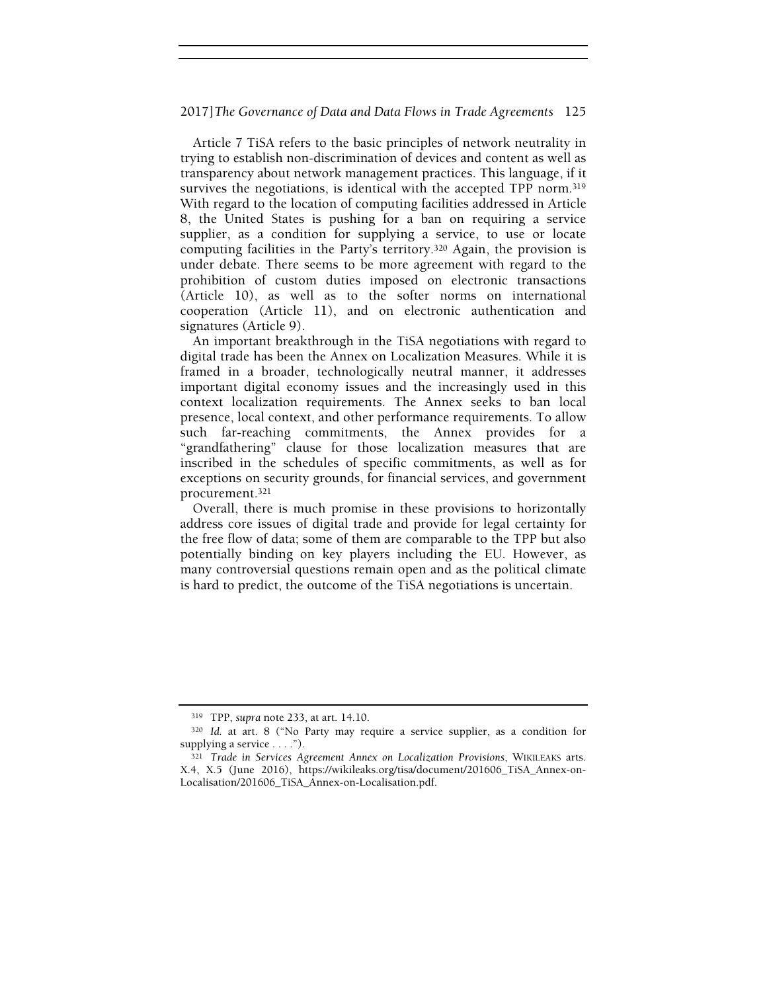Article 7 TiSA refers to the basic principles of network neutrality in trying to establish non-discrimination of devices and content as well as transparency about network management practices. This language, if it survives the negotiations, is identical with the accepted TPP norm.<sup>319</sup> With regard to the location of computing facilities addressed in Article 8, the United States is pushing for a ban on requiring a service supplier, as a condition for supplying a service, to use or locate computing facilities in the Party's territory.320 Again, the provision is under debate. There seems to be more agreement with regard to the prohibition of custom duties imposed on electronic transactions (Article 10), as well as to the softer norms on international cooperation (Article 11), and on electronic authentication and signatures (Article 9).

An important breakthrough in the TiSA negotiations with regard to digital trade has been the Annex on Localization Measures. While it is framed in a broader, technologically neutral manner, it addresses important digital economy issues and the increasingly used in this context localization requirements. The Annex seeks to ban local presence, local context, and other performance requirements. To allow such far-reaching commitments, the Annex provides for a "grandfathering" clause for those localization measures that are inscribed in the schedules of specific commitments, as well as for exceptions on security grounds, for financial services, and government procurement.<sup>321</sup>

Overall, there is much promise in these provisions to horizontally address core issues of digital trade and provide for legal certainty for the free flow of data; some of them are comparable to the TPP but also potentially binding on key players including the EU. However, as many controversial questions remain open and as the political climate is hard to predict, the outcome of the TiSA negotiations is uncertain.

<sup>319</sup> TPP, supra note 233, at art. 14.10.

<sup>320</sup> Id. at art. 8 ("No Party may require a service supplier, as a condition for supplying a service . . . .").

<sup>321</sup> Trade in Services Agreement Annex on Localization Provisions, WIKILEAKS arts. X.4, X.5 (June 2016), https://wikileaks.org/tisa/document/201606\_TiSA\_Annex-on-Localisation/201606\_TiSA\_Annex-on-Localisation.pdf.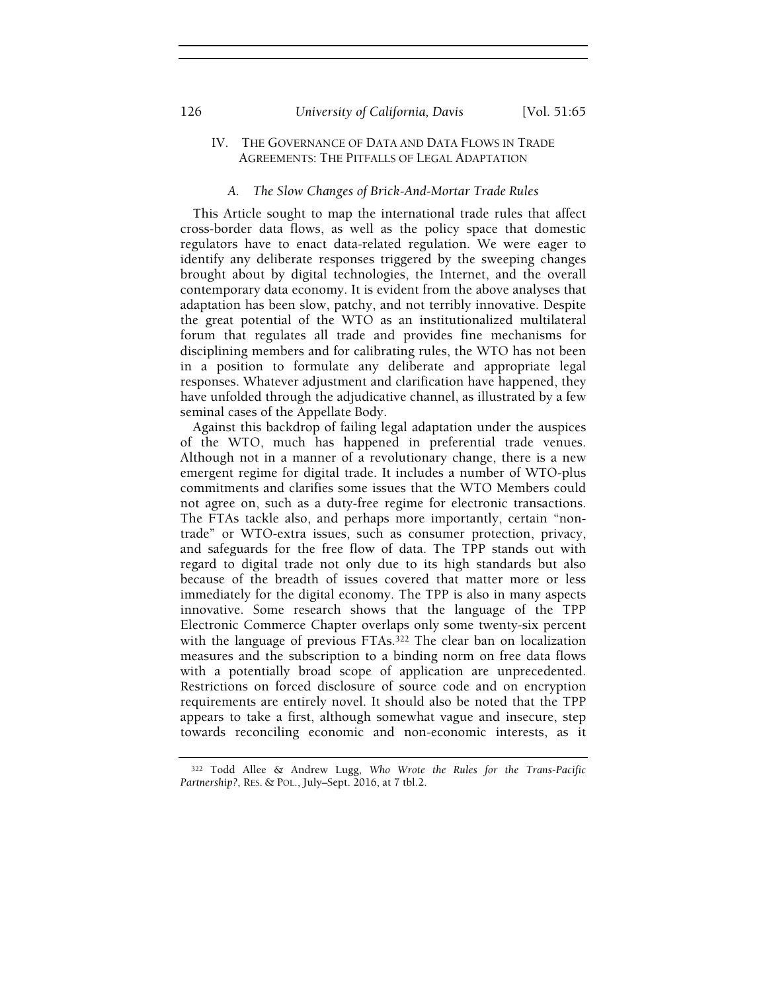# IV. THE GOVERNANCE OF DATA AND DATA FLOWS IN TRADE AGREEMENTS: THE PITFALLS OF LEGAL ADAPTATION

# A. The Slow Changes of Brick-And-Mortar Trade Rules

This Article sought to map the international trade rules that affect cross-border data flows, as well as the policy space that domestic regulators have to enact data-related regulation. We were eager to identify any deliberate responses triggered by the sweeping changes brought about by digital technologies, the Internet, and the overall contemporary data economy. It is evident from the above analyses that adaptation has been slow, patchy, and not terribly innovative. Despite the great potential of the WTO as an institutionalized multilateral forum that regulates all trade and provides fine mechanisms for disciplining members and for calibrating rules, the WTO has not been in a position to formulate any deliberate and appropriate legal responses. Whatever adjustment and clarification have happened, they have unfolded through the adjudicative channel, as illustrated by a few seminal cases of the Appellate Body.

Against this backdrop of failing legal adaptation under the auspices of the WTO, much has happened in preferential trade venues. Although not in a manner of a revolutionary change, there is a new emergent regime for digital trade. It includes a number of WTO-plus commitments and clarifies some issues that the WTO Members could not agree on, such as a duty-free regime for electronic transactions. The FTAs tackle also, and perhaps more importantly, certain "nontrade" or WTO-extra issues, such as consumer protection, privacy, and safeguards for the free flow of data. The TPP stands out with regard to digital trade not only due to its high standards but also because of the breadth of issues covered that matter more or less immediately for the digital economy. The TPP is also in many aspects innovative. Some research shows that the language of the TPP Electronic Commerce Chapter overlaps only some twenty-six percent with the language of previous FTAs.<sup>322</sup> The clear ban on localization measures and the subscription to a binding norm on free data flows with a potentially broad scope of application are unprecedented. Restrictions on forced disclosure of source code and on encryption requirements are entirely novel. It should also be noted that the TPP appears to take a first, although somewhat vague and insecure, step towards reconciling economic and non-economic interests, as it

<sup>322</sup> Todd Allee & Andrew Lugg, Who Wrote the Rules for the Trans-Pacific Partnership?, RES. & POL., July–Sept. 2016, at 7 tbl.2.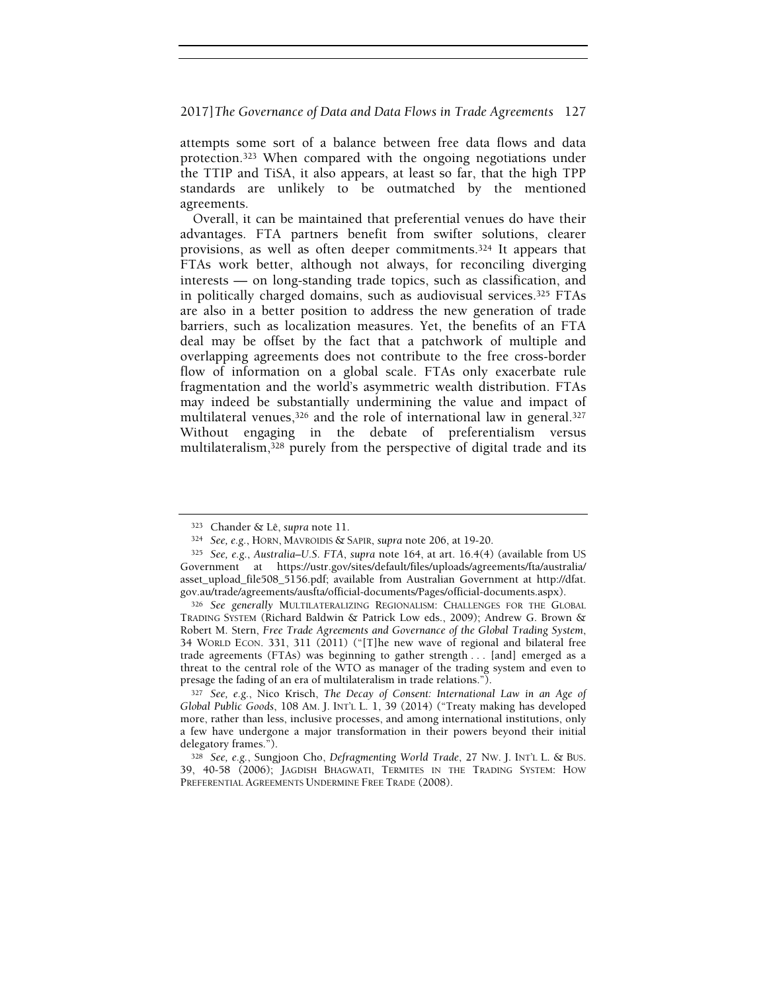attempts some sort of a balance between free data flows and data protection.323 When compared with the ongoing negotiations under the TTIP and TiSA, it also appears, at least so far, that the high TPP standards are unlikely to be outmatched by the mentioned agreements.

Overall, it can be maintained that preferential venues do have their advantages. FTA partners benefit from swifter solutions, clearer provisions, as well as often deeper commitments.324 It appears that FTAs work better, although not always, for reconciling diverging interests — on long-standing trade topics, such as classification, and in politically charged domains, such as audiovisual services.325 FTAs are also in a better position to address the new generation of trade barriers, such as localization measures. Yet, the benefits of an FTA deal may be offset by the fact that a patchwork of multiple and overlapping agreements does not contribute to the free cross-border flow of information on a global scale. FTAs only exacerbate rule fragmentation and the world's asymmetric wealth distribution. FTAs may indeed be substantially undermining the value and impact of multilateral venues,<sup>326</sup> and the role of international law in general.<sup>327</sup> Without engaging in the debate of preferentialism versus multilateralism,328 purely from the perspective of digital trade and its

<sup>323</sup> Chander & Lê, supra note 11.

<sup>324</sup> See, e.g., HORN, MAVROIDIS & SAPIR, supra note 206, at 19-20.

<sup>325</sup> See, e.g., Australia–U.S. FTA, supra note 164, at art. 16.4(4) (available from US Government at https://ustr.gov/sites/default/files/uploads/agreements/fta/australia/ asset\_upload\_file508\_5156.pdf; available from Australian Government at http://dfat. gov.au/trade/agreements/ausfta/official-documents/Pages/official-documents.aspx).

<sup>326</sup> See generally MULTILATERALIZING REGIONALISM: CHALLENGES FOR THE GLOBAL TRADING SYSTEM (Richard Baldwin & Patrick Low eds., 2009); Andrew G. Brown & Robert M. Stern, Free Trade Agreements and Governance of the Global Trading System, 34 WORLD ECON. 331, 311 (2011) ("[T]he new wave of regional and bilateral free trade agreements (FTAs) was beginning to gather strength . . . [and] emerged as a threat to the central role of the WTO as manager of the trading system and even to presage the fading of an era of multilateralism in trade relations.").

<sup>327</sup> See, e.g., Nico Krisch, The Decay of Consent: International Law in an Age of Global Public Goods, 108 AM. J. INT'L L. 1, 39 (2014) ("Treaty making has developed more, rather than less, inclusive processes, and among international institutions, only a few have undergone a major transformation in their powers beyond their initial delegatory frames.").

<sup>328</sup> See, e.g., Sungjoon Cho, Defragmenting World Trade, 27 NW. J. INT'L L. & BUS. 39, 40-58 (2006); JAGDISH BHAGWATI, TERMITES IN THE TRADING SYSTEM: HOW PREFERENTIAL AGREEMENTS UNDERMINE FREE TRADE (2008).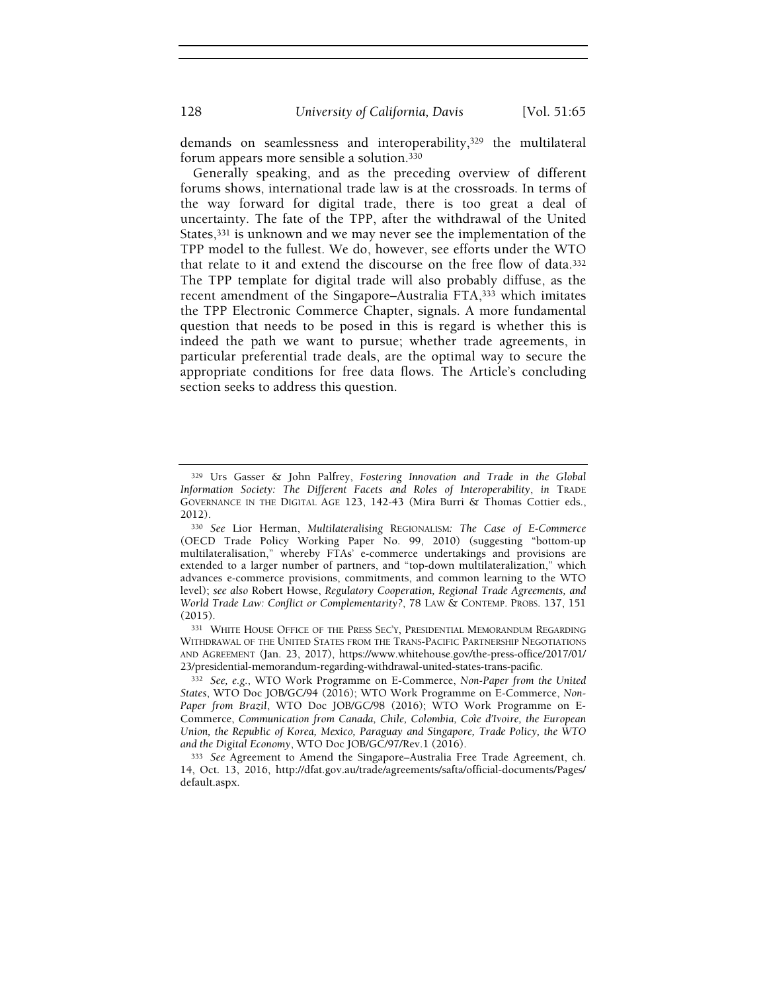demands on seamlessness and interoperability,329 the multilateral forum appears more sensible a solution.<sup>330</sup>

Generally speaking, and as the preceding overview of different forums shows, international trade law is at the crossroads. In terms of the way forward for digital trade, there is too great a deal of uncertainty. The fate of the TPP, after the withdrawal of the United States,331 is unknown and we may never see the implementation of the TPP model to the fullest. We do, however, see efforts under the WTO that relate to it and extend the discourse on the free flow of data.<sup>332</sup> The TPP template for digital trade will also probably diffuse, as the recent amendment of the Singapore–Australia FTA,<sup>333</sup> which imitates the TPP Electronic Commerce Chapter, signals. A more fundamental question that needs to be posed in this is regard is whether this is indeed the path we want to pursue; whether trade agreements, in particular preferential trade deals, are the optimal way to secure the appropriate conditions for free data flows. The Article's concluding section seeks to address this question.

<sup>329</sup> Urs Gasser & John Palfrey, Fostering Innovation and Trade in the Global Information Society: The Different Facets and Roles of Interoperability, in TRADE GOVERNANCE IN THE DIGITAL AGE 123, 142-43 (Mira Burri & Thomas Cottier eds., 2012).

<sup>330</sup> See Lior Herman, Multilateralising REGIONALISM: The Case of E-Commerce (OECD Trade Policy Working Paper No. 99, 2010) (suggesting "bottom-up multilateralisation," whereby FTAs' e-commerce undertakings and provisions are extended to a larger number of partners, and "top-down multilateralization," which advances e-commerce provisions, commitments, and common learning to the WTO level); see also Robert Howse, Regulatory Cooperation, Regional Trade Agreements, and World Trade Law: Conflict or Complementarity?, 78 LAW & CONTEMP. PROBS. 137, 151 (2015).

<sup>331</sup> WHITE HOUSE OFFICE OF THE PRESS SEC'Y, PRESIDENTIAL MEMORANDUM REGARDING WITHDRAWAL OF THE UNITED STATES FROM THE TRANS-PACIFIC PARTNERSHIP NEGOTIATIONS AND AGREEMENT (Jan. 23, 2017), https://www.whitehouse.gov/the-press-office/2017/01/ 23/presidential-memorandum-regarding-withdrawal-united-states-trans-pacific.

<sup>332</sup> See, e.g., WTO Work Programme on E-Commerce, Non-Paper from the United States, WTO Doc JOB/GC/94 (2016); WTO Work Programme on E-Commerce, Non-Paper from Brazil, WTO Doc JOB/GC/98 (2016); WTO Work Programme on E-Commerce, Communication from Canada, Chile, Colombia, Côte d'Ivoire, the European Union, the Republic of Korea, Mexico, Paraguay and Singapore, Trade Policy, the WTO and the Digital Economy, WTO Doc JOB/GC/97/Rev.1 (2016).

<sup>333</sup> See Agreement to Amend the Singapore–Australia Free Trade Agreement, ch. 14, Oct. 13, 2016, http://dfat.gov.au/trade/agreements/safta/official-documents/Pages/ default.aspx.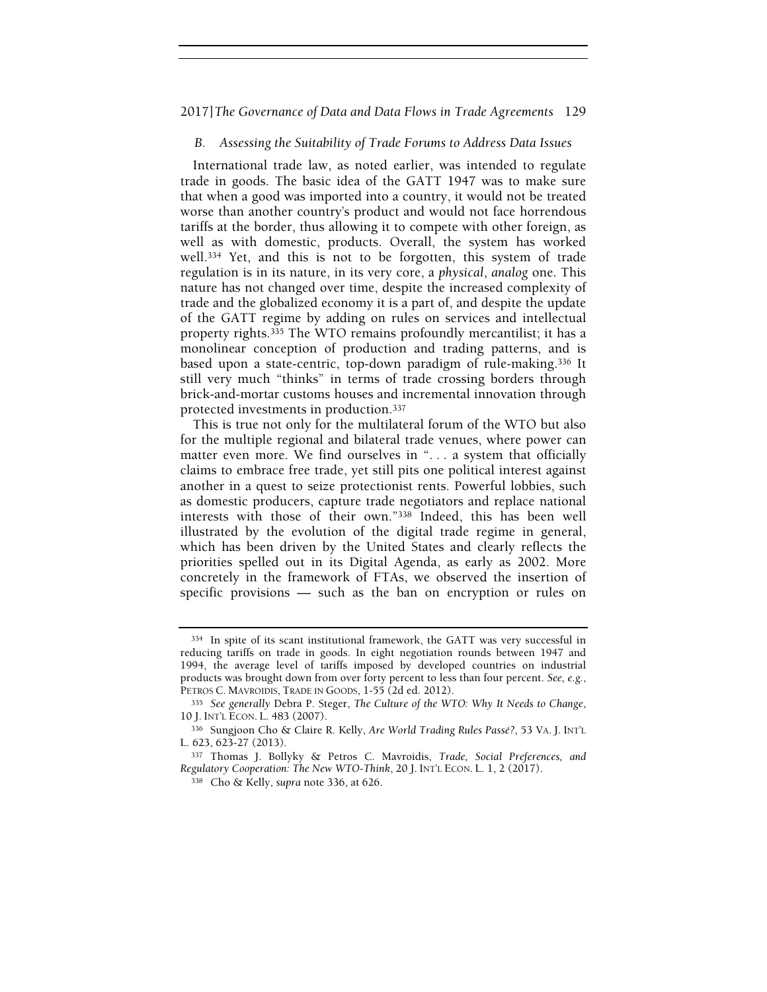# B. Assessing the Suitability of Trade Forums to Address Data Issues

International trade law, as noted earlier, was intended to regulate trade in goods. The basic idea of the GATT 1947 was to make sure that when a good was imported into a country, it would not be treated worse than another country's product and would not face horrendous tariffs at the border, thus allowing it to compete with other foreign, as well as with domestic, products. Overall, the system has worked well.334 Yet, and this is not to be forgotten, this system of trade regulation is in its nature, in its very core, a physical, analog one. This nature has not changed over time, despite the increased complexity of trade and the globalized economy it is a part of, and despite the update of the GATT regime by adding on rules on services and intellectual property rights.335 The WTO remains profoundly mercantilist; it has a monolinear conception of production and trading patterns, and is based upon a state-centric, top-down paradigm of rule-making.336 It still very much "thinks" in terms of trade crossing borders through brick-and-mortar customs houses and incremental innovation through protected investments in production.<sup>337</sup>

This is true not only for the multilateral forum of the WTO but also for the multiple regional and bilateral trade venues, where power can matter even more. We find ourselves in "... a system that officially claims to embrace free trade, yet still pits one political interest against another in a quest to seize protectionist rents. Powerful lobbies, such as domestic producers, capture trade negotiators and replace national interests with those of their own."338 Indeed, this has been well illustrated by the evolution of the digital trade regime in general, which has been driven by the United States and clearly reflects the priorities spelled out in its Digital Agenda, as early as 2002. More concretely in the framework of FTAs, we observed the insertion of specific provisions — such as the ban on encryption or rules on

<sup>334</sup> In spite of its scant institutional framework, the GATT was very successful in reducing tariffs on trade in goods. In eight negotiation rounds between 1947 and 1994, the average level of tariffs imposed by developed countries on industrial products was brought down from over forty percent to less than four percent. See, e.g., PETROS C. MAVROIDIS, TRADE IN GOODS, 1-55 (2d ed. 2012).

<sup>335</sup> See generally Debra P. Steger, The Culture of the WTO: Why It Needs to Change, 10 J. INT'L ECON. L. 483 (2007).

<sup>336</sup> Sungjoon Cho & Claire R. Kelly, Are World Trading Rules Passé?, 53 VA. J. INT'<sup>L</sup> L. 623, 623-27 (2013).

<sup>337</sup> Thomas J. Bollyky & Petros C. Mavroidis, Trade, Social Preferences, and Regulatory Cooperation: The New WTO-Think, 20 J. INT'L ECON. L. 1, 2 (2017).

<sup>338</sup> Cho & Kelly, supra note 336, at 626.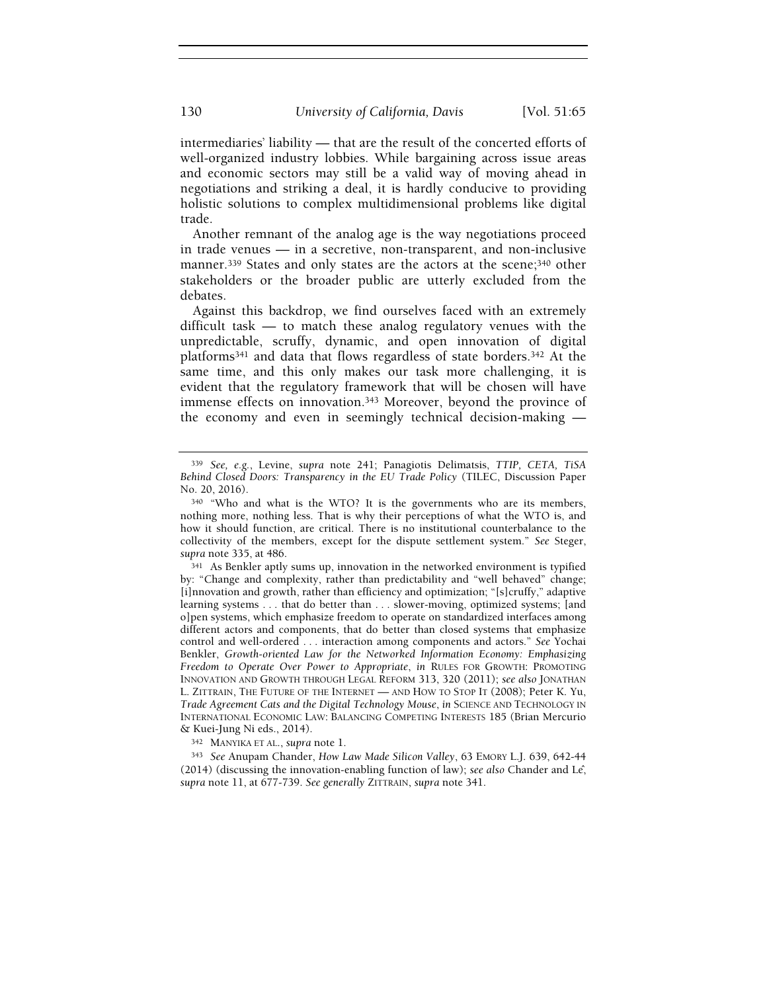intermediaries' liability — that are the result of the concerted efforts of well-organized industry lobbies. While bargaining across issue areas and economic sectors may still be a valid way of moving ahead in negotiations and striking a deal, it is hardly conducive to providing holistic solutions to complex multidimensional problems like digital trade.

Another remnant of the analog age is the way negotiations proceed in trade venues — in a secretive, non-transparent, and non-inclusive manner.<sup>339</sup> States and only states are the actors at the scene;<sup>340</sup> other stakeholders or the broader public are utterly excluded from the debates.

Against this backdrop, we find ourselves faced with an extremely difficult task — to match these analog regulatory venues with the unpredictable, scruffy, dynamic, and open innovation of digital platforms341 and data that flows regardless of state borders.342 At the same time, and this only makes our task more challenging, it is evident that the regulatory framework that will be chosen will have immense effects on innovation.343 Moreover, beyond the province of the economy and even in seemingly technical decision-making —

<sup>339</sup> See, e.g., Levine, supra note 241; Panagiotis Delimatsis, TTIP, CETA, TiSA Behind Closed Doors: Transparency in the EU Trade Policy (TILEC, Discussion Paper No. 20, 2016).

<sup>340</sup> "Who and what is the WTO? It is the governments who are its members, nothing more, nothing less. That is why their perceptions of what the WTO is, and how it should function, are critical. There is no institutional counterbalance to the collectivity of the members, except for the dispute settlement system." See Steger, supra note 335, at 486.

<sup>341</sup> As Benkler aptly sums up, innovation in the networked environment is typified by: "Change and complexity, rather than predictability and "well behaved" change; [i]nnovation and growth, rather than efficiency and optimization; "[s]cruffy," adaptive learning systems . . . that do better than . . . slower-moving, optimized systems; [and o]pen systems, which emphasize freedom to operate on standardized interfaces among different actors and components, that do better than closed systems that emphasize control and well-ordered . . . interaction among components and actors." See Yochai Benkler, Growth-oriented Law for the Networked Information Economy: Emphasizing Freedom to Operate Over Power to Appropriate, in RULES FOR GROWTH: PROMOTING INNOVATION AND GROWTH THROUGH LEGAL REFORM 313, 320 (2011); see also JONATHAN L. ZITTRAIN, THE FUTURE OF THE INTERNET — AND HOW TO STOP IT (2008); Peter K. Yu, Trade Agreement Cats and the Digital Technology Mouse, in SCIENCE AND TECHNOLOGY IN INTERNATIONAL ECONOMIC LAW: BALANCING COMPETING INTERESTS 185 (Brian Mercurio & Kuei-Jung Ni eds., 2014).

<sup>342</sup> MANYIKA ET AL., supra note 1.

<sup>343</sup> See Anupam Chander, How Law Made Silicon Valley, 63 EMORY L.J. 639, 642-44 (2014) (discussing the innovation-enabling function of law); see also Chander and Lê, supra note 11, at 677-739. See generally ZITTRAIN, supra note 341.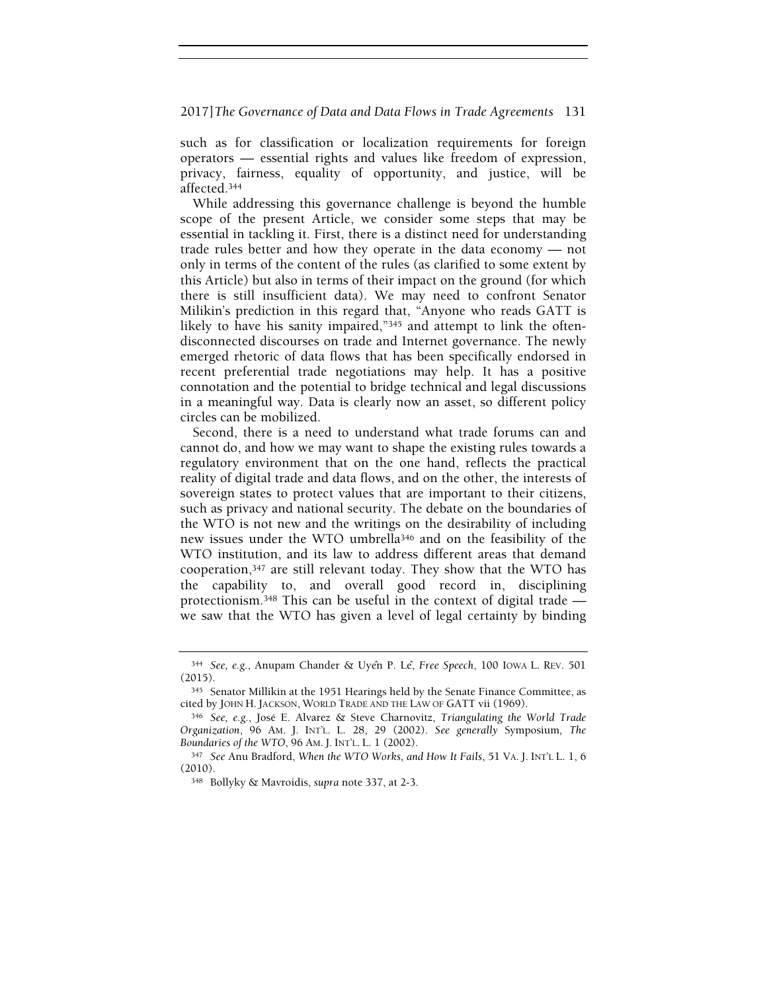such as for classification or localization requirements for foreign operators — essential rights and values like freedom of expression, privacy, fairness, equality of opportunity, and justice, will be affected.<sup>344</sup>

While addressing this governance challenge is beyond the humble scope of the present Article, we consider some steps that may be essential in tackling it. First, there is a distinct need for understanding trade rules better and how they operate in the data economy — not only in terms of the content of the rules (as clarified to some extent by this Article) but also in terms of their impact on the ground (for which there is still insufficient data). We may need to confront Senator Milikin's prediction in this regard that, "Anyone who reads GATT is likely to have his sanity impaired,"345 and attempt to link the oftendisconnected discourses on trade and Internet governance. The newly emerged rhetoric of data flows that has been specifically endorsed in recent preferential trade negotiations may help. It has a positive connotation and the potential to bridge technical and legal discussions in a meaningful way. Data is clearly now an asset, so different policy circles can be mobilized.

Second, there is a need to understand what trade forums can and cannot do, and how we may want to shape the existing rules towards a regulatory environment that on the one hand, reflects the practical reality of digital trade and data flows, and on the other, the interests of sovereign states to protect values that are important to their citizens, such as privacy and national security. The debate on the boundaries of the WTO is not new and the writings on the desirability of including new issues under the WTO umbrella346 and on the feasibility of the WTO institution, and its law to address different areas that demand cooperation,347 are still relevant today. They show that the WTO has the capability to, and overall good record in, disciplining protectionism.348 This can be useful in the context of digital trade we saw that the WTO has given a level of legal certainty by binding

<sup>344</sup> See, e.g., Anupam Chander & Uyên P. Lê, Free Speech, 100 IOWA L. <sup>R</sup>EV. 501 (2015).

<sup>345</sup> Senator Millikin at the 1951 Hearings held by the Senate Finance Committee, as cited by JOHN H. JACKSON, WORLD TRADE AND THE LAW OF GATT vii (1969).

<sup>346</sup> See, e.g., José E. Alvarez & Steve Charnovitz, Triangulating the World Trade Organization, 96 AM. J. INT'L. L. 28, 29 (2002). See generally Symposium, The Boundaries of the WTO, 96 AM. J. INT'L. L. 1 (2002).

<sup>347</sup> See Anu Bradford, When the WTO Works, and How It Fails, 51 VA. J. INT'L L. 1, 6 (2010).

<sup>348</sup> Bollyky & Mavroidis, supra note 337, at 2-3.